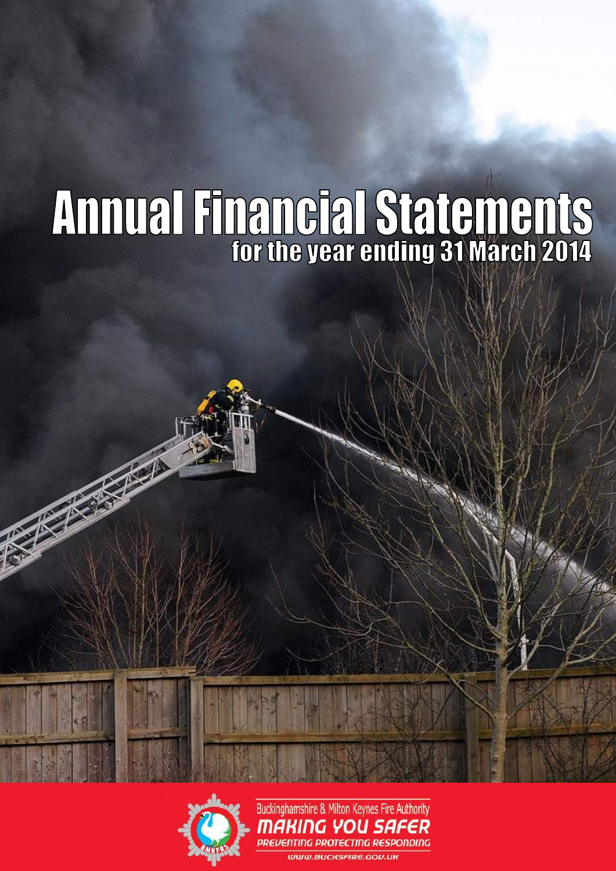# **Annual Financial Statements**



Buckinghamshire & Milton Keynes Fire Authority MAKING YOU SAFER **PREVENTING PROTECTING RESPONDING WWW.BUCKSFIRE.GOV.UK**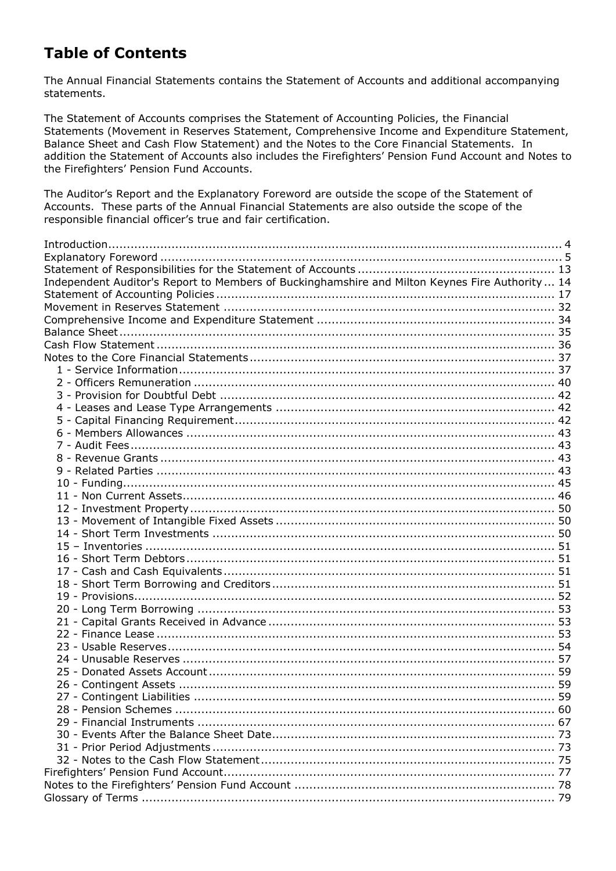# **Table of Contents**

The Annual Financial Statements contains the Statement of Accounts and additional accompanying statements.

The Statement of Accounts comprises the Statement of Accounting Policies, the Financial Statements (Movement in Reserves Statement, Comprehensive Income and Expenditure Statement, Balance Sheet and Cash Flow Statement) and the Notes to the Core Financial Statements. In addition the Statement of Accounts also includes the Firefighters' Pension Fund Account and Notes to the Firefighters' Pension Fund Accounts.

The Auditor's Report and the Explanatory Foreword are outside the scope of the Statement of Accounts. These parts of the Annual Financial Statements are also outside the scope of the responsible financial officer's true and fair certification.

| Independent Auditor's Report to Members of Buckinghamshire and Milton Keynes Fire Authority  14 |  |
|-------------------------------------------------------------------------------------------------|--|
|                                                                                                 |  |
|                                                                                                 |  |
|                                                                                                 |  |
|                                                                                                 |  |
|                                                                                                 |  |
|                                                                                                 |  |
|                                                                                                 |  |
|                                                                                                 |  |
|                                                                                                 |  |
|                                                                                                 |  |
|                                                                                                 |  |
|                                                                                                 |  |
|                                                                                                 |  |
|                                                                                                 |  |
|                                                                                                 |  |
|                                                                                                 |  |
|                                                                                                 |  |
|                                                                                                 |  |
|                                                                                                 |  |
|                                                                                                 |  |
|                                                                                                 |  |
|                                                                                                 |  |
|                                                                                                 |  |
|                                                                                                 |  |
|                                                                                                 |  |
|                                                                                                 |  |
|                                                                                                 |  |
|                                                                                                 |  |
|                                                                                                 |  |
|                                                                                                 |  |
|                                                                                                 |  |
|                                                                                                 |  |
|                                                                                                 |  |
|                                                                                                 |  |
|                                                                                                 |  |
|                                                                                                 |  |
|                                                                                                 |  |
|                                                                                                 |  |
|                                                                                                 |  |
|                                                                                                 |  |
|                                                                                                 |  |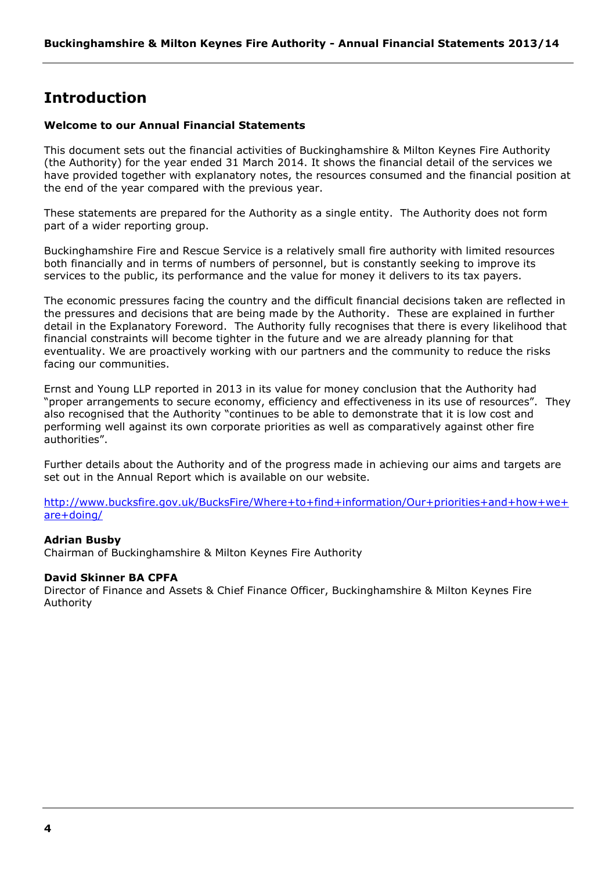# <span id="page-3-0"></span>**Introduction**

# **Welcome to our Annual Financial Statements**

This document sets out the financial activities of Buckinghamshire & Milton Keynes Fire Authority (the Authority) for the year ended 31 March 2014. It shows the financial detail of the services we have provided together with explanatory notes, the resources consumed and the financial position at the end of the year compared with the previous year.

These statements are prepared for the Authority as a single entity. The Authority does not form part of a wider reporting group.

Buckinghamshire Fire and Rescue Service is a relatively small fire authority with limited resources both financially and in terms of numbers of personnel, but is constantly seeking to improve its services to the public, its performance and the value for money it delivers to its tax payers.

The economic pressures facing the country and the difficult financial decisions taken are reflected in the pressures and decisions that are being made by the Authority. These are explained in further detail in the Explanatory Foreword. The Authority fully recognises that there is every likelihood that financial constraints will become tighter in the future and we are already planning for that eventuality. We are proactively working with our partners and the community to reduce the risks facing our communities.

Ernst and Young LLP reported in 2013 in its value for money conclusion that the Authority had "proper arrangements to secure economy, efficiency and effectiveness in its use of resources". They also recognised that the Authority "continues to be able to demonstrate that it is low cost and performing well against its own corporate priorities as well as comparatively against other fire authorities".

Further details about the Authority and of the progress made in achieving our aims and targets are set out in the Annual Report which is available on our website.

[http://www.bucksfire.gov.uk/BucksFire/Where+to+find+information/Our+priorities+and+how+we+](http://www.bucksfire.gov.uk/BucksFire/Where+to+find+information/Our+priorities+and+how+we+are+doing/) [are+doing/](http://www.bucksfire.gov.uk/BucksFire/Where+to+find+information/Our+priorities+and+how+we+are+doing/)

#### **Adrian Busby**

Chairman of Buckinghamshire & Milton Keynes Fire Authority

#### **David Skinner BA CPFA**

Director of Finance and Assets & Chief Finance Officer, Buckinghamshire & Milton Keynes Fire Authority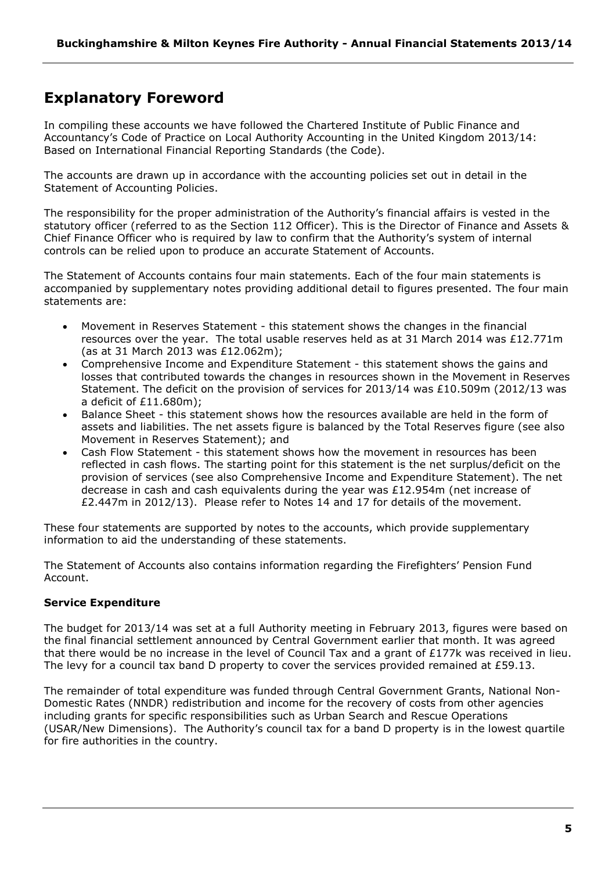# <span id="page-4-0"></span>**Explanatory Foreword**

In compiling these accounts we have followed the Chartered Institute of Public Finance and Accountancy's Code of Practice on Local Authority Accounting in the United Kingdom 2013/14: Based on International Financial Reporting Standards (the Code).

The accounts are drawn up in accordance with the accounting policies set out in detail in the Statement of Accounting Policies.

The responsibility for the proper administration of the Authority's financial affairs is vested in the statutory officer (referred to as the Section 112 Officer). This is the Director of Finance and Assets & Chief Finance Officer who is required by law to confirm that the Authority's system of internal controls can be relied upon to produce an accurate Statement of Accounts.

The Statement of Accounts contains four main statements. Each of the four main statements is accompanied by supplementary notes providing additional detail to figures presented. The four main statements are:

- Movement in Reserves Statement this statement shows the changes in the financial resources over the year. The total usable reserves held as at 31 March 2014 was £12.771m (as at 31 March 2013 was £12.062m);
- Comprehensive Income and Expenditure Statement this statement shows the gains and losses that contributed towards the changes in resources shown in the Movement in Reserves Statement. The deficit on the provision of services for 2013/14 was £10.509m (2012/13 was a deficit of £11.680m);
- Balance Sheet this statement shows how the resources available are held in the form of assets and liabilities. The net assets figure is balanced by the Total Reserves figure (see also Movement in Reserves Statement); and
- Cash Flow Statement this statement shows how the movement in resources has been reflected in cash flows. The starting point for this statement is the net surplus/deficit on the provision of services (see also Comprehensive Income and Expenditure Statement). The net decrease in cash and cash equivalents during the year was £12.954m (net increase of £2.447m in 2012/13). Please refer to Notes 14 and 17 for details of the movement.

These four statements are supported by notes to the accounts, which provide supplementary information to aid the understanding of these statements.

The Statement of Accounts also contains information regarding the Firefighters' Pension Fund Account.

# **Service Expenditure**

The budget for 2013/14 was set at a full Authority meeting in February 2013, figures were based on the final financial settlement announced by Central Government earlier that month. It was agreed that there would be no increase in the level of Council Tax and a grant of £177k was received in lieu. The levy for a council tax band D property to cover the services provided remained at £59.13.

The remainder of total expenditure was funded through Central Government Grants, National Non-Domestic Rates (NNDR) redistribution and income for the recovery of costs from other agencies including grants for specific responsibilities such as Urban Search and Rescue Operations (USAR/New Dimensions). The Authority's council tax for a band D property is in the lowest quartile for fire authorities in the country.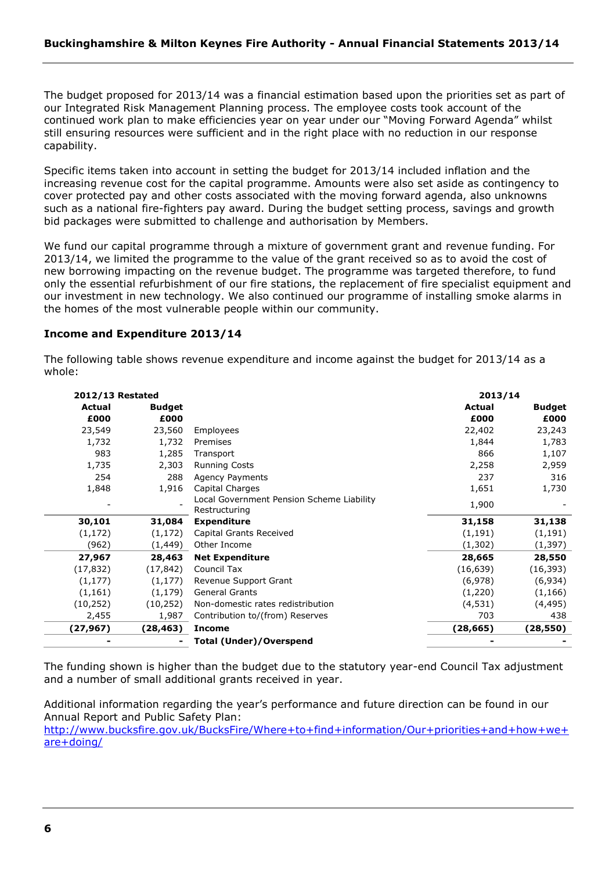The budget proposed for 2013/14 was a financial estimation based upon the priorities set as part of our Integrated Risk Management Planning process. The employee costs took account of the continued work plan to make efficiencies year on year under our "Moving Forward Agenda" whilst still ensuring resources were sufficient and in the right place with no reduction in our response capability.

Specific items taken into account in setting the budget for 2013/14 included inflation and the increasing revenue cost for the capital programme. Amounts were also set aside as contingency to cover protected pay and other costs associated with the moving forward agenda, also unknowns such as a national fire-fighters pay award. During the budget setting process, savings and growth bid packages were submitted to challenge and authorisation by Members.

We fund our capital programme through a mixture of government grant and revenue funding. For 2013/14, we limited the programme to the value of the grant received so as to avoid the cost of new borrowing impacting on the revenue budget. The programme was targeted therefore, to fund only the essential refurbishment of our fire stations, the replacement of fire specialist equipment and our investment in new technology. We also continued our programme of installing smoke alarms in the homes of the most vulnerable people within our community.

# **Income and Expenditure 2013/14**

The following table shows revenue expenditure and income against the budget for 2013/14 as a whole:

| <b>2012/13 Restated</b> |               |                                                            | 2013/14       |               |
|-------------------------|---------------|------------------------------------------------------------|---------------|---------------|
| Actual                  | <b>Budget</b> |                                                            | <b>Actual</b> | <b>Budget</b> |
| £000                    | £000          |                                                            | £000          | £000          |
| 23,549                  | 23,560        | Employees                                                  | 22,402        | 23,243        |
| 1,732                   | 1,732         | Premises                                                   | 1,844         | 1,783         |
| 983                     | 1,285         | Transport                                                  | 866           | 1,107         |
| 1,735                   | 2,303         | <b>Running Costs</b>                                       | 2,258         | 2,959         |
| 254                     | 288           | Agency Payments                                            | 237           | 316           |
| 1,848                   | 1,916         | Capital Charges                                            | 1,651         | 1,730         |
|                         |               | Local Government Pension Scheme Liability<br>Restructuring | 1,900         |               |
| 30,101                  | 31,084        | <b>Expenditure</b>                                         | 31,158        | 31,138        |
| (1, 172)                | (1, 172)      | Capital Grants Received                                    | (1, 191)      | (1, 191)      |
| (962)                   | (1,449)       | Other Income                                               | (1, 302)      | (1, 397)      |
| 27,967                  | 28,463        | <b>Net Expenditure</b>                                     | 28,665        | 28,550        |
| (17, 832)               | (17, 842)     | Council Tax                                                | (16, 639)     | (16, 393)     |
| (1, 177)                | (1, 177)      | Revenue Support Grant                                      | (6,978)       | (6,934)       |
| (1, 161)                | (1, 179)      | <b>General Grants</b>                                      | (1,220)       | (1, 166)      |
| (10, 252)               | (10, 252)     | Non-domestic rates redistribution                          | (4, 531)      | (4, 495)      |
| 2,455                   | 1,987         | Contribution to/(from) Reserves                            | 703           | 438           |
| (27, 967)               | (28, 463)     | <b>Income</b>                                              | (28, 665)     | (28, 550)     |
|                         |               | <b>Total (Under)/Overspend</b>                             |               |               |

The funding shown is higher than the budget due to the statutory year-end Council Tax adjustment and a number of small additional grants received in year.

Additional information regarding the year's performance and future direction can be found in our Annual Report and Public Safety Plan:

[http://www.bucksfire.gov.uk/BucksFire/Where+to+find+information/Our+priorities+and+how+we+](http://www.bucksfire.gov.uk/BucksFire/Where+to+find+information/Our+priorities+and+how+we+are+doing/) [are+doing/](http://www.bucksfire.gov.uk/BucksFire/Where+to+find+information/Our+priorities+and+how+we+are+doing/)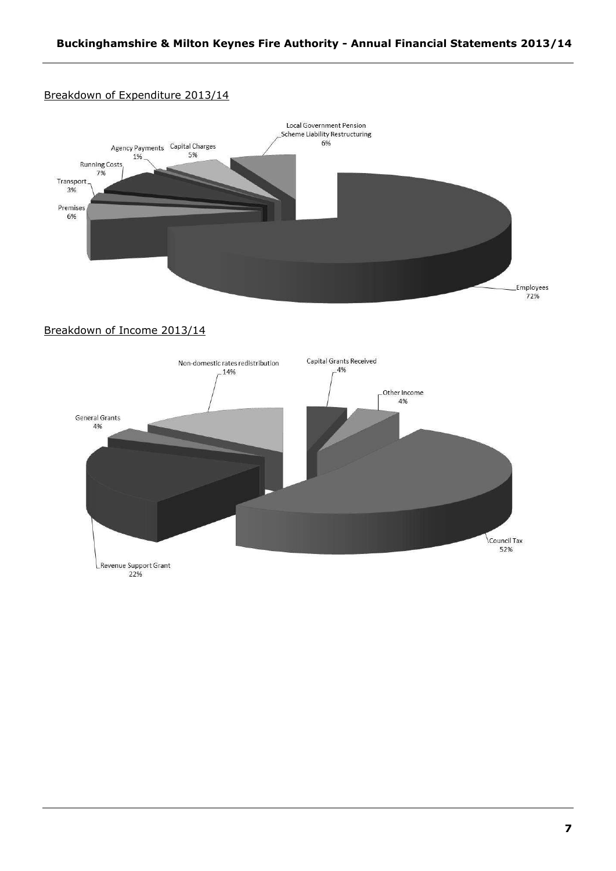# Breakdown of Expenditure 2013/14



# Breakdown of Income 2013/14

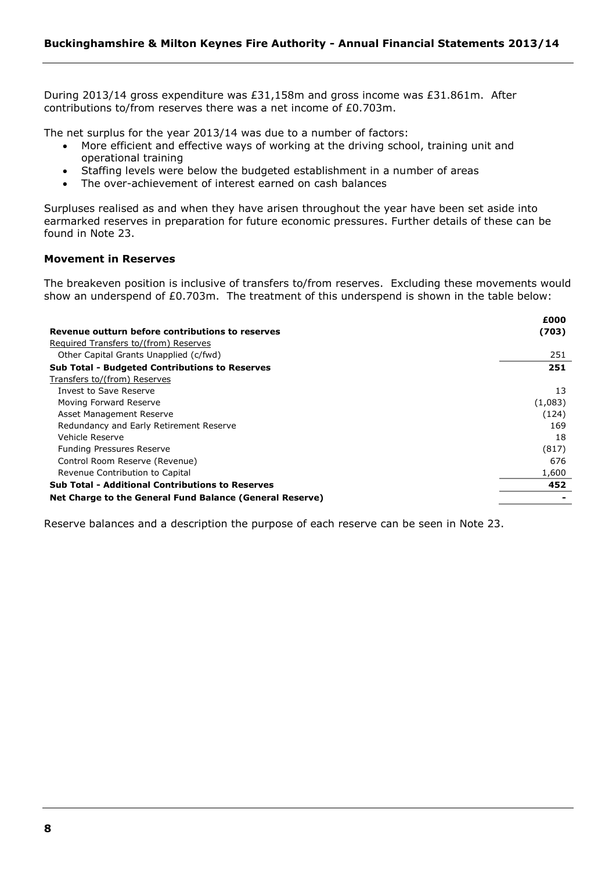During 2013/14 gross expenditure was £31,158m and gross income was £31.861m. After contributions to/from reserves there was a net income of £0.703m.

The net surplus for the year 2013/14 was due to a number of factors:

- More efficient and effective ways of working at the driving school, training unit and operational training
- Staffing levels were below the budgeted establishment in a number of areas
- The over-achievement of interest earned on cash balances

Surpluses realised as and when they have arisen throughout the year have been set aside into earmarked reserves in preparation for future economic pressures. Further details of these can be found in Note 23.

#### **Movement in Reserves**

The breakeven position is inclusive of transfers to/from reserves. Excluding these movements would show an underspend of £0.703m. The treatment of this underspend is shown in the table below:

|                                                          | £000    |
|----------------------------------------------------------|---------|
| Revenue outturn before contributions to reserves         | (703)   |
| Required Transfers to/(from) Reserves                    |         |
| Other Capital Grants Unapplied (c/fwd)                   | 251     |
| <b>Sub Total - Budgeted Contributions to Reserves</b>    | 251     |
| Transfers to/(from) Reserves                             |         |
| Invest to Save Reserve                                   | 13      |
| Moving Forward Reserve                                   | (1,083) |
| Asset Management Reserve                                 | (124)   |
| Redundancy and Early Retirement Reserve                  | 169     |
| Vehicle Reserve                                          | 18      |
| <b>Funding Pressures Reserve</b>                         | (817)   |
| Control Room Reserve (Revenue)                           | 676     |
| Revenue Contribution to Capital                          | 1,600   |
| <b>Sub Total - Additional Contributions to Reserves</b>  | 452     |
| Net Charge to the General Fund Balance (General Reserve) |         |

Reserve balances and a description the purpose of each reserve can be seen in Note 23.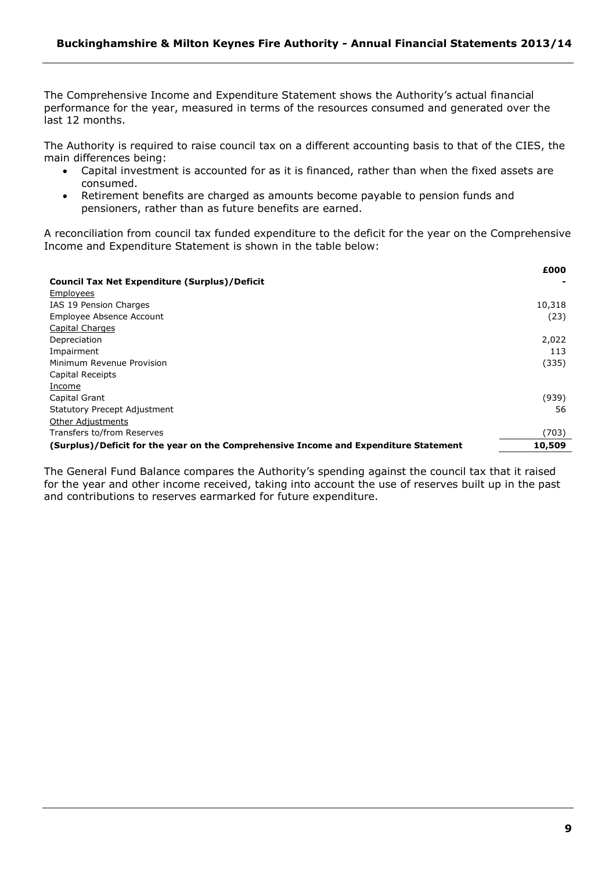The Comprehensive Income and Expenditure Statement shows the Authority's actual financial performance for the year, measured in terms of the resources consumed and generated over the last 12 months.

The Authority is required to raise council tax on a different accounting basis to that of the CIES, the main differences being:

- Capital investment is accounted for as it is financed, rather than when the fixed assets are consumed.
- Retirement benefits are charged as amounts become payable to pension funds and pensioners, rather than as future benefits are earned.

A reconciliation from council tax funded expenditure to the deficit for the year on the Comprehensive Income and Expenditure Statement is shown in the table below:

|                                                                                      | £000   |
|--------------------------------------------------------------------------------------|--------|
| <b>Council Tax Net Expenditure (Surplus)/Deficit</b>                                 |        |
| Employees                                                                            |        |
| IAS 19 Pension Charges                                                               | 10,318 |
| Employee Absence Account                                                             | (23)   |
| Capital Charges                                                                      |        |
| Depreciation                                                                         | 2,022  |
| Impairment                                                                           | 113    |
| Minimum Revenue Provision                                                            | (335)  |
| Capital Receipts                                                                     |        |
| Income                                                                               |        |
| Capital Grant                                                                        | (939)  |
| <b>Statutory Precept Adjustment</b>                                                  | 56     |
| <b>Other Adjustments</b>                                                             |        |
| Transfers to/from Reserves                                                           | (703)  |
| (Surplus)/Deficit for the year on the Comprehensive Income and Expenditure Statement | 10,509 |

The General Fund Balance compares the Authority's spending against the council tax that it raised for the year and other income received, taking into account the use of reserves built up in the past and contributions to reserves earmarked for future expenditure.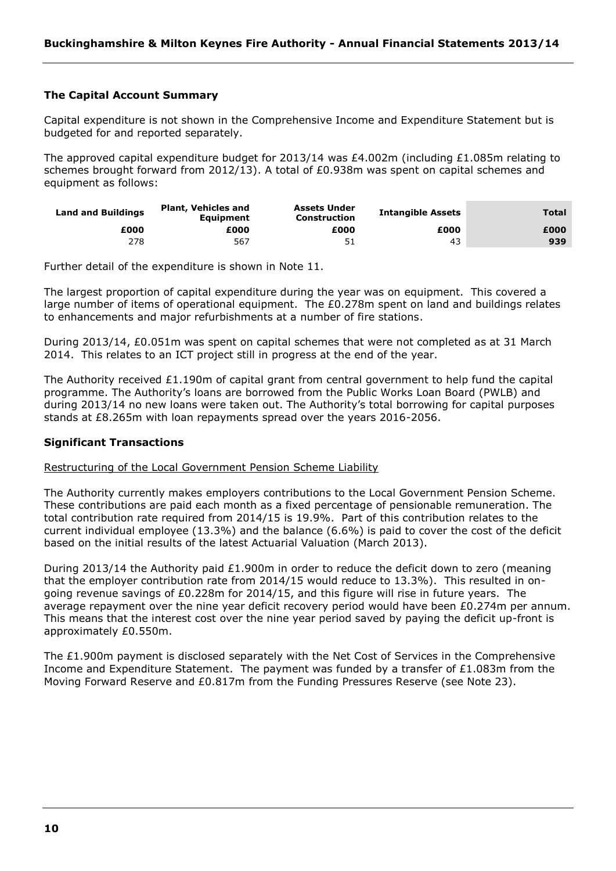# **The Capital Account Summary**

Capital expenditure is not shown in the Comprehensive Income and Expenditure Statement but is budgeted for and reported separately.

The approved capital expenditure budget for 2013/14 was £4.002m (including £1.085m relating to schemes brought forward from 2012/13). A total of £0.938m was spent on capital schemes and equipment as follows:

| <b>Land and Buildings</b> | <b>Plant, Vehicles and</b><br><b>Equipment</b> | <b>Assets Under</b><br><b>Construction</b> | <b>Intangible Assets</b> | Total |
|---------------------------|------------------------------------------------|--------------------------------------------|--------------------------|-------|
| £000                      | £000                                           | £000                                       | £000                     | £000  |
| 278                       | 567                                            |                                            | 43                       | 939   |

Further detail of the expenditure is shown in Note 11.

The largest proportion of capital expenditure during the year was on equipment. This covered a large number of items of operational equipment. The £0.278m spent on land and buildings relates to enhancements and major refurbishments at a number of fire stations.

During 2013/14, £0.051m was spent on capital schemes that were not completed as at 31 March 2014. This relates to an ICT project still in progress at the end of the year.

The Authority received  $£1.190m$  of capital grant from central government to help fund the capital programme. The Authority's loans are borrowed from the Public Works Loan Board (PWLB) and during 2013/14 no new loans were taken out. The Authority's total borrowing for capital purposes stands at £8.265m with loan repayments spread over the years 2016-2056.

#### **Significant Transactions**

Restructuring of the Local Government Pension Scheme Liability

The Authority currently makes employers contributions to the Local Government Pension Scheme. These contributions are paid each month as a fixed percentage of pensionable remuneration. The total contribution rate required from 2014/15 is 19.9%. Part of this contribution relates to the current individual employee (13.3%) and the balance (6.6%) is paid to cover the cost of the deficit based on the initial results of the latest Actuarial Valuation (March 2013).

During 2013/14 the Authority paid £1.900m in order to reduce the deficit down to zero (meaning that the employer contribution rate from 2014/15 would reduce to 13.3%). This resulted in ongoing revenue savings of £0.228m for 2014/15, and this figure will rise in future years. The average repayment over the nine year deficit recovery period would have been  $£0.274$ m per annum. This means that the interest cost over the nine year period saved by paying the deficit up-front is approximately £0.550m.

The £1.900m payment is disclosed separately with the Net Cost of Services in the Comprehensive Income and Expenditure Statement. The payment was funded by a transfer of £1.083m from the Moving Forward Reserve and £0.817m from the Funding Pressures Reserve (see Note 23).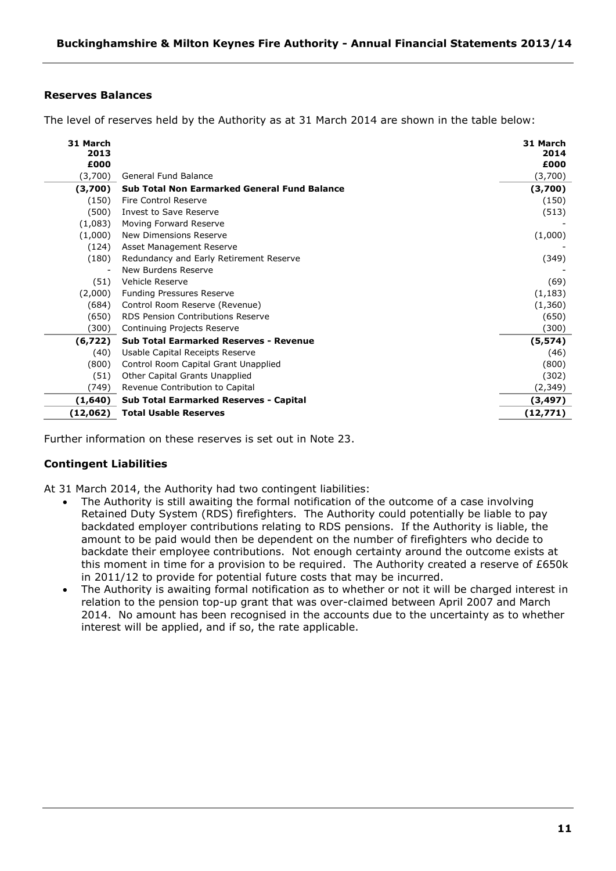# **Reserves Balances**

The level of reserves held by the Authority as at 31 March 2014 are shown in the table below:

| 31 March<br>2013 |                                                     | 31 March<br>2014<br>£000 |
|------------------|-----------------------------------------------------|--------------------------|
| £000<br>(3,700)  | General Fund Balance                                | (3,700)                  |
| (3,700)          | <b>Sub Total Non Earmarked General Fund Balance</b> | (3,700)                  |
| (150)            | Fire Control Reserve                                | (150)                    |
| (500)            | Invest to Save Reserve                              | (513)                    |
| (1,083)          | Moving Forward Reserve                              |                          |
| (1,000)          | New Dimensions Reserve                              | (1,000)                  |
| (124)            | Asset Management Reserve                            |                          |
| (180)            | Redundancy and Early Retirement Reserve             | (349)                    |
|                  | New Burdens Reserve                                 |                          |
| (51)             | Vehicle Reserve                                     | (69)                     |
| (2,000)          | <b>Funding Pressures Reserve</b>                    | (1, 183)                 |
| (684)            | Control Room Reserve (Revenue)                      | (1,360)                  |
| (650)            | <b>RDS Pension Contributions Reserve</b>            | (650)                    |
| (300)            | Continuing Projects Reserve                         | (300)                    |
| (6, 722)         | <b>Sub Total Earmarked Reserves - Revenue</b>       | (5, 574)                 |
| (40)             | Usable Capital Receipts Reserve                     | (46)                     |
| (800)            | Control Room Capital Grant Unapplied                | (800)                    |
| (51)             | Other Capital Grants Unapplied                      | (302)                    |
| (749)            | Revenue Contribution to Capital                     | (2, 349)                 |
| (1,640)          | <b>Sub Total Earmarked Reserves - Capital</b>       | (3,497)                  |
| (12,062)         | <b>Total Usable Reserves</b>                        | (12,771)                 |

Further information on these reserves is set out in Note 23.

#### **Contingent Liabilities**

At 31 March 2014, the Authority had two contingent liabilities:

- The Authority is still awaiting the formal notification of the outcome of a case involving Retained Duty System (RDS) firefighters. The Authority could potentially be liable to pay backdated employer contributions relating to RDS pensions. If the Authority is liable, the amount to be paid would then be dependent on the number of firefighters who decide to backdate their employee contributions. Not enough certainty around the outcome exists at this moment in time for a provision to be required. The Authority created a reserve of £650k in 2011/12 to provide for potential future costs that may be incurred.
- The Authority is awaiting formal notification as to whether or not it will be charged interest in relation to the pension top-up grant that was over-claimed between April 2007 and March 2014. No amount has been recognised in the accounts due to the uncertainty as to whether interest will be applied, and if so, the rate applicable.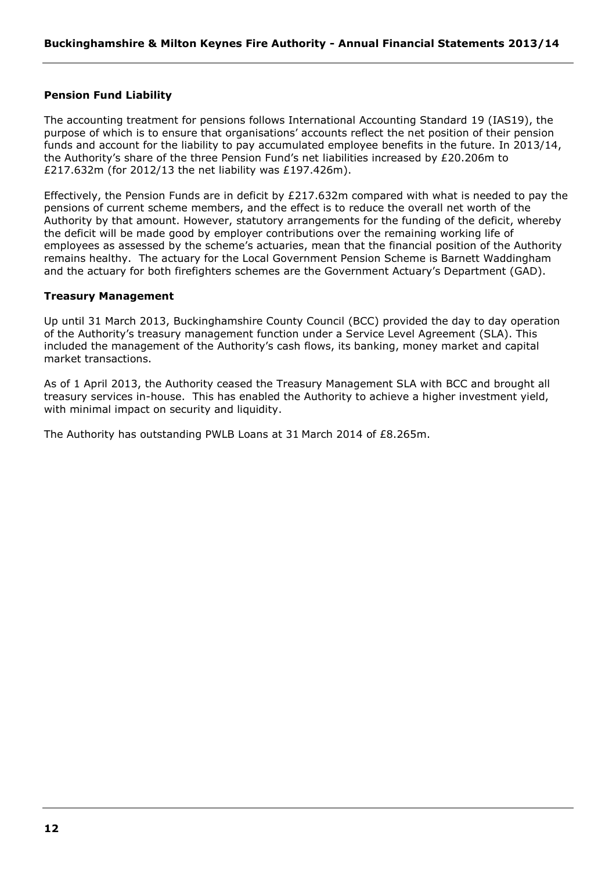# **Pension Fund Liability**

The accounting treatment for pensions follows International Accounting Standard 19 (IAS19), the purpose of which is to ensure that organisations' accounts reflect the net position of their pension funds and account for the liability to pay accumulated employee benefits in the future. In 2013/14, the Authority's share of the three Pension Fund's net liabilities increased by £20.206m to £217.632m (for 2012/13 the net liability was £197.426m).

Effectively, the Pension Funds are in deficit by £217.632m compared with what is needed to pay the pensions of current scheme members, and the effect is to reduce the overall net worth of the Authority by that amount. However, statutory arrangements for the funding of the deficit, whereby the deficit will be made good by employer contributions over the remaining working life of employees as assessed by the scheme's actuaries, mean that the financial position of the Authority remains healthy. The actuary for the Local Government Pension Scheme is Barnett Waddingham and the actuary for both firefighters schemes are the Government Actuary's Department (GAD).

#### **Treasury Management**

Up until 31 March 2013, Buckinghamshire County Council (BCC) provided the day to day operation of the Authority's treasury management function under a Service Level Agreement (SLA). This included the management of the Authority's cash flows, its banking, money market and capital market transactions.

As of 1 April 2013, the Authority ceased the Treasury Management SLA with BCC and brought all treasury services in-house. This has enabled the Authority to achieve a higher investment yield, with minimal impact on security and liquidity.

The Authority has outstanding PWLB Loans at 31 March 2014 of £8.265m.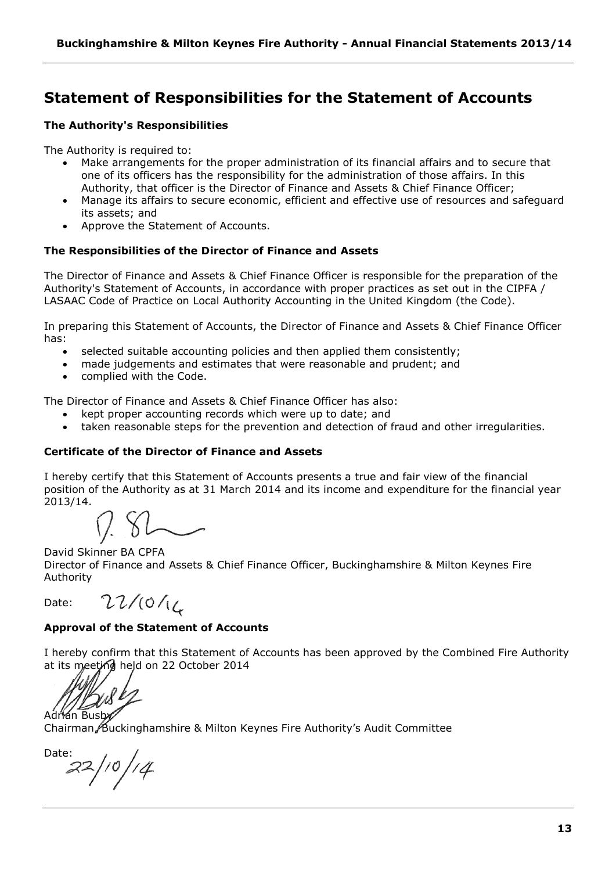# <span id="page-12-0"></span>**Statement of Responsibilities for the Statement of Accounts**

# **The Authority's Responsibilities**

The Authority is required to:

- Make arrangements for the proper administration of its financial affairs and to secure that one of its officers has the responsibility for the administration of those affairs. In this Authority, that officer is the Director of Finance and Assets & Chief Finance Officer;
- Manage its affairs to secure economic, efficient and effective use of resources and safeguard its assets; and
- Approve the Statement of Accounts.

# **The Responsibilities of the Director of Finance and Assets**

The Director of Finance and Assets & Chief Finance Officer is responsible for the preparation of the Authority's Statement of Accounts, in accordance with proper practices as set out in the CIPFA / LASAAC Code of Practice on Local Authority Accounting in the United Kingdom (the Code).

In preparing this Statement of Accounts, the Director of Finance and Assets & Chief Finance Officer has:

- selected suitable accounting policies and then applied them consistently;
- made judgements and estimates that were reasonable and prudent; and
- complied with the Code.

The Director of Finance and Assets & Chief Finance Officer has also:

- kept proper accounting records which were up to date; and
- taken reasonable steps for the prevention and detection of fraud and other irregularities.

# **Certificate of the Director of Finance and Assets**

I hereby certify that this Statement of Accounts presents a true and fair view of the financial position of the Authority as at 31 March 2014 and its income and expenditure for the financial year 2013/14.

David Skinner BA CPFA Director of Finance and Assets & Chief Finance Officer, Buckinghamshire & Milton Keynes Fire Authority

Date:

 $22/10/16$ 

# **Approval of the Statement of Accounts**

I hereby confirm that this Statement of Accounts has been approved by the Combined Fire Authority at its meeting held on 22 October 2014

Adrian Busb

Chairman/Buckinghamshire & Milton Keynes Fire Authority's Audit Committee

Date:  $22/10/14$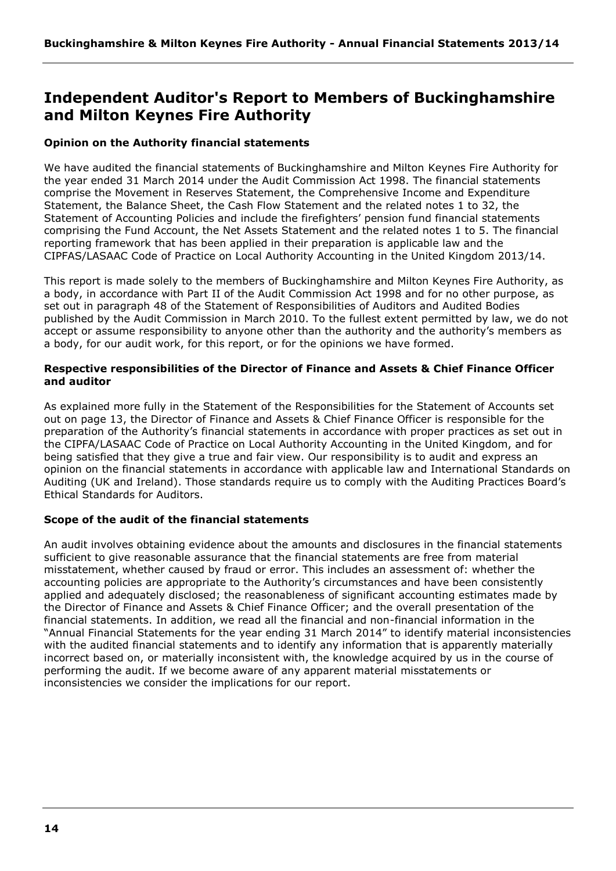# <span id="page-13-0"></span>**Independent Auditor's Report to Members of Buckinghamshire and Milton Keynes Fire Authority**

# **Opinion on the Authority financial statements**

We have audited the financial statements of Buckinghamshire and Milton Keynes Fire Authority for the year ended 31 March 2014 under the Audit Commission Act 1998. The financial statements comprise the Movement in Reserves Statement, the Comprehensive Income and Expenditure Statement, the Balance Sheet, the Cash Flow Statement and the related notes 1 to 32, the Statement of Accounting Policies and include the firefighters' pension fund financial statements comprising the Fund Account, the Net Assets Statement and the related notes 1 to 5. The financial reporting framework that has been applied in their preparation is applicable law and the CIPFAS/LASAAC Code of Practice on Local Authority Accounting in the United Kingdom 2013/14.

This report is made solely to the members of Buckinghamshire and Milton Keynes Fire Authority, as a body, in accordance with Part II of the Audit Commission Act 1998 and for no other purpose, as set out in paragraph 48 of the Statement of Responsibilities of Auditors and Audited Bodies published by the Audit Commission in March 2010. To the fullest extent permitted by law, we do not accept or assume responsibility to anyone other than the authority and the authority's members as a body, for our audit work, for this report, or for the opinions we have formed.

# **Respective responsibilities of the Director of Finance and Assets & Chief Finance Officer and auditor**

As explained more fully in the Statement of the Responsibilities for the Statement of Accounts set out on page 13, the Director of Finance and Assets & Chief Finance Officer is responsible for the preparation of the Authority's financial statements in accordance with proper practices as set out in the CIPFA/LASAAC Code of Practice on Local Authority Accounting in the United Kingdom, and for being satisfied that they give a true and fair view. Our responsibility is to audit and express an opinion on the financial statements in accordance with applicable law and International Standards on Auditing (UK and Ireland). Those standards require us to comply with the Auditing Practices Board's Ethical Standards for Auditors.

# **Scope of the audit of the financial statements**

An audit involves obtaining evidence about the amounts and disclosures in the financial statements sufficient to give reasonable assurance that the financial statements are free from material misstatement, whether caused by fraud or error. This includes an assessment of: whether the accounting policies are appropriate to the Authority's circumstances and have been consistently applied and adequately disclosed; the reasonableness of significant accounting estimates made by the Director of Finance and Assets & Chief Finance Officer; and the overall presentation of the financial statements. In addition, we read all the financial and non-financial information in the "Annual Financial Statements for the year ending 31 March 2014" to identify material inconsistencies with the audited financial statements and to identify any information that is apparently materially incorrect based on, or materially inconsistent with, the knowledge acquired by us in the course of performing the audit. If we become aware of any apparent material misstatements or inconsistencies we consider the implications for our report.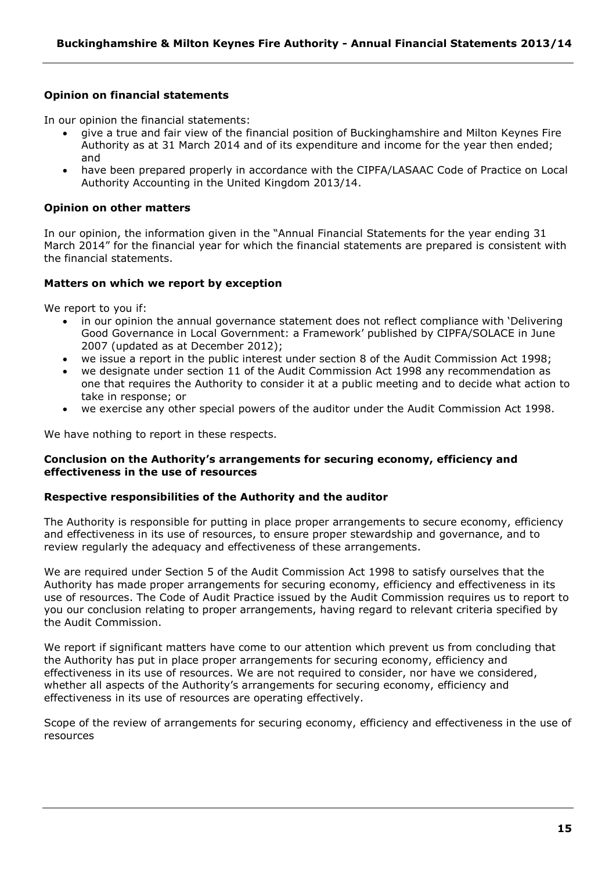# **Opinion on financial statements**

In our opinion the financial statements:

- give a true and fair view of the financial position of Buckinghamshire and Milton Keynes Fire Authority as at 31 March 2014 and of its expenditure and income for the year then ended; and
- have been prepared properly in accordance with the CIPFA/LASAAC Code of Practice on Local Authority Accounting in the United Kingdom 2013/14.

#### **Opinion on other matters**

In our opinion, the information given in the "Annual Financial Statements for the year ending 31 March 2014" for the financial year for which the financial statements are prepared is consistent with the financial statements.

#### **Matters on which we report by exception**

We report to you if:

- in our opinion the annual governance statement does not reflect compliance with 'Delivering Good Governance in Local Government: a Framework' published by CIPFA/SOLACE in June 2007 (updated as at December 2012);
- we issue a report in the public interest under section 8 of the Audit Commission Act 1998;
- we designate under section 11 of the Audit Commission Act 1998 any recommendation as one that requires the Authority to consider it at a public meeting and to decide what action to take in response; or
- we exercise any other special powers of the auditor under the Audit Commission Act 1998.

We have nothing to report in these respects.

#### **Conclusion on the Authority's arrangements for securing economy, efficiency and effectiveness in the use of resources**

## **Respective responsibilities of the Authority and the auditor**

The Authority is responsible for putting in place proper arrangements to secure economy, efficiency and effectiveness in its use of resources, to ensure proper stewardship and governance, and to review regularly the adequacy and effectiveness of these arrangements.

We are required under Section 5 of the Audit Commission Act 1998 to satisfy ourselves that the Authority has made proper arrangements for securing economy, efficiency and effectiveness in its use of resources. The Code of Audit Practice issued by the Audit Commission requires us to report to you our conclusion relating to proper arrangements, having regard to relevant criteria specified by the Audit Commission.

We report if significant matters have come to our attention which prevent us from concluding that the Authority has put in place proper arrangements for securing economy, efficiency and effectiveness in its use of resources. We are not required to consider, nor have we considered, whether all aspects of the Authority's arrangements for securing economy, efficiency and effectiveness in its use of resources are operating effectively.

Scope of the review of arrangements for securing economy, efficiency and effectiveness in the use of resources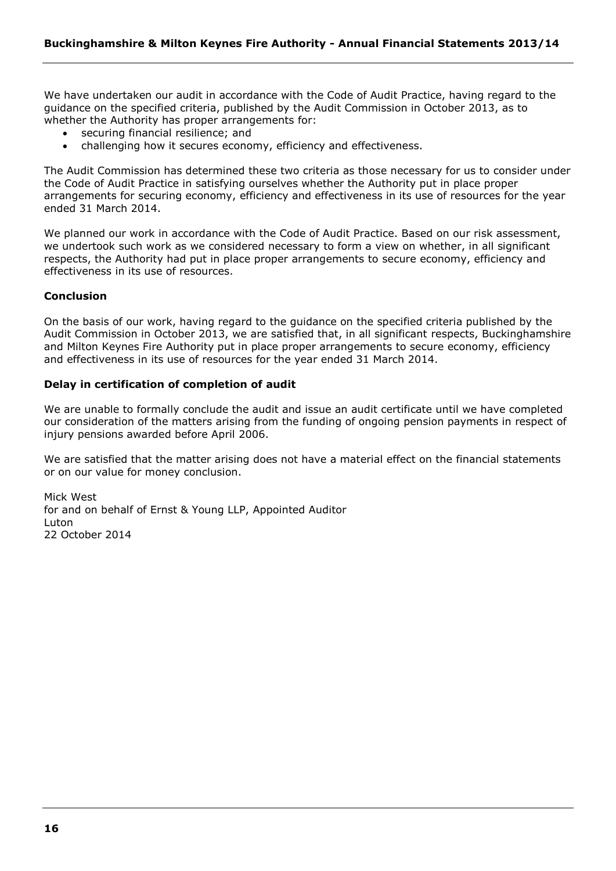We have undertaken our audit in accordance with the Code of Audit Practice, having regard to the guidance on the specified criteria, published by the Audit Commission in October 2013, as to whether the Authority has proper arrangements for:

- securing financial resilience; and
- challenging how it secures economy, efficiency and effectiveness.

The Audit Commission has determined these two criteria as those necessary for us to consider under the Code of Audit Practice in satisfying ourselves whether the Authority put in place proper arrangements for securing economy, efficiency and effectiveness in its use of resources for the year ended 31 March 2014.

We planned our work in accordance with the Code of Audit Practice. Based on our risk assessment, we undertook such work as we considered necessary to form a view on whether, in all significant respects, the Authority had put in place proper arrangements to secure economy, efficiency and effectiveness in its use of resources.

# **Conclusion**

On the basis of our work, having regard to the guidance on the specified criteria published by the Audit Commission in October 2013, we are satisfied that, in all significant respects, Buckinghamshire and Milton Keynes Fire Authority put in place proper arrangements to secure economy, efficiency and effectiveness in its use of resources for the year ended 31 March 2014.

# **Delay in certification of completion of audit**

We are unable to formally conclude the audit and issue an audit certificate until we have completed our consideration of the matters arising from the funding of ongoing pension payments in respect of injury pensions awarded before April 2006.

We are satisfied that the matter arising does not have a material effect on the financial statements or on our value for money conclusion.

Mick West for and on behalf of Ernst & Young LLP, Appointed Auditor Luton 22 October 2014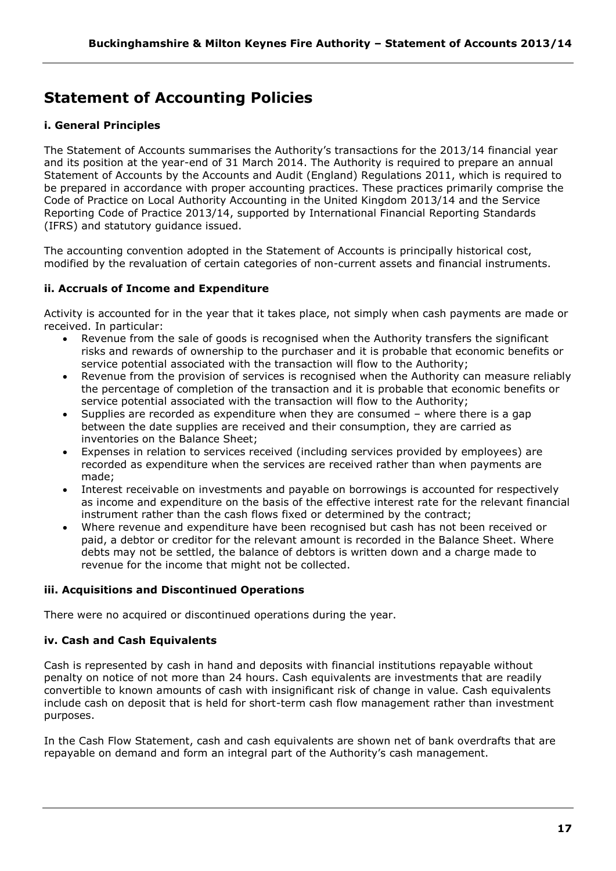# <span id="page-16-0"></span>**Statement of Accounting Policies**

# **i. General Principles**

The Statement of Accounts summarises the Authority's transactions for the 2013/14 financial year and its position at the year-end of 31 March 2014. The Authority is required to prepare an annual Statement of Accounts by the Accounts and Audit (England) Regulations 2011, which is required to be prepared in accordance with proper accounting practices. These practices primarily comprise the Code of Practice on Local Authority Accounting in the United Kingdom 2013/14 and the Service Reporting Code of Practice 2013/14, supported by International Financial Reporting Standards (IFRS) and statutory guidance issued.

The accounting convention adopted in the Statement of Accounts is principally historical cost, modified by the revaluation of certain categories of non-current assets and financial instruments.

# **ii. Accruals of Income and Expenditure**

Activity is accounted for in the year that it takes place, not simply when cash payments are made or received. In particular:

- Revenue from the sale of goods is recognised when the Authority transfers the significant risks and rewards of ownership to the purchaser and it is probable that economic benefits or service potential associated with the transaction will flow to the Authority;
- Revenue from the provision of services is recognised when the Authority can measure reliably the percentage of completion of the transaction and it is probable that economic benefits or service potential associated with the transaction will flow to the Authority;
- Supplies are recorded as expenditure when they are consumed where there is a gap between the date supplies are received and their consumption, they are carried as inventories on the Balance Sheet;
- Expenses in relation to services received (including services provided by employees) are recorded as expenditure when the services are received rather than when payments are made;
- Interest receivable on investments and payable on borrowings is accounted for respectively as income and expenditure on the basis of the effective interest rate for the relevant financial instrument rather than the cash flows fixed or determined by the contract;
- Where revenue and expenditure have been recognised but cash has not been received or paid, a debtor or creditor for the relevant amount is recorded in the Balance Sheet. Where debts may not be settled, the balance of debtors is written down and a charge made to revenue for the income that might not be collected.

# **iii. Acquisitions and Discontinued Operations**

There were no acquired or discontinued operations during the year.

# **iv. Cash and Cash Equivalents**

Cash is represented by cash in hand and deposits with financial institutions repayable without penalty on notice of not more than 24 hours. Cash equivalents are investments that are readily convertible to known amounts of cash with insignificant risk of change in value. Cash equivalents include cash on deposit that is held for short-term cash flow management rather than investment purposes.

In the Cash Flow Statement, cash and cash equivalents are shown net of bank overdrafts that are repayable on demand and form an integral part of the Authority's cash management.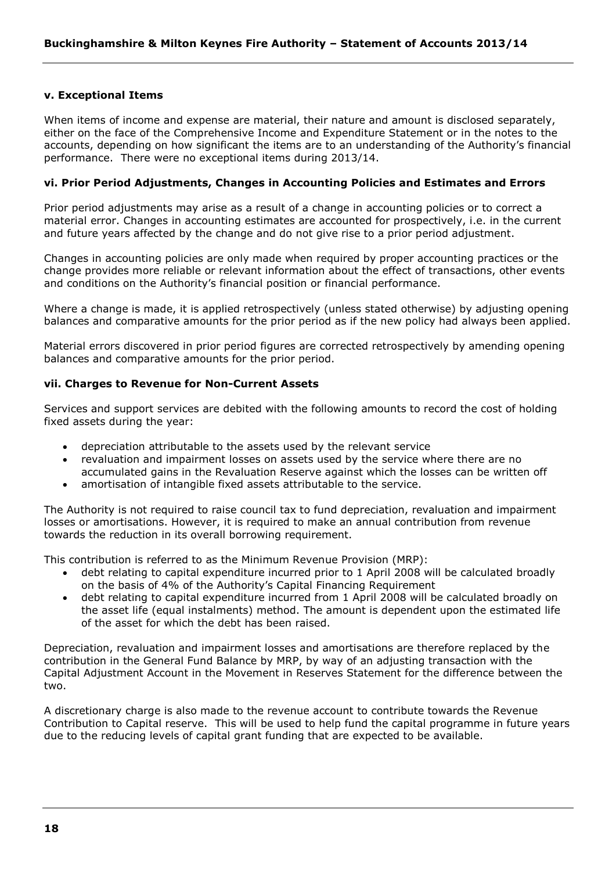# **v. Exceptional Items**

When items of income and expense are material, their nature and amount is disclosed separately, either on the face of the Comprehensive Income and Expenditure Statement or in the notes to the accounts, depending on how significant the items are to an understanding of the Authority's financial performance. There were no exceptional items during 2013/14.

## **vi. Prior Period Adjustments, Changes in Accounting Policies and Estimates and Errors**

Prior period adjustments may arise as a result of a change in accounting policies or to correct a material error. Changes in accounting estimates are accounted for prospectively, i.e. in the current and future years affected by the change and do not give rise to a prior period adjustment.

Changes in accounting policies are only made when required by proper accounting practices or the change provides more reliable or relevant information about the effect of transactions, other events and conditions on the Authority's financial position or financial performance.

Where a change is made, it is applied retrospectively (unless stated otherwise) by adjusting opening balances and comparative amounts for the prior period as if the new policy had always been applied.

Material errors discovered in prior period figures are corrected retrospectively by amending opening balances and comparative amounts for the prior period.

# **vii. Charges to Revenue for Non-Current Assets**

Services and support services are debited with the following amounts to record the cost of holding fixed assets during the year:

- depreciation attributable to the assets used by the relevant service
- revaluation and impairment losses on assets used by the service where there are no accumulated gains in the Revaluation Reserve against which the losses can be written off
- amortisation of intangible fixed assets attributable to the service.

The Authority is not required to raise council tax to fund depreciation, revaluation and impairment losses or amortisations. However, it is required to make an annual contribution from revenue towards the reduction in its overall borrowing requirement.

This contribution is referred to as the Minimum Revenue Provision (MRP):

- debt relating to capital expenditure incurred prior to 1 April 2008 will be calculated broadly on the basis of 4% of the Authority's Capital Financing Requirement
- debt relating to capital expenditure incurred from 1 April 2008 will be calculated broadly on the asset life (equal instalments) method. The amount is dependent upon the estimated life of the asset for which the debt has been raised.

Depreciation, revaluation and impairment losses and amortisations are therefore replaced by the contribution in the General Fund Balance by MRP, by way of an adjusting transaction with the Capital Adjustment Account in the Movement in Reserves Statement for the difference between the two.

A discretionary charge is also made to the revenue account to contribute towards the Revenue Contribution to Capital reserve. This will be used to help fund the capital programme in future years due to the reducing levels of capital grant funding that are expected to be available.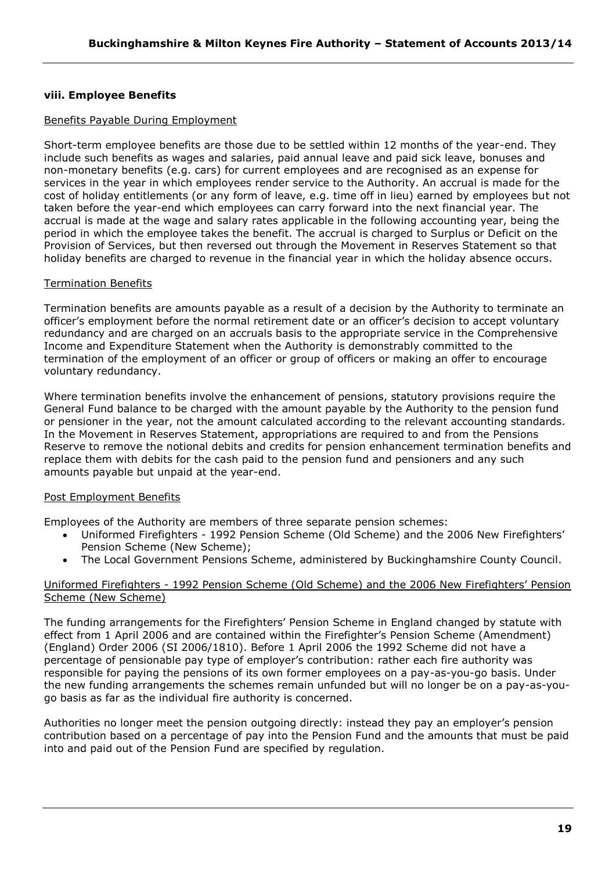# **viii. Employee Benefits**

# Benefits Payable During Employment

Short-term employee benefits are those due to be settled within 12 months of the year-end. They include such benefits as wages and salaries, paid annual leave and paid sick leave, bonuses and non-monetary benefits (e.g. cars) for current employees and are recognised as an expense for services in the year in which employees render service to the Authority. An accrual is made for the cost of holiday entitlements (or any form of leave, e.g. time off in lieu) earned by employees but not taken before the year-end which employees can carry forward into the next financial year. The accrual is made at the wage and salary rates applicable in the following accounting year, being the period in which the employee takes the benefit. The accrual is charged to Surplus or Deficit on the Provision of Services, but then reversed out through the Movement in Reserves Statement so that holiday benefits are charged to revenue in the financial year in which the holiday absence occurs.

# Termination Benefits

Termination benefits are amounts payable as a result of a decision by the Authority to terminate an officer's employment before the normal retirement date or an officer's decision to accept voluntary redundancy and are charged on an accruals basis to the appropriate service in the Comprehensive Income and Expenditure Statement when the Authority is demonstrably committed to the termination of the employment of an officer or group of officers or making an offer to encourage voluntary redundancy.

Where termination benefits involve the enhancement of pensions, statutory provisions require the General Fund balance to be charged with the amount payable by the Authority to the pension fund or pensioner in the year, not the amount calculated according to the relevant accounting standards. In the Movement in Reserves Statement, appropriations are required to and from the Pensions Reserve to remove the notional debits and credits for pension enhancement termination benefits and replace them with debits for the cash paid to the pension fund and pensioners and any such amounts payable but unpaid at the year-end.

# Post Employment Benefits

Employees of the Authority are members of three separate pension schemes:

- Uniformed Firefighters 1992 Pension Scheme (Old Scheme) and the 2006 New Firefighters' Pension Scheme (New Scheme);
- The Local Government Pensions Scheme, administered by Buckinghamshire County Council.

# Uniformed Firefighters - 1992 Pension Scheme (Old Scheme) and the 2006 New Firefighters' Pension Scheme (New Scheme)

The funding arrangements for the Firefighters' Pension Scheme in England changed by statute with effect from 1 April 2006 and are contained within the Firefighter's Pension Scheme (Amendment) (England) Order 2006 (SI 2006/1810). Before 1 April 2006 the 1992 Scheme did not have a percentage of pensionable pay type of employer's contribution: rather each fire authority was responsible for paying the pensions of its own former employees on a pay-as-you-go basis. Under the new funding arrangements the schemes remain unfunded but will no longer be on a pay-as-yougo basis as far as the individual fire authority is concerned.

Authorities no longer meet the pension outgoing directly: instead they pay an employer's pension contribution based on a percentage of pay into the Pension Fund and the amounts that must be paid into and paid out of the Pension Fund are specified by regulation.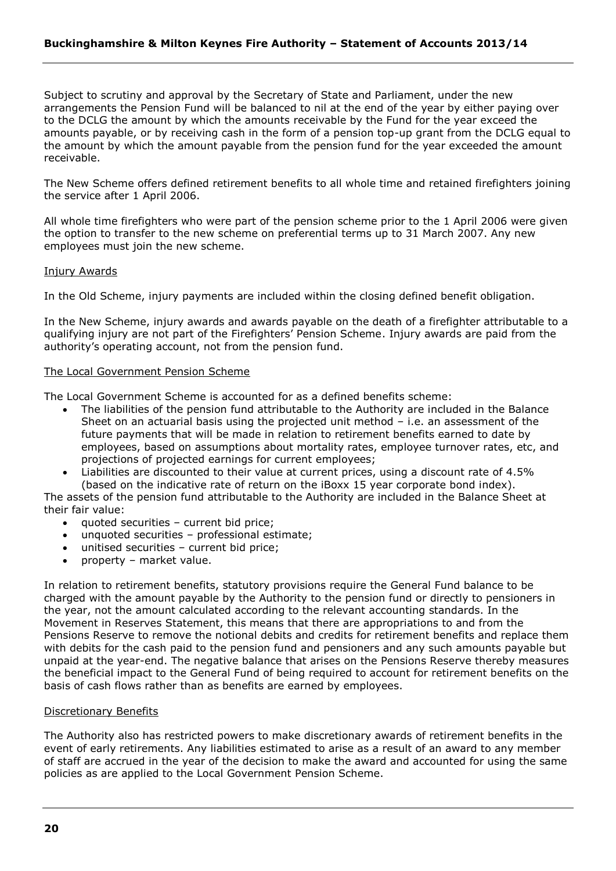Subject to scrutiny and approval by the Secretary of State and Parliament, under the new arrangements the Pension Fund will be balanced to nil at the end of the year by either paying over to the DCLG the amount by which the amounts receivable by the Fund for the year exceed the amounts payable, or by receiving cash in the form of a pension top-up grant from the DCLG equal to the amount by which the amount payable from the pension fund for the year exceeded the amount receivable.

The New Scheme offers defined retirement benefits to all whole time and retained firefighters joining the service after 1 April 2006.

All whole time firefighters who were part of the pension scheme prior to the 1 April 2006 were given the option to transfer to the new scheme on preferential terms up to 31 March 2007. Any new employees must join the new scheme.

#### Injury Awards

In the Old Scheme, injury payments are included within the closing defined benefit obligation.

In the New Scheme, injury awards and awards payable on the death of a firefighter attributable to a qualifying injury are not part of the Firefighters' Pension Scheme. Injury awards are paid from the authority's operating account, not from the pension fund.

#### The Local Government Pension Scheme

The Local Government Scheme is accounted for as a defined benefits scheme:

- The liabilities of the pension fund attributable to the Authority are included in the Balance Sheet on an actuarial basis using the projected unit method – i.e. an assessment of the future payments that will be made in relation to retirement benefits earned to date by employees, based on assumptions about mortality rates, employee turnover rates, etc, and projections of projected earnings for current employees;
- Liabilities are discounted to their value at current prices, using a discount rate of 4.5% (based on the indicative rate of return on the iBoxx 15 year corporate bond index).

The assets of the pension fund attributable to the Authority are included in the Balance Sheet at their fair value:

- quoted securities current bid price;
- unquoted securities professional estimate;
- unitised securities current bid price;
- property market value.

In relation to retirement benefits, statutory provisions require the General Fund balance to be charged with the amount payable by the Authority to the pension fund or directly to pensioners in the year, not the amount calculated according to the relevant accounting standards. In the Movement in Reserves Statement, this means that there are appropriations to and from the Pensions Reserve to remove the notional debits and credits for retirement benefits and replace them with debits for the cash paid to the pension fund and pensioners and any such amounts payable but unpaid at the year-end. The negative balance that arises on the Pensions Reserve thereby measures the beneficial impact to the General Fund of being required to account for retirement benefits on the basis of cash flows rather than as benefits are earned by employees.

#### Discretionary Benefits

The Authority also has restricted powers to make discretionary awards of retirement benefits in the event of early retirements. Any liabilities estimated to arise as a result of an award to any member of staff are accrued in the year of the decision to make the award and accounted for using the same policies as are applied to the Local Government Pension Scheme.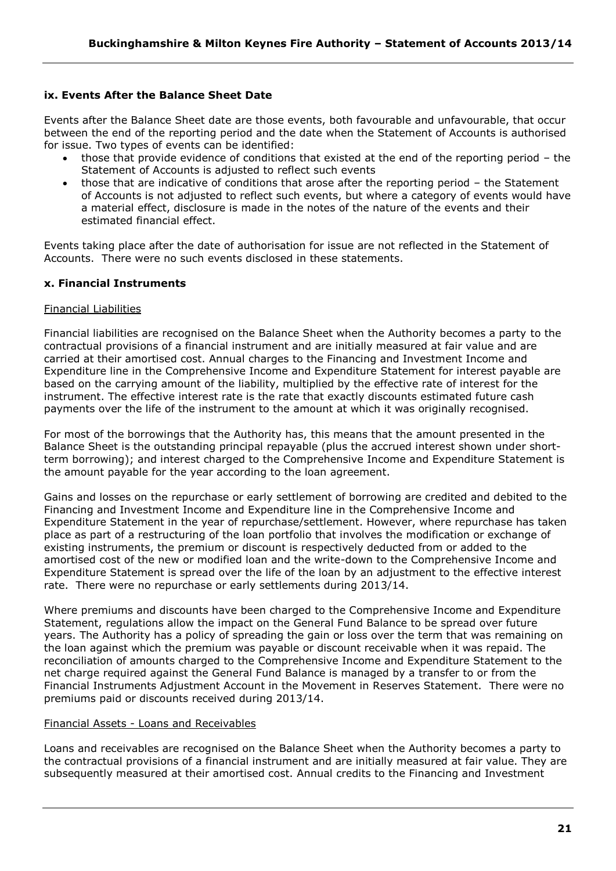# **ix. Events After the Balance Sheet Date**

Events after the Balance Sheet date are those events, both favourable and unfavourable, that occur between the end of the reporting period and the date when the Statement of Accounts is authorised for issue. Two types of events can be identified:

- those that provide evidence of conditions that existed at the end of the reporting period the Statement of Accounts is adjusted to reflect such events
- those that are indicative of conditions that arose after the reporting period the Statement of Accounts is not adjusted to reflect such events, but where a category of events would have a material effect, disclosure is made in the notes of the nature of the events and their estimated financial effect.

Events taking place after the date of authorisation for issue are not reflected in the Statement of Accounts. There were no such events disclosed in these statements.

# **x. Financial Instruments**

#### Financial Liabilities

Financial liabilities are recognised on the Balance Sheet when the Authority becomes a party to the contractual provisions of a financial instrument and are initially measured at fair value and are carried at their amortised cost. Annual charges to the Financing and Investment Income and Expenditure line in the Comprehensive Income and Expenditure Statement for interest payable are based on the carrying amount of the liability, multiplied by the effective rate of interest for the instrument. The effective interest rate is the rate that exactly discounts estimated future cash payments over the life of the instrument to the amount at which it was originally recognised.

For most of the borrowings that the Authority has, this means that the amount presented in the Balance Sheet is the outstanding principal repayable (plus the accrued interest shown under shortterm borrowing); and interest charged to the Comprehensive Income and Expenditure Statement is the amount payable for the year according to the loan agreement.

Gains and losses on the repurchase or early settlement of borrowing are credited and debited to the Financing and Investment Income and Expenditure line in the Comprehensive Income and Expenditure Statement in the year of repurchase/settlement. However, where repurchase has taken place as part of a restructuring of the loan portfolio that involves the modification or exchange of existing instruments, the premium or discount is respectively deducted from or added to the amortised cost of the new or modified loan and the write-down to the Comprehensive Income and Expenditure Statement is spread over the life of the loan by an adjustment to the effective interest rate. There were no repurchase or early settlements during 2013/14.

Where premiums and discounts have been charged to the Comprehensive Income and Expenditure Statement, regulations allow the impact on the General Fund Balance to be spread over future years. The Authority has a policy of spreading the gain or loss over the term that was remaining on the loan against which the premium was payable or discount receivable when it was repaid. The reconciliation of amounts charged to the Comprehensive Income and Expenditure Statement to the net charge required against the General Fund Balance is managed by a transfer to or from the Financial Instruments Adjustment Account in the Movement in Reserves Statement. There were no premiums paid or discounts received during 2013/14.

#### Financial Assets - Loans and Receivables

Loans and receivables are recognised on the Balance Sheet when the Authority becomes a party to the contractual provisions of a financial instrument and are initially measured at fair value. They are subsequently measured at their amortised cost. Annual credits to the Financing and Investment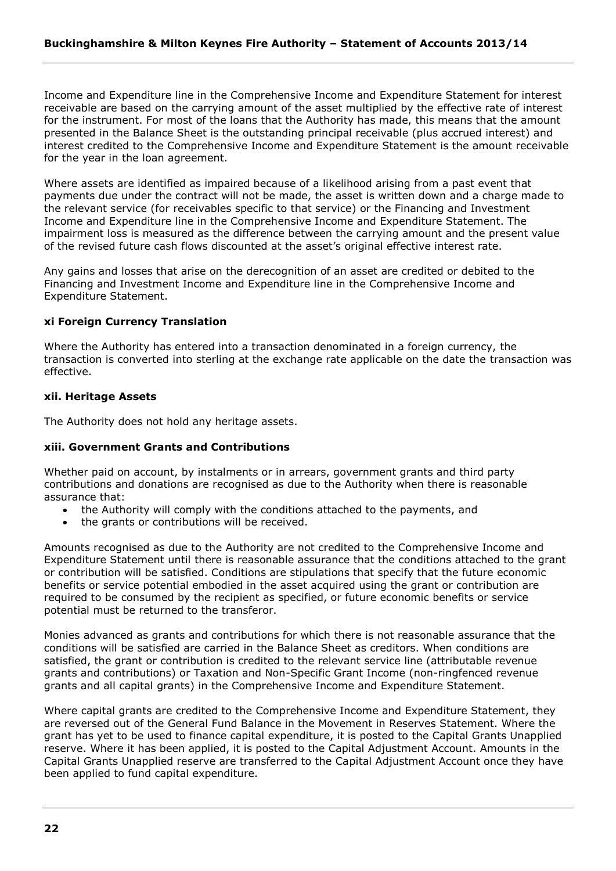Income and Expenditure line in the Comprehensive Income and Expenditure Statement for interest receivable are based on the carrying amount of the asset multiplied by the effective rate of interest for the instrument. For most of the loans that the Authority has made, this means that the amount presented in the Balance Sheet is the outstanding principal receivable (plus accrued interest) and interest credited to the Comprehensive Income and Expenditure Statement is the amount receivable for the year in the loan agreement.

Where assets are identified as impaired because of a likelihood arising from a past event that payments due under the contract will not be made, the asset is written down and a charge made to the relevant service (for receivables specific to that service) or the Financing and Investment Income and Expenditure line in the Comprehensive Income and Expenditure Statement. The impairment loss is measured as the difference between the carrying amount and the present value of the revised future cash flows discounted at the asset's original effective interest rate.

Any gains and losses that arise on the derecognition of an asset are credited or debited to the Financing and Investment Income and Expenditure line in the Comprehensive Income and Expenditure Statement.

# **xi Foreign Currency Translation**

Where the Authority has entered into a transaction denominated in a foreign currency, the transaction is converted into sterling at the exchange rate applicable on the date the transaction was effective.

# **xii. Heritage Assets**

The Authority does not hold any heritage assets.

# **xiii. Government Grants and Contributions**

Whether paid on account, by instalments or in arrears, government grants and third party contributions and donations are recognised as due to the Authority when there is reasonable assurance that:

- the Authority will comply with the conditions attached to the payments, and
- the grants or contributions will be received.

Amounts recognised as due to the Authority are not credited to the Comprehensive Income and Expenditure Statement until there is reasonable assurance that the conditions attached to the grant or contribution will be satisfied. Conditions are stipulations that specify that the future economic benefits or service potential embodied in the asset acquired using the grant or contribution are required to be consumed by the recipient as specified, or future economic benefits or service potential must be returned to the transferor.

Monies advanced as grants and contributions for which there is not reasonable assurance that the conditions will be satisfied are carried in the Balance Sheet as creditors. When conditions are satisfied, the grant or contribution is credited to the relevant service line (attributable revenue grants and contributions) or Taxation and Non-Specific Grant Income (non-ringfenced revenue grants and all capital grants) in the Comprehensive Income and Expenditure Statement.

Where capital grants are credited to the Comprehensive Income and Expenditure Statement, they are reversed out of the General Fund Balance in the Movement in Reserves Statement. Where the grant has yet to be used to finance capital expenditure, it is posted to the Capital Grants Unapplied reserve. Where it has been applied, it is posted to the Capital Adjustment Account. Amounts in the Capital Grants Unapplied reserve are transferred to the Capital Adjustment Account once they have been applied to fund capital expenditure.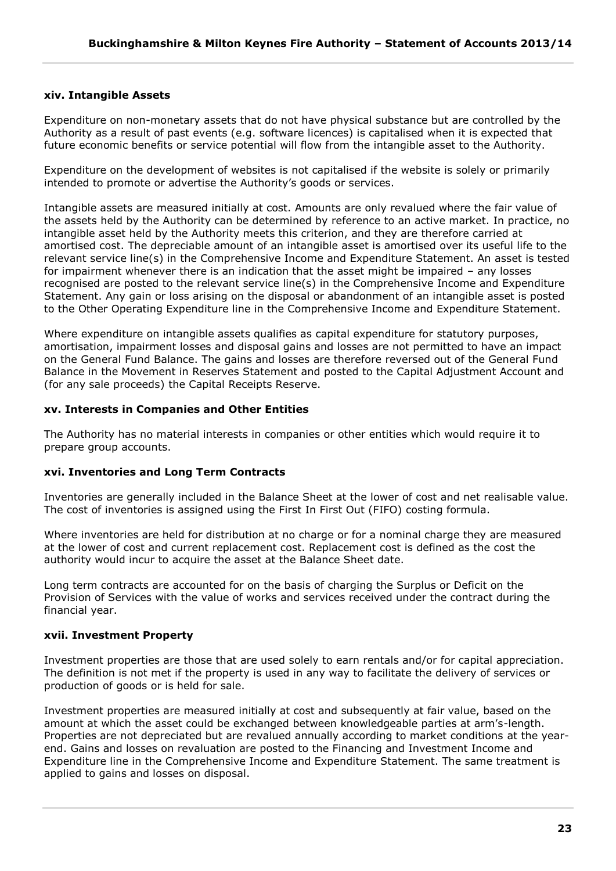# **xiv. Intangible Assets**

Expenditure on non-monetary assets that do not have physical substance but are controlled by the Authority as a result of past events (e.g. software licences) is capitalised when it is expected that future economic benefits or service potential will flow from the intangible asset to the Authority.

Expenditure on the development of websites is not capitalised if the website is solely or primarily intended to promote or advertise the Authority's goods or services.

Intangible assets are measured initially at cost. Amounts are only revalued where the fair value of the assets held by the Authority can be determined by reference to an active market. In practice, no intangible asset held by the Authority meets this criterion, and they are therefore carried at amortised cost. The depreciable amount of an intangible asset is amortised over its useful life to the relevant service line(s) in the Comprehensive Income and Expenditure Statement. An asset is tested for impairment whenever there is an indication that the asset might be impaired – any losses recognised are posted to the relevant service line(s) in the Comprehensive Income and Expenditure Statement. Any gain or loss arising on the disposal or abandonment of an intangible asset is posted to the Other Operating Expenditure line in the Comprehensive Income and Expenditure Statement.

Where expenditure on intangible assets qualifies as capital expenditure for statutory purposes, amortisation, impairment losses and disposal gains and losses are not permitted to have an impact on the General Fund Balance. The gains and losses are therefore reversed out of the General Fund Balance in the Movement in Reserves Statement and posted to the Capital Adjustment Account and (for any sale proceeds) the Capital Receipts Reserve.

#### **xv. Interests in Companies and Other Entities**

The Authority has no material interests in companies or other entities which would require it to prepare group accounts.

#### **xvi. Inventories and Long Term Contracts**

Inventories are generally included in the Balance Sheet at the lower of cost and net realisable value. The cost of inventories is assigned using the First In First Out (FIFO) costing formula.

Where inventories are held for distribution at no charge or for a nominal charge they are measured at the lower of cost and current replacement cost. Replacement cost is defined as the cost the authority would incur to acquire the asset at the Balance Sheet date.

Long term contracts are accounted for on the basis of charging the Surplus or Deficit on the Provision of Services with the value of works and services received under the contract during the financial year.

#### **xvii. Investment Property**

Investment properties are those that are used solely to earn rentals and/or for capital appreciation. The definition is not met if the property is used in any way to facilitate the delivery of services or production of goods or is held for sale.

Investment properties are measured initially at cost and subsequently at fair value, based on the amount at which the asset could be exchanged between knowledgeable parties at arm's-length. Properties are not depreciated but are revalued annually according to market conditions at the yearend. Gains and losses on revaluation are posted to the Financing and Investment Income and Expenditure line in the Comprehensive Income and Expenditure Statement. The same treatment is applied to gains and losses on disposal.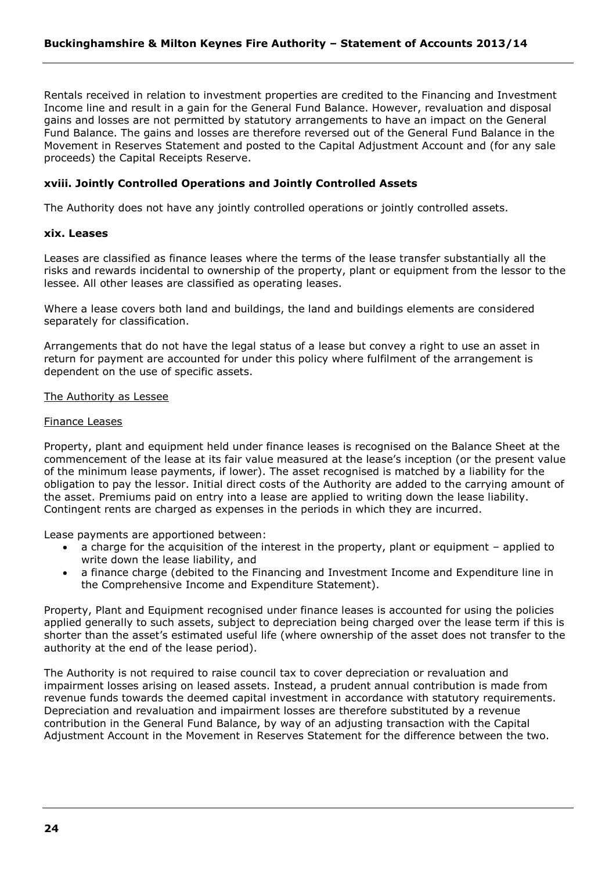Rentals received in relation to investment properties are credited to the Financing and Investment Income line and result in a gain for the General Fund Balance. However, revaluation and disposal gains and losses are not permitted by statutory arrangements to have an impact on the General Fund Balance. The gains and losses are therefore reversed out of the General Fund Balance in the Movement in Reserves Statement and posted to the Capital Adjustment Account and (for any sale proceeds) the Capital Receipts Reserve.

## **xviii. Jointly Controlled Operations and Jointly Controlled Assets**

The Authority does not have any jointly controlled operations or jointly controlled assets.

#### **xix. Leases**

Leases are classified as finance leases where the terms of the lease transfer substantially all the risks and rewards incidental to ownership of the property, plant or equipment from the lessor to the lessee. All other leases are classified as operating leases.

Where a lease covers both land and buildings, the land and buildings elements are considered separately for classification.

Arrangements that do not have the legal status of a lease but convey a right to use an asset in return for payment are accounted for under this policy where fulfilment of the arrangement is dependent on the use of specific assets.

#### The Authority as Lessee

#### Finance Leases

Property, plant and equipment held under finance leases is recognised on the Balance Sheet at the commencement of the lease at its fair value measured at the lease's inception (or the present value of the minimum lease payments, if lower). The asset recognised is matched by a liability for the obligation to pay the lessor. Initial direct costs of the Authority are added to the carrying amount of the asset. Premiums paid on entry into a lease are applied to writing down the lease liability. Contingent rents are charged as expenses in the periods in which they are incurred.

Lease payments are apportioned between:

- a charge for the acquisition of the interest in the property, plant or equipment applied to write down the lease liability, and
- a finance charge (debited to the Financing and Investment Income and Expenditure line in the Comprehensive Income and Expenditure Statement).

Property, Plant and Equipment recognised under finance leases is accounted for using the policies applied generally to such assets, subject to depreciation being charged over the lease term if this is shorter than the asset's estimated useful life (where ownership of the asset does not transfer to the authority at the end of the lease period).

The Authority is not required to raise council tax to cover depreciation or revaluation and impairment losses arising on leased assets. Instead, a prudent annual contribution is made from revenue funds towards the deemed capital investment in accordance with statutory requirements. Depreciation and revaluation and impairment losses are therefore substituted by a revenue contribution in the General Fund Balance, by way of an adjusting transaction with the Capital Adjustment Account in the Movement in Reserves Statement for the difference between the two.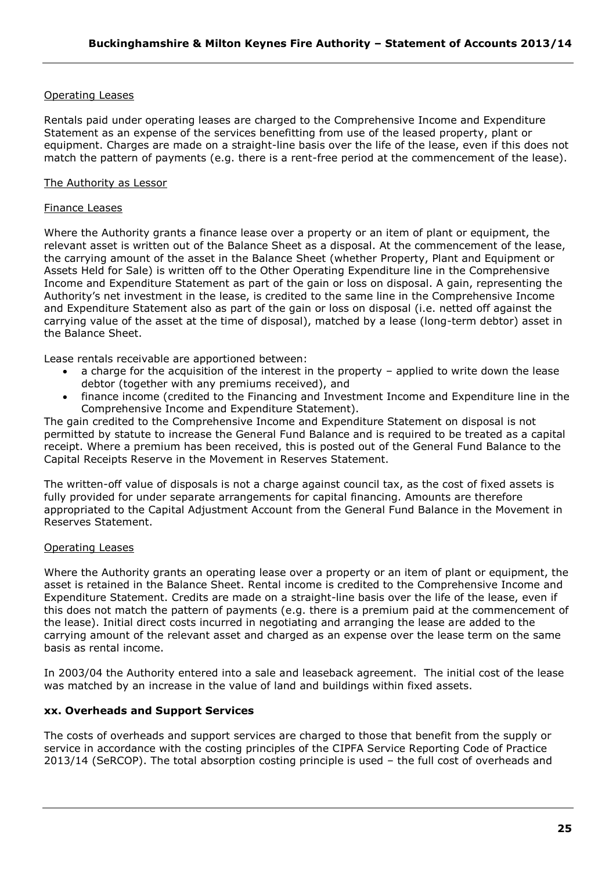# Operating Leases

Rentals paid under operating leases are charged to the Comprehensive Income and Expenditure Statement as an expense of the services benefitting from use of the leased property, plant or equipment. Charges are made on a straight-line basis over the life of the lease, even if this does not match the pattern of payments (e.g. there is a rent-free period at the commencement of the lease).

# The Authority as Lessor

## Finance Leases

Where the Authority grants a finance lease over a property or an item of plant or equipment, the relevant asset is written out of the Balance Sheet as a disposal. At the commencement of the lease, the carrying amount of the asset in the Balance Sheet (whether Property, Plant and Equipment or Assets Held for Sale) is written off to the Other Operating Expenditure line in the Comprehensive Income and Expenditure Statement as part of the gain or loss on disposal. A gain, representing the Authority's net investment in the lease, is credited to the same line in the Comprehensive Income and Expenditure Statement also as part of the gain or loss on disposal (i.e. netted off against the carrying value of the asset at the time of disposal), matched by a lease (long-term debtor) asset in the Balance Sheet.

Lease rentals receivable are apportioned between:

- a charge for the acquisition of the interest in the property applied to write down the lease debtor (together with any premiums received), and
- finance income (credited to the Financing and Investment Income and Expenditure line in the Comprehensive Income and Expenditure Statement).

The gain credited to the Comprehensive Income and Expenditure Statement on disposal is not permitted by statute to increase the General Fund Balance and is required to be treated as a capital receipt. Where a premium has been received, this is posted out of the General Fund Balance to the Capital Receipts Reserve in the Movement in Reserves Statement.

The written-off value of disposals is not a charge against council tax, as the cost of fixed assets is fully provided for under separate arrangements for capital financing. Amounts are therefore appropriated to the Capital Adjustment Account from the General Fund Balance in the Movement in Reserves Statement.

#### Operating Leases

Where the Authority grants an operating lease over a property or an item of plant or equipment, the asset is retained in the Balance Sheet. Rental income is credited to the Comprehensive Income and Expenditure Statement. Credits are made on a straight-line basis over the life of the lease, even if this does not match the pattern of payments (e.g. there is a premium paid at the commencement of the lease). Initial direct costs incurred in negotiating and arranging the lease are added to the carrying amount of the relevant asset and charged as an expense over the lease term on the same basis as rental income.

In 2003/04 the Authority entered into a sale and leaseback agreement. The initial cost of the lease was matched by an increase in the value of land and buildings within fixed assets.

# **xx. Overheads and Support Services**

The costs of overheads and support services are charged to those that benefit from the supply or service in accordance with the costing principles of the CIPFA Service Reporting Code of Practice 2013/14 (SeRCOP). The total absorption costing principle is used – the full cost of overheads and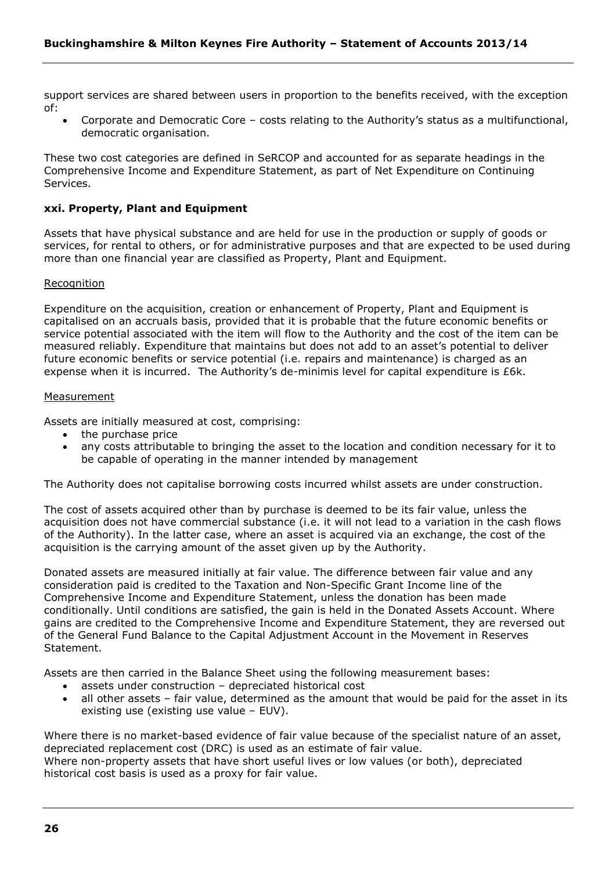support services are shared between users in proportion to the benefits received, with the exception of:

 Corporate and Democratic Core – costs relating to the Authority's status as a multifunctional, democratic organisation.

These two cost categories are defined in SeRCOP and accounted for as separate headings in the Comprehensive Income and Expenditure Statement, as part of Net Expenditure on Continuing Services.

# **xxi. Property, Plant and Equipment**

Assets that have physical substance and are held for use in the production or supply of goods or services, for rental to others, or for administrative purposes and that are expected to be used during more than one financial year are classified as Property, Plant and Equipment.

#### Recognition

Expenditure on the acquisition, creation or enhancement of Property, Plant and Equipment is capitalised on an accruals basis, provided that it is probable that the future economic benefits or service potential associated with the item will flow to the Authority and the cost of the item can be measured reliably. Expenditure that maintains but does not add to an asset's potential to deliver future economic benefits or service potential (i.e. repairs and maintenance) is charged as an expense when it is incurred. The Authority's de-minimis level for capital expenditure is £6k.

#### Measurement

Assets are initially measured at cost, comprising:

- the purchase price
- any costs attributable to bringing the asset to the location and condition necessary for it to be capable of operating in the manner intended by management

The Authority does not capitalise borrowing costs incurred whilst assets are under construction.

The cost of assets acquired other than by purchase is deemed to be its fair value, unless the acquisition does not have commercial substance (i.e. it will not lead to a variation in the cash flows of the Authority). In the latter case, where an asset is acquired via an exchange, the cost of the acquisition is the carrying amount of the asset given up by the Authority.

Donated assets are measured initially at fair value. The difference between fair value and any consideration paid is credited to the Taxation and Non-Specific Grant Income line of the Comprehensive Income and Expenditure Statement, unless the donation has been made conditionally. Until conditions are satisfied, the gain is held in the Donated Assets Account. Where gains are credited to the Comprehensive Income and Expenditure Statement, they are reversed out of the General Fund Balance to the Capital Adjustment Account in the Movement in Reserves Statement.

Assets are then carried in the Balance Sheet using the following measurement bases:

- assets under construction depreciated historical cost
- all other assets fair value, determined as the amount that would be paid for the asset in its existing use (existing use value – EUV).

Where there is no market-based evidence of fair value because of the specialist nature of an asset, depreciated replacement cost (DRC) is used as an estimate of fair value. Where non-property assets that have short useful lives or low values (or both), depreciated historical cost basis is used as a proxy for fair value.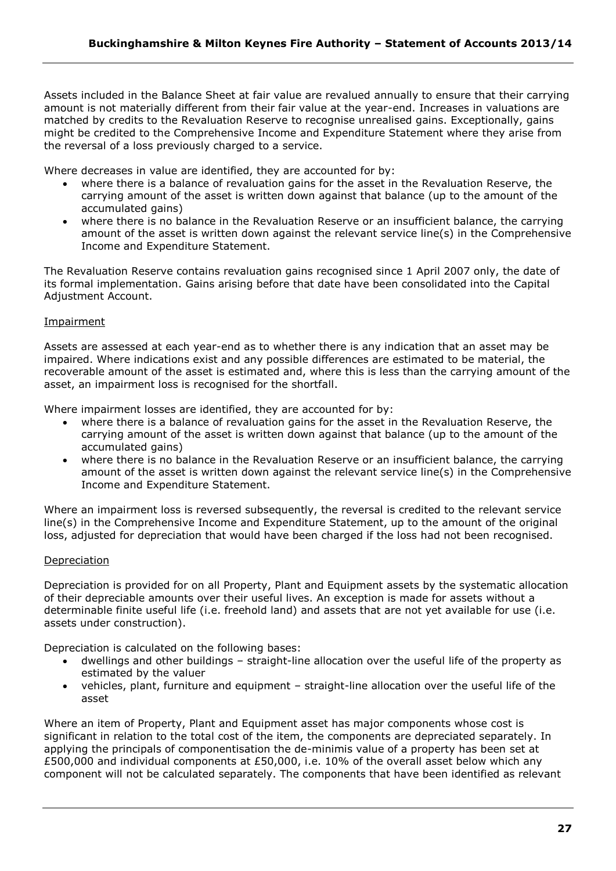Assets included in the Balance Sheet at fair value are revalued annually to ensure that their carrying amount is not materially different from their fair value at the year-end. Increases in valuations are matched by credits to the Revaluation Reserve to recognise unrealised gains. Exceptionally, gains might be credited to the Comprehensive Income and Expenditure Statement where they arise from the reversal of a loss previously charged to a service.

Where decreases in value are identified, they are accounted for by:

- where there is a balance of revaluation gains for the asset in the Revaluation Reserve, the carrying amount of the asset is written down against that balance (up to the amount of the accumulated gains)
- where there is no balance in the Revaluation Reserve or an insufficient balance, the carrying amount of the asset is written down against the relevant service line(s) in the Comprehensive Income and Expenditure Statement.

The Revaluation Reserve contains revaluation gains recognised since 1 April 2007 only, the date of its formal implementation. Gains arising before that date have been consolidated into the Capital Adjustment Account.

# Impairment

Assets are assessed at each year-end as to whether there is any indication that an asset may be impaired. Where indications exist and any possible differences are estimated to be material, the recoverable amount of the asset is estimated and, where this is less than the carrying amount of the asset, an impairment loss is recognised for the shortfall.

Where impairment losses are identified, they are accounted for by:

- where there is a balance of revaluation gains for the asset in the Revaluation Reserve, the carrying amount of the asset is written down against that balance (up to the amount of the accumulated gains)
- where there is no balance in the Revaluation Reserve or an insufficient balance, the carrying amount of the asset is written down against the relevant service line(s) in the Comprehensive Income and Expenditure Statement.

Where an impairment loss is reversed subsequently, the reversal is credited to the relevant service line(s) in the Comprehensive Income and Expenditure Statement, up to the amount of the original loss, adjusted for depreciation that would have been charged if the loss had not been recognised.

# Depreciation

Depreciation is provided for on all Property, Plant and Equipment assets by the systematic allocation of their depreciable amounts over their useful lives. An exception is made for assets without a determinable finite useful life (i.e. freehold land) and assets that are not yet available for use (i.e. assets under construction).

Depreciation is calculated on the following bases:

- dwellings and other buildings straight-line allocation over the useful life of the property as estimated by the valuer
- vehicles, plant, furniture and equipment straight-line allocation over the useful life of the asset

Where an item of Property, Plant and Equipment asset has major components whose cost is significant in relation to the total cost of the item, the components are depreciated separately. In applying the principals of componentisation the de-minimis value of a property has been set at £500,000 and individual components at £50,000, i.e. 10% of the overall asset below which any component will not be calculated separately. The components that have been identified as relevant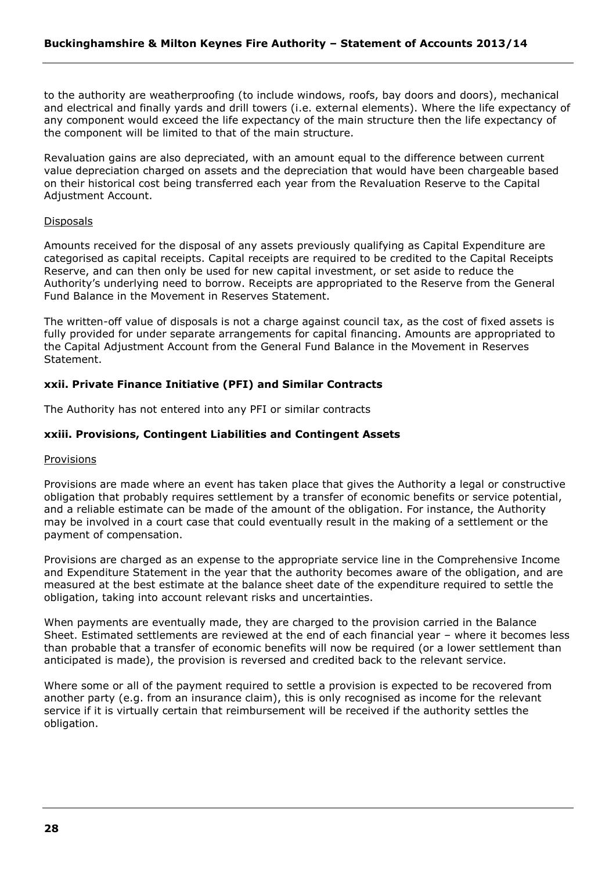to the authority are weatherproofing (to include windows, roofs, bay doors and doors), mechanical and electrical and finally yards and drill towers (i.e. external elements). Where the life expectancy of any component would exceed the life expectancy of the main structure then the life expectancy of the component will be limited to that of the main structure.

Revaluation gains are also depreciated, with an amount equal to the difference between current value depreciation charged on assets and the depreciation that would have been chargeable based on their historical cost being transferred each year from the Revaluation Reserve to the Capital Adjustment Account.

#### Disposals

Amounts received for the disposal of any assets previously qualifying as Capital Expenditure are categorised as capital receipts. Capital receipts are required to be credited to the Capital Receipts Reserve, and can then only be used for new capital investment, or set aside to reduce the Authority's underlying need to borrow. Receipts are appropriated to the Reserve from the General Fund Balance in the Movement in Reserves Statement.

The written-off value of disposals is not a charge against council tax, as the cost of fixed assets is fully provided for under separate arrangements for capital financing. Amounts are appropriated to the Capital Adjustment Account from the General Fund Balance in the Movement in Reserves Statement.

# **xxii. Private Finance Initiative (PFI) and Similar Contracts**

The Authority has not entered into any PFI or similar contracts

# **xxiii. Provisions, Contingent Liabilities and Contingent Assets**

#### Provisions

Provisions are made where an event has taken place that gives the Authority a legal or constructive obligation that probably requires settlement by a transfer of economic benefits or service potential, and a reliable estimate can be made of the amount of the obligation. For instance, the Authority may be involved in a court case that could eventually result in the making of a settlement or the payment of compensation.

Provisions are charged as an expense to the appropriate service line in the Comprehensive Income and Expenditure Statement in the year that the authority becomes aware of the obligation, and are measured at the best estimate at the balance sheet date of the expenditure required to settle the obligation, taking into account relevant risks and uncertainties.

When payments are eventually made, they are charged to the provision carried in the Balance Sheet. Estimated settlements are reviewed at the end of each financial year – where it becomes less than probable that a transfer of economic benefits will now be required (or a lower settlement than anticipated is made), the provision is reversed and credited back to the relevant service.

Where some or all of the payment required to settle a provision is expected to be recovered from another party (e.g. from an insurance claim), this is only recognised as income for the relevant service if it is virtually certain that reimbursement will be received if the authority settles the obligation.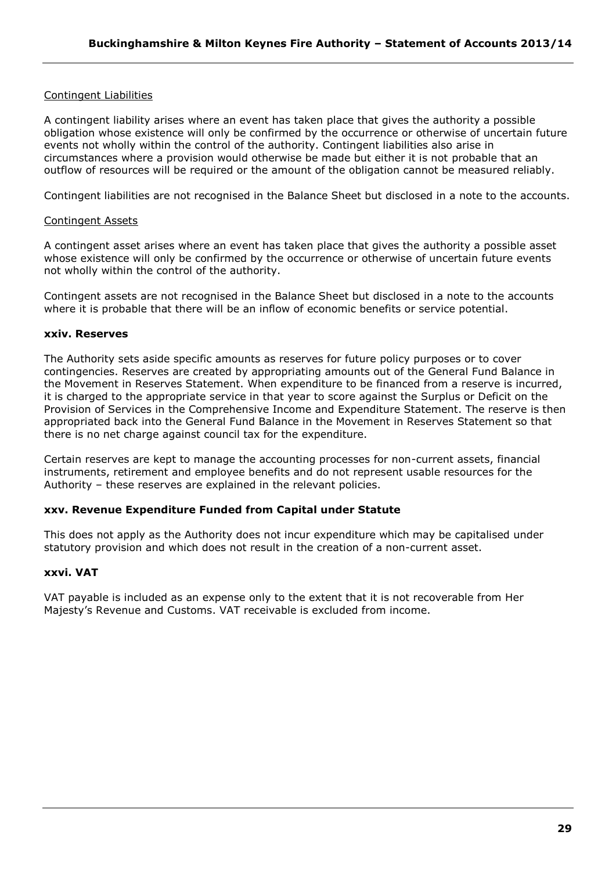# Contingent Liabilities

A contingent liability arises where an event has taken place that gives the authority a possible obligation whose existence will only be confirmed by the occurrence or otherwise of uncertain future events not wholly within the control of the authority. Contingent liabilities also arise in circumstances where a provision would otherwise be made but either it is not probable that an outflow of resources will be required or the amount of the obligation cannot be measured reliably.

Contingent liabilities are not recognised in the Balance Sheet but disclosed in a note to the accounts.

# Contingent Assets

A contingent asset arises where an event has taken place that gives the authority a possible asset whose existence will only be confirmed by the occurrence or otherwise of uncertain future events not wholly within the control of the authority.

Contingent assets are not recognised in the Balance Sheet but disclosed in a note to the accounts where it is probable that there will be an inflow of economic benefits or service potential.

# **xxiv. Reserves**

The Authority sets aside specific amounts as reserves for future policy purposes or to cover contingencies. Reserves are created by appropriating amounts out of the General Fund Balance in the Movement in Reserves Statement. When expenditure to be financed from a reserve is incurred, it is charged to the appropriate service in that year to score against the Surplus or Deficit on the Provision of Services in the Comprehensive Income and Expenditure Statement. The reserve is then appropriated back into the General Fund Balance in the Movement in Reserves Statement so that there is no net charge against council tax for the expenditure.

Certain reserves are kept to manage the accounting processes for non-current assets, financial instruments, retirement and employee benefits and do not represent usable resources for the Authority – these reserves are explained in the relevant policies.

## **xxv. Revenue Expenditure Funded from Capital under Statute**

This does not apply as the Authority does not incur expenditure which may be capitalised under statutory provision and which does not result in the creation of a non-current asset.

#### **xxvi. VAT**

VAT payable is included as an expense only to the extent that it is not recoverable from Her Majesty's Revenue and Customs. VAT receivable is excluded from income.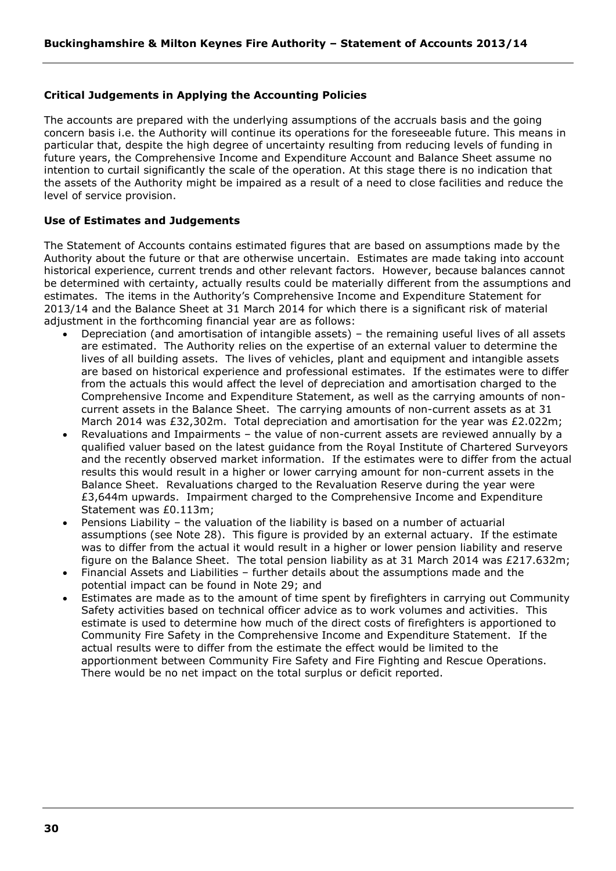# **Critical Judgements in Applying the Accounting Policies**

The accounts are prepared with the underlying assumptions of the accruals basis and the going concern basis i.e. the Authority will continue its operations for the foreseeable future. This means in particular that, despite the high degree of uncertainty resulting from reducing levels of funding in future years, the Comprehensive Income and Expenditure Account and Balance Sheet assume no intention to curtail significantly the scale of the operation. At this stage there is no indication that the assets of the Authority might be impaired as a result of a need to close facilities and reduce the level of service provision.

# **Use of Estimates and Judgements**

The Statement of Accounts contains estimated figures that are based on assumptions made by the Authority about the future or that are otherwise uncertain. Estimates are made taking into account historical experience, current trends and other relevant factors. However, because balances cannot be determined with certainty, actually results could be materially different from the assumptions and estimates. The items in the Authority's Comprehensive Income and Expenditure Statement for 2013/14 and the Balance Sheet at 31 March 2014 for which there is a significant risk of material adjustment in the forthcoming financial year are as follows:

- Depreciation (and amortisation of intangible assets) the remaining useful lives of all assets are estimated. The Authority relies on the expertise of an external valuer to determine the lives of all building assets. The lives of vehicles, plant and equipment and intangible assets are based on historical experience and professional estimates. If the estimates were to differ from the actuals this would affect the level of depreciation and amortisation charged to the Comprehensive Income and Expenditure Statement, as well as the carrying amounts of noncurrent assets in the Balance Sheet. The carrying amounts of non-current assets as at 31 March 2014 was £32,302m. Total depreciation and amortisation for the year was £2.022m;
- Revaluations and Impairments the value of non-current assets are reviewed annually by a qualified valuer based on the latest guidance from the Royal Institute of Chartered Surveyors and the recently observed market information. If the estimates were to differ from the actual results this would result in a higher or lower carrying amount for non-current assets in the Balance Sheet. Revaluations charged to the Revaluation Reserve during the year were £3,644m upwards. Impairment charged to the Comprehensive Income and Expenditure Statement was £0.113m;
- Pensions Liability the valuation of the liability is based on a number of actuarial assumptions (see Note 28). This figure is provided by an external actuary. If the estimate was to differ from the actual it would result in a higher or lower pension liability and reserve figure on the Balance Sheet. The total pension liability as at 31 March 2014 was £217.632m;
- Financial Assets and Liabilities further details about the assumptions made and the potential impact can be found in Note 29; and
- Estimates are made as to the amount of time spent by firefighters in carrying out Community Safety activities based on technical officer advice as to work volumes and activities. This estimate is used to determine how much of the direct costs of firefighters is apportioned to Community Fire Safety in the Comprehensive Income and Expenditure Statement. If the actual results were to differ from the estimate the effect would be limited to the apportionment between Community Fire Safety and Fire Fighting and Rescue Operations. There would be no net impact on the total surplus or deficit reported.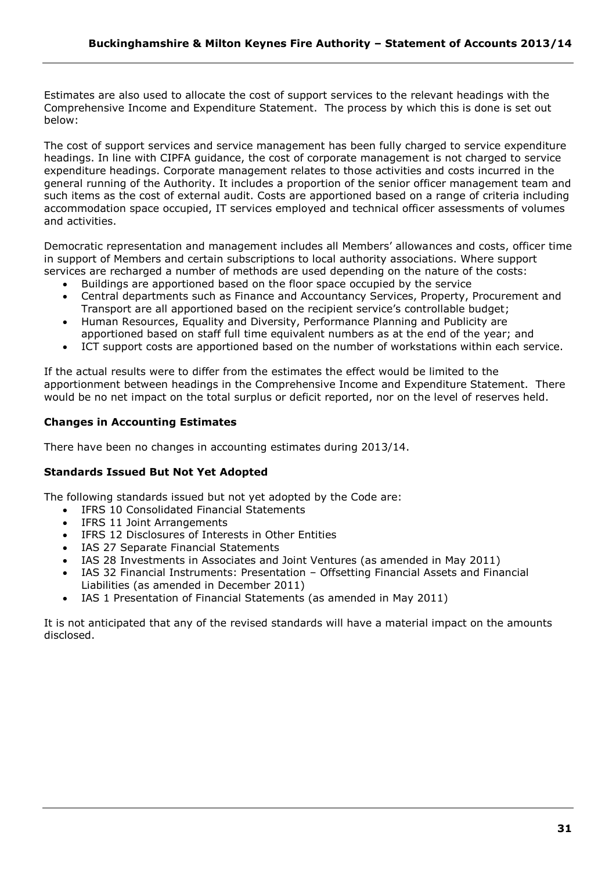Estimates are also used to allocate the cost of support services to the relevant headings with the Comprehensive Income and Expenditure Statement. The process by which this is done is set out below:

The cost of support services and service management has been fully charged to service expenditure headings. In line with CIPFA guidance, the cost of corporate management is not charged to service expenditure headings. Corporate management relates to those activities and costs incurred in the general running of the Authority. It includes a proportion of the senior officer management team and such items as the cost of external audit. Costs are apportioned based on a range of criteria including accommodation space occupied, IT services employed and technical officer assessments of volumes and activities.

Democratic representation and management includes all Members' allowances and costs, officer time in support of Members and certain subscriptions to local authority associations. Where support services are recharged a number of methods are used depending on the nature of the costs:

- Buildings are apportioned based on the floor space occupied by the service
- Central departments such as Finance and Accountancy Services, Property, Procurement and Transport are all apportioned based on the recipient service's controllable budget;
- Human Resources, Equality and Diversity, Performance Planning and Publicity are apportioned based on staff full time equivalent numbers as at the end of the year; and
- ICT support costs are apportioned based on the number of workstations within each service.

If the actual results were to differ from the estimates the effect would be limited to the apportionment between headings in the Comprehensive Income and Expenditure Statement. There would be no net impact on the total surplus or deficit reported, nor on the level of reserves held.

# **Changes in Accounting Estimates**

There have been no changes in accounting estimates during 2013/14.

# **Standards Issued But Not Yet Adopted**

The following standards issued but not yet adopted by the Code are:

- IFRS 10 Consolidated Financial Statements
- IFRS 11 Joint Arrangements
- IFRS 12 Disclosures of Interests in Other Entities
- IAS 27 Separate Financial Statements
- IAS 28 Investments in Associates and Joint Ventures (as amended in May 2011)
- IAS 32 Financial Instruments: Presentation Offsetting Financial Assets and Financial Liabilities (as amended in December 2011)
- IAS 1 Presentation of Financial Statements (as amended in May 2011)

It is not anticipated that any of the revised standards will have a material impact on the amounts disclosed.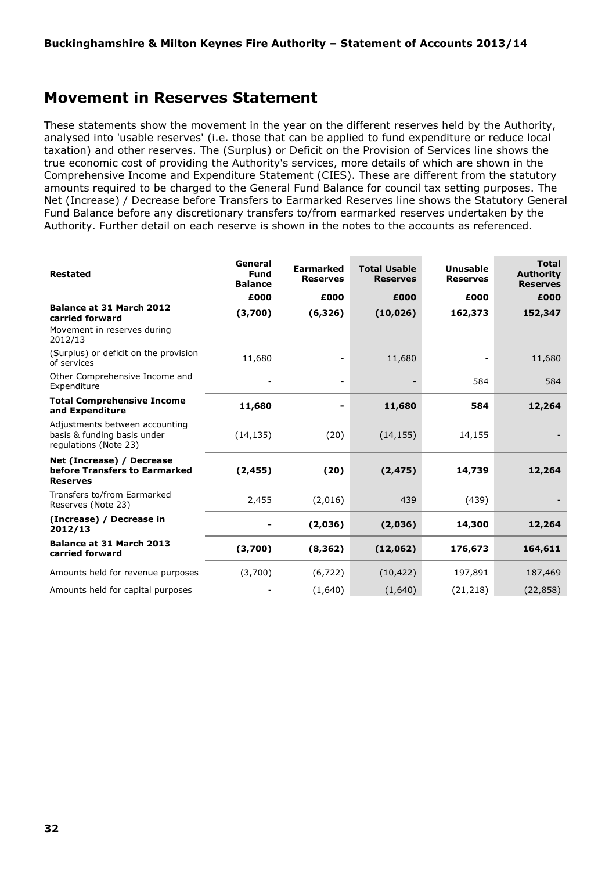# <span id="page-31-0"></span>**Movement in Reserves Statement**

These statements show the movement in the year on the different reserves held by the Authority, analysed into 'usable reserves' (i.e. those that can be applied to fund expenditure or reduce local taxation) and other reserves. The (Surplus) or Deficit on the Provision of Services line shows the true economic cost of providing the Authority's services, more details of which are shown in the Comprehensive Income and Expenditure Statement (CIES). These are different from the statutory amounts required to be charged to the General Fund Balance for council tax setting purposes. The Net (Increase) / Decrease before Transfers to Earmarked Reserves line shows the Statutory General Fund Balance before any discretionary transfers to/from earmarked reserves undertaken by the Authority. Further detail on each reserve is shown in the notes to the accounts as referenced.

| <b>Restated</b>                                                                        | General<br><b>Fund</b><br><b>Balance</b> | <b>Earmarked</b><br><b>Reserves</b> | <b>Total Usable</b><br><b>Reserves</b> | <b>Unusable</b><br><b>Reserves</b> | <b>Total</b><br><b>Authority</b><br><b>Reserves</b> |
|----------------------------------------------------------------------------------------|------------------------------------------|-------------------------------------|----------------------------------------|------------------------------------|-----------------------------------------------------|
|                                                                                        | £000                                     | £000                                | £000                                   | £000                               | £000                                                |
| Balance at 31 March 2012<br>carried forward                                            | (3,700)                                  | (6, 326)                            | (10, 026)                              | 162,373                            | 152,347                                             |
| Movement in reserves during<br>2012/13                                                 |                                          |                                     |                                        |                                    |                                                     |
| (Surplus) or deficit on the provision<br>of services                                   | 11,680                                   |                                     | 11,680                                 |                                    | 11,680                                              |
| Other Comprehensive Income and<br>Expenditure                                          |                                          | $\overline{\phantom{a}}$            |                                        | 584                                | 584                                                 |
| <b>Total Comprehensive Income</b><br>and Expenditure                                   | 11,680                                   | ۰                                   | 11,680                                 | 584                                | 12,264                                              |
| Adjustments between accounting<br>basis & funding basis under<br>regulations (Note 23) | (14, 135)                                | (20)                                | (14, 155)                              | 14,155                             |                                                     |
| Net (Increase) / Decrease<br>before Transfers to Earmarked<br><b>Reserves</b>          | (2, 455)                                 | (20)                                | (2, 475)                               | 14,739                             | 12,264                                              |
| Transfers to/from Earmarked<br>Reserves (Note 23)                                      | 2,455                                    | (2,016)                             | 439                                    | (439)                              |                                                     |
| (Increase) / Decrease in<br>2012/13                                                    |                                          | (2,036)                             | (2,036)                                | 14,300                             | 12,264                                              |
| Balance at 31 March 2013<br>carried forward                                            | (3,700)                                  | (8, 362)                            | (12,062)                               | 176,673                            | 164,611                                             |
| Amounts held for revenue purposes                                                      | (3,700)                                  | (6, 722)                            | (10, 422)                              | 197,891                            | 187,469                                             |
| Amounts held for capital purposes                                                      |                                          | (1,640)                             | (1,640)                                | (21, 218)                          | (22, 858)                                           |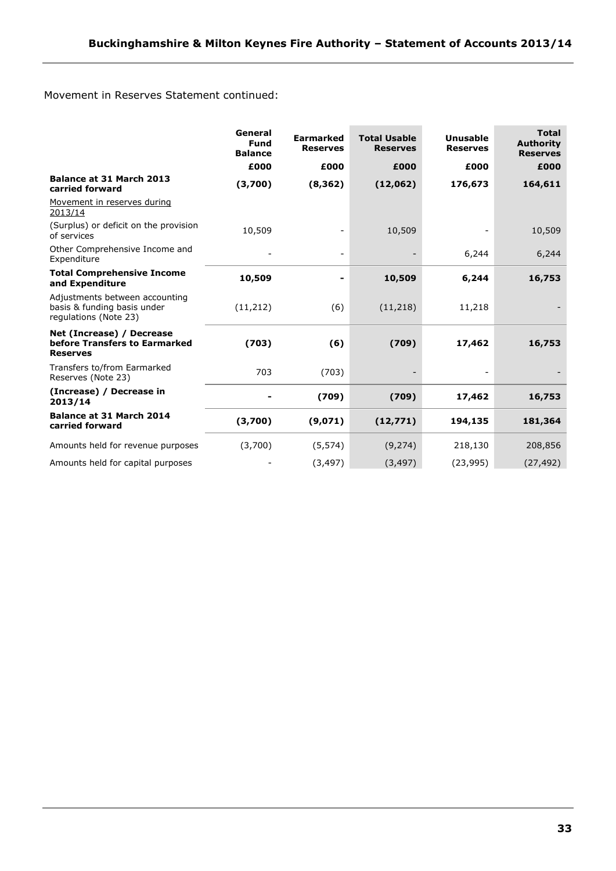Movement in Reserves Statement continued:

|                                                                                        | General<br>Fund<br><b>Balance</b> | <b>Earmarked</b><br><b>Reserves</b> | <b>Total Usable</b><br><b>Reserves</b> | <b>Unusable</b><br><b>Reserves</b> | <b>Total</b><br><b>Authority</b><br><b>Reserves</b> |
|----------------------------------------------------------------------------------------|-----------------------------------|-------------------------------------|----------------------------------------|------------------------------------|-----------------------------------------------------|
|                                                                                        | £000                              | £000                                | £000                                   | £000                               | £000                                                |
| <b>Balance at 31 March 2013</b><br>carried forward                                     | (3,700)                           | (8, 362)                            | (12,062)                               | 176,673                            | 164,611                                             |
| Movement in reserves during<br>2013/14                                                 |                                   |                                     |                                        |                                    |                                                     |
| (Surplus) or deficit on the provision<br>of services                                   | 10,509                            |                                     | 10,509                                 |                                    | 10,509                                              |
| Other Comprehensive Income and<br>Expenditure                                          |                                   | $\overline{\phantom{a}}$            |                                        | 6,244                              | 6,244                                               |
| <b>Total Comprehensive Income</b><br>and Expenditure                                   | 10,509                            |                                     | 10,509                                 | 6,244                              | 16,753                                              |
| Adjustments between accounting<br>basis & funding basis under<br>regulations (Note 23) | (11, 212)                         | (6)                                 | (11, 218)                              | 11,218                             |                                                     |
| Net (Increase) / Decrease<br>before Transfers to Earmarked<br><b>Reserves</b>          | (703)                             | (6)                                 | (709)                                  | 17,462                             | 16,753                                              |
| Transfers to/from Earmarked<br>Reserves (Note 23)                                      | 703                               | (703)                               |                                        |                                    |                                                     |
| (Increase) / Decrease in<br>2013/14                                                    |                                   | (709)                               | (709)                                  | 17,462                             | 16,753                                              |
| <b>Balance at 31 March 2014</b><br>carried forward                                     | (3,700)                           | (9,071)                             | (12, 771)                              | 194,135                            | 181,364                                             |
| Amounts held for revenue purposes                                                      | (3,700)                           | (5, 574)                            | (9, 274)                               | 218,130                            | 208,856                                             |
| Amounts held for capital purposes                                                      |                                   | (3, 497)                            | (3, 497)                               | (23, 995)                          | (27, 492)                                           |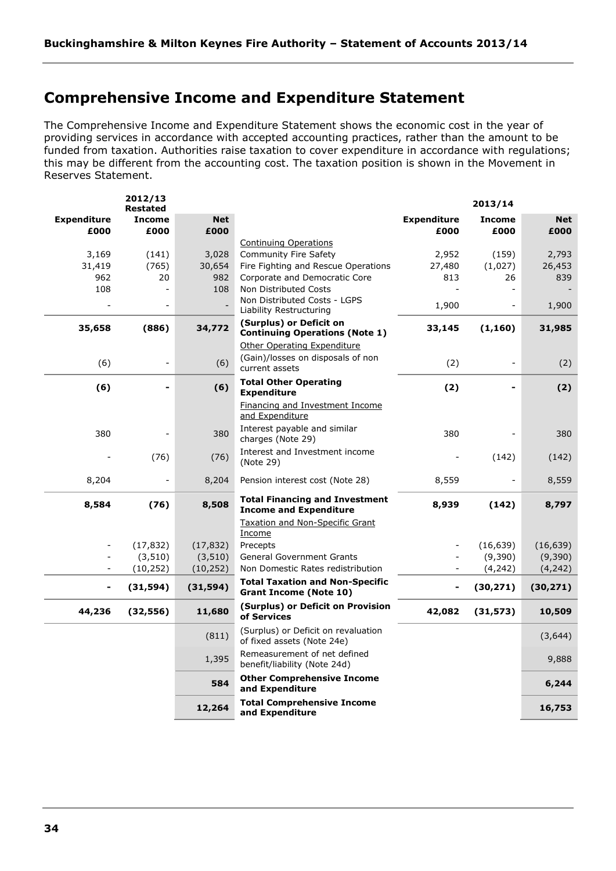# <span id="page-33-0"></span>**Comprehensive Income and Expenditure Statement**

The Comprehensive Income and Expenditure Statement shows the economic cost in the year of providing services in accordance with accepted accounting practices, rather than the amount to be funded from taxation. Authorities raise taxation to cover expenditure in accordance with regulations; this may be different from the accounting cost. The taxation position is shown in the Movement in Reserves Statement.

| <b>Income</b><br><b>Net</b><br><b>Expenditure</b><br><b>Income</b><br><b>Expenditure</b><br>£000<br>£000<br>£000<br>£000<br>£000<br><b>Continuing Operations</b><br>3,169<br>Community Fire Safety<br>2,952<br>(159)<br>(141)<br>3,028<br>2,793<br>(765)<br>Fire Fighting and Rescue Operations<br>(1,027)<br>26,453<br>31,419<br>30,654<br>27,480<br>962<br>20<br>982<br>Corporate and Democratic Core<br>813<br>26<br>839<br>108<br>108<br>Non Distributed Costs<br>$\overline{a}$<br>Non Distributed Costs - LGPS<br>1,900<br>$\overline{\phantom{0}}$<br>$\overline{a}$<br>Liability Restructuring<br>(Surplus) or Deficit on<br>35,658<br>(886)<br>34,772<br>33,145<br>(1, 160)<br><b>Continuing Operations (Note 1)</b><br><b>Other Operating Expenditure</b><br>(Gain)/losses on disposals of non<br>(6)<br>(6)<br>(2)<br>$\overline{a}$<br>current assets<br><b>Total Other Operating</b><br>(6)<br>(6)<br>(2)<br>$\overline{\phantom{a}}$<br><b>Expenditure</b><br>Financing and Investment Income<br>and Expenditure<br>Interest payable and similar<br>380<br>380<br>380<br>charges (Note 29)<br>Interest and Investment income<br>(76)<br>(76)<br>(142)<br>(Note 29)<br>8,204<br>8,204<br>Pension interest cost (Note 28)<br>8,559<br>$\overline{\phantom{a}}$<br><b>Total Financing and Investment</b><br>8,508<br>8,584<br>(76)<br>8,939<br>(142)<br><b>Income and Expenditure</b><br>Taxation and Non-Specific Grant<br>Income<br>(16, 639)<br>(17, 832)<br>(17, 832)<br>Precepts<br>(3, 510)<br>(3, 510)<br><b>General Government Grants</b><br>(9,390)<br>Non Domestic Rates redistribution<br>(4, 242)<br>(4, 242)<br>(10, 252)<br>(10, 252)<br><b>Total Taxation and Non-Specific</b><br>(31, 594)<br>(30, 271)<br>(31, 594)<br>$\overline{\phantom{a}}$<br>-<br><b>Grant Income (Note 10)</b><br>(Surplus) or Deficit on Provision<br>11,680<br>44,236<br>(32, 556)<br>42,082<br>(31, 573)<br>of Services<br>(Surplus) or Deficit on revaluation<br>(811)<br>of fixed assets (Note 24e)<br>Remeasurement of net defined<br>1,395<br>benefit/liability (Note 24d)<br><b>Other Comprehensive Income</b><br>584<br>and Expenditure<br><b>Total Comprehensive Income</b><br>12,264<br>and Expenditure | 2012/13<br><b>Restated</b> |  | 2013/14 |            |
|-----------------------------------------------------------------------------------------------------------------------------------------------------------------------------------------------------------------------------------------------------------------------------------------------------------------------------------------------------------------------------------------------------------------------------------------------------------------------------------------------------------------------------------------------------------------------------------------------------------------------------------------------------------------------------------------------------------------------------------------------------------------------------------------------------------------------------------------------------------------------------------------------------------------------------------------------------------------------------------------------------------------------------------------------------------------------------------------------------------------------------------------------------------------------------------------------------------------------------------------------------------------------------------------------------------------------------------------------------------------------------------------------------------------------------------------------------------------------------------------------------------------------------------------------------------------------------------------------------------------------------------------------------------------------------------------------------------------------------------------------------------------------------------------------------------------------------------------------------------------------------------------------------------------------------------------------------------------------------------------------------------------------------------------------------------------------------------------------------------------------------------------------------------------------------------------------------------------------|----------------------------|--|---------|------------|
|                                                                                                                                                                                                                                                                                                                                                                                                                                                                                                                                                                                                                                                                                                                                                                                                                                                                                                                                                                                                                                                                                                                                                                                                                                                                                                                                                                                                                                                                                                                                                                                                                                                                                                                                                                                                                                                                                                                                                                                                                                                                                                                                                                                                                       |                            |  |         | <b>Net</b> |
|                                                                                                                                                                                                                                                                                                                                                                                                                                                                                                                                                                                                                                                                                                                                                                                                                                                                                                                                                                                                                                                                                                                                                                                                                                                                                                                                                                                                                                                                                                                                                                                                                                                                                                                                                                                                                                                                                                                                                                                                                                                                                                                                                                                                                       |                            |  |         | £000       |
|                                                                                                                                                                                                                                                                                                                                                                                                                                                                                                                                                                                                                                                                                                                                                                                                                                                                                                                                                                                                                                                                                                                                                                                                                                                                                                                                                                                                                                                                                                                                                                                                                                                                                                                                                                                                                                                                                                                                                                                                                                                                                                                                                                                                                       |                            |  |         |            |
|                                                                                                                                                                                                                                                                                                                                                                                                                                                                                                                                                                                                                                                                                                                                                                                                                                                                                                                                                                                                                                                                                                                                                                                                                                                                                                                                                                                                                                                                                                                                                                                                                                                                                                                                                                                                                                                                                                                                                                                                                                                                                                                                                                                                                       |                            |  |         |            |
|                                                                                                                                                                                                                                                                                                                                                                                                                                                                                                                                                                                                                                                                                                                                                                                                                                                                                                                                                                                                                                                                                                                                                                                                                                                                                                                                                                                                                                                                                                                                                                                                                                                                                                                                                                                                                                                                                                                                                                                                                                                                                                                                                                                                                       |                            |  |         |            |
|                                                                                                                                                                                                                                                                                                                                                                                                                                                                                                                                                                                                                                                                                                                                                                                                                                                                                                                                                                                                                                                                                                                                                                                                                                                                                                                                                                                                                                                                                                                                                                                                                                                                                                                                                                                                                                                                                                                                                                                                                                                                                                                                                                                                                       |                            |  |         |            |
|                                                                                                                                                                                                                                                                                                                                                                                                                                                                                                                                                                                                                                                                                                                                                                                                                                                                                                                                                                                                                                                                                                                                                                                                                                                                                                                                                                                                                                                                                                                                                                                                                                                                                                                                                                                                                                                                                                                                                                                                                                                                                                                                                                                                                       |                            |  |         | 1,900      |
|                                                                                                                                                                                                                                                                                                                                                                                                                                                                                                                                                                                                                                                                                                                                                                                                                                                                                                                                                                                                                                                                                                                                                                                                                                                                                                                                                                                                                                                                                                                                                                                                                                                                                                                                                                                                                                                                                                                                                                                                                                                                                                                                                                                                                       |                            |  |         | 31,985     |
|                                                                                                                                                                                                                                                                                                                                                                                                                                                                                                                                                                                                                                                                                                                                                                                                                                                                                                                                                                                                                                                                                                                                                                                                                                                                                                                                                                                                                                                                                                                                                                                                                                                                                                                                                                                                                                                                                                                                                                                                                                                                                                                                                                                                                       |                            |  |         |            |
|                                                                                                                                                                                                                                                                                                                                                                                                                                                                                                                                                                                                                                                                                                                                                                                                                                                                                                                                                                                                                                                                                                                                                                                                                                                                                                                                                                                                                                                                                                                                                                                                                                                                                                                                                                                                                                                                                                                                                                                                                                                                                                                                                                                                                       |                            |  |         | (2)        |
|                                                                                                                                                                                                                                                                                                                                                                                                                                                                                                                                                                                                                                                                                                                                                                                                                                                                                                                                                                                                                                                                                                                                                                                                                                                                                                                                                                                                                                                                                                                                                                                                                                                                                                                                                                                                                                                                                                                                                                                                                                                                                                                                                                                                                       |                            |  |         | (2)        |
|                                                                                                                                                                                                                                                                                                                                                                                                                                                                                                                                                                                                                                                                                                                                                                                                                                                                                                                                                                                                                                                                                                                                                                                                                                                                                                                                                                                                                                                                                                                                                                                                                                                                                                                                                                                                                                                                                                                                                                                                                                                                                                                                                                                                                       |                            |  |         |            |
|                                                                                                                                                                                                                                                                                                                                                                                                                                                                                                                                                                                                                                                                                                                                                                                                                                                                                                                                                                                                                                                                                                                                                                                                                                                                                                                                                                                                                                                                                                                                                                                                                                                                                                                                                                                                                                                                                                                                                                                                                                                                                                                                                                                                                       |                            |  |         | 380        |
|                                                                                                                                                                                                                                                                                                                                                                                                                                                                                                                                                                                                                                                                                                                                                                                                                                                                                                                                                                                                                                                                                                                                                                                                                                                                                                                                                                                                                                                                                                                                                                                                                                                                                                                                                                                                                                                                                                                                                                                                                                                                                                                                                                                                                       |                            |  |         | (142)      |
|                                                                                                                                                                                                                                                                                                                                                                                                                                                                                                                                                                                                                                                                                                                                                                                                                                                                                                                                                                                                                                                                                                                                                                                                                                                                                                                                                                                                                                                                                                                                                                                                                                                                                                                                                                                                                                                                                                                                                                                                                                                                                                                                                                                                                       |                            |  |         | 8,559      |
|                                                                                                                                                                                                                                                                                                                                                                                                                                                                                                                                                                                                                                                                                                                                                                                                                                                                                                                                                                                                                                                                                                                                                                                                                                                                                                                                                                                                                                                                                                                                                                                                                                                                                                                                                                                                                                                                                                                                                                                                                                                                                                                                                                                                                       |                            |  |         | 8,797      |
|                                                                                                                                                                                                                                                                                                                                                                                                                                                                                                                                                                                                                                                                                                                                                                                                                                                                                                                                                                                                                                                                                                                                                                                                                                                                                                                                                                                                                                                                                                                                                                                                                                                                                                                                                                                                                                                                                                                                                                                                                                                                                                                                                                                                                       |                            |  |         |            |
|                                                                                                                                                                                                                                                                                                                                                                                                                                                                                                                                                                                                                                                                                                                                                                                                                                                                                                                                                                                                                                                                                                                                                                                                                                                                                                                                                                                                                                                                                                                                                                                                                                                                                                                                                                                                                                                                                                                                                                                                                                                                                                                                                                                                                       |                            |  |         | (16, 639)  |
|                                                                                                                                                                                                                                                                                                                                                                                                                                                                                                                                                                                                                                                                                                                                                                                                                                                                                                                                                                                                                                                                                                                                                                                                                                                                                                                                                                                                                                                                                                                                                                                                                                                                                                                                                                                                                                                                                                                                                                                                                                                                                                                                                                                                                       |                            |  |         | (9,390)    |
|                                                                                                                                                                                                                                                                                                                                                                                                                                                                                                                                                                                                                                                                                                                                                                                                                                                                                                                                                                                                                                                                                                                                                                                                                                                                                                                                                                                                                                                                                                                                                                                                                                                                                                                                                                                                                                                                                                                                                                                                                                                                                                                                                                                                                       |                            |  |         |            |
|                                                                                                                                                                                                                                                                                                                                                                                                                                                                                                                                                                                                                                                                                                                                                                                                                                                                                                                                                                                                                                                                                                                                                                                                                                                                                                                                                                                                                                                                                                                                                                                                                                                                                                                                                                                                                                                                                                                                                                                                                                                                                                                                                                                                                       |                            |  |         | (30, 271)  |
|                                                                                                                                                                                                                                                                                                                                                                                                                                                                                                                                                                                                                                                                                                                                                                                                                                                                                                                                                                                                                                                                                                                                                                                                                                                                                                                                                                                                                                                                                                                                                                                                                                                                                                                                                                                                                                                                                                                                                                                                                                                                                                                                                                                                                       |                            |  |         | 10,509     |
|                                                                                                                                                                                                                                                                                                                                                                                                                                                                                                                                                                                                                                                                                                                                                                                                                                                                                                                                                                                                                                                                                                                                                                                                                                                                                                                                                                                                                                                                                                                                                                                                                                                                                                                                                                                                                                                                                                                                                                                                                                                                                                                                                                                                                       |                            |  |         | (3,644)    |
|                                                                                                                                                                                                                                                                                                                                                                                                                                                                                                                                                                                                                                                                                                                                                                                                                                                                                                                                                                                                                                                                                                                                                                                                                                                                                                                                                                                                                                                                                                                                                                                                                                                                                                                                                                                                                                                                                                                                                                                                                                                                                                                                                                                                                       |                            |  |         | 9,888      |
|                                                                                                                                                                                                                                                                                                                                                                                                                                                                                                                                                                                                                                                                                                                                                                                                                                                                                                                                                                                                                                                                                                                                                                                                                                                                                                                                                                                                                                                                                                                                                                                                                                                                                                                                                                                                                                                                                                                                                                                                                                                                                                                                                                                                                       |                            |  |         | 6,244      |
|                                                                                                                                                                                                                                                                                                                                                                                                                                                                                                                                                                                                                                                                                                                                                                                                                                                                                                                                                                                                                                                                                                                                                                                                                                                                                                                                                                                                                                                                                                                                                                                                                                                                                                                                                                                                                                                                                                                                                                                                                                                                                                                                                                                                                       |                            |  |         | 16,753     |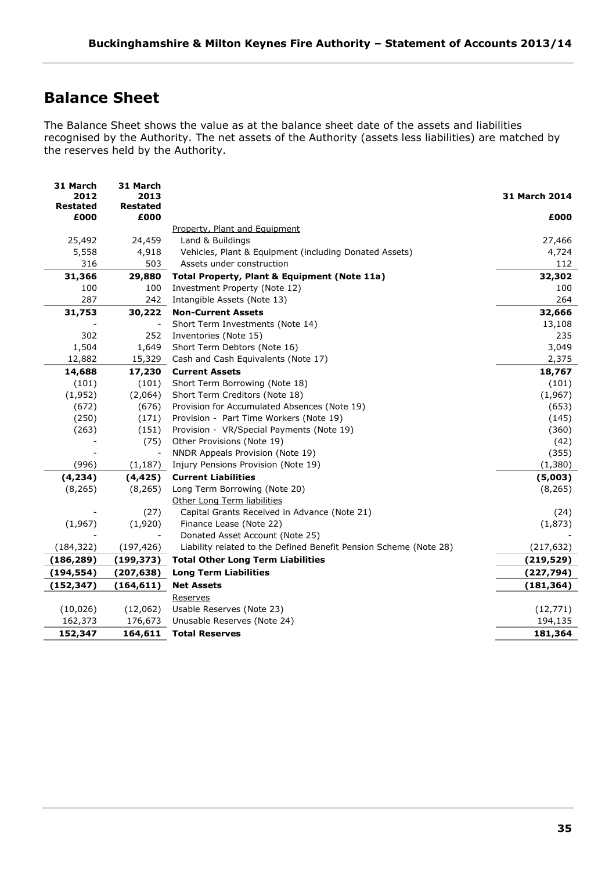# <span id="page-34-0"></span>**Balance Sheet**

The Balance Sheet shows the value as at the balance sheet date of the assets and liabilities recognised by the Authority. The net assets of the Authority (assets less liabilities) are matched by the reserves held by the Authority.

| 31 March<br>2012        | 31 March<br>2013        |                                                                   | <b>31 March 2014</b> |
|-------------------------|-------------------------|-------------------------------------------------------------------|----------------------|
| <b>Restated</b><br>£000 | <b>Restated</b><br>£000 |                                                                   | £000                 |
|                         |                         | Property, Plant and Equipment                                     |                      |
| 25,492                  | 24,459                  | Land & Buildings                                                  | 27,466               |
| 5,558                   | 4,918                   | Vehicles, Plant & Equipment (including Donated Assets)            | 4,724                |
| 316                     | 503                     | Assets under construction                                         | 112                  |
| 31,366                  | 29,880                  | Total Property, Plant & Equipment (Note 11a)                      | 32,302               |
| 100                     | 100                     | Investment Property (Note 12)                                     | 100                  |
| 287                     | 242                     | Intangible Assets (Note 13)                                       | 264                  |
| 31,753                  | 30,222                  | <b>Non-Current Assets</b>                                         | 32,666               |
|                         |                         | Short Term Investments (Note 14)                                  | 13,108               |
| 302                     | 252                     | Inventories (Note 15)                                             | 235                  |
| 1,504                   | 1,649                   | Short Term Debtors (Note 16)                                      | 3,049                |
| 12,882                  | 15,329                  | Cash and Cash Equivalents (Note 17)                               | 2,375                |
| 14,688                  | 17,230                  | <b>Current Assets</b>                                             | 18,767               |
| (101)                   | (101)                   | Short Term Borrowing (Note 18)                                    | (101)                |
| (1,952)                 | (2,064)                 | Short Term Creditors (Note 18)                                    | (1,967)              |
| (672)                   | (676)                   | Provision for Accumulated Absences (Note 19)                      | (653)                |
| (250)                   | (171)                   | Provision - Part Time Workers (Note 19)                           | (145)                |
| (263)                   | (151)                   | Provision - VR/Special Payments (Note 19)                         | (360)                |
|                         | (75)                    | Other Provisions (Note 19)                                        | (42)                 |
|                         | $\blacksquare$          | NNDR Appeals Provision (Note 19)                                  | (355)                |
| (996)                   | (1, 187)                | Injury Pensions Provision (Note 19)                               | (1,380)              |
| (4, 234)                | (4, 425)                | <b>Current Liabilities</b>                                        | (5,003)              |
| (8, 265)                | (8, 265)                | Long Term Borrowing (Note 20)                                     | (8, 265)             |
|                         |                         | Other Long Term liabilities                                       |                      |
|                         | (27)                    | Capital Grants Received in Advance (Note 21)                      | (24)                 |
| (1,967)                 | (1,920)                 | Finance Lease (Note 22)                                           | (1,873)              |
|                         |                         | Donated Asset Account (Note 25)                                   |                      |
| (184, 322)              | (197, 426)              | Liability related to the Defined Benefit Pension Scheme (Note 28) | (217, 632)           |
| (186, 289)              | (199, 373)              | <b>Total Other Long Term Liabilities</b>                          | (219, 529)           |
| (194, 554)              | (207, 638)              | <b>Long Term Liabilities</b>                                      | (227, 794)           |
| (152, 347)              | (164, 611)              | <b>Net Assets</b>                                                 | (181, 364)           |
|                         |                         | Reserves                                                          |                      |
| (10, 026)               | (12,062)                | Usable Reserves (Note 23)                                         | (12, 771)            |
| 162,373                 | 176,673                 | Unusable Reserves (Note 24)                                       | 194,135              |
| 152,347                 | 164,611                 | <b>Total Reserves</b>                                             | 181,364              |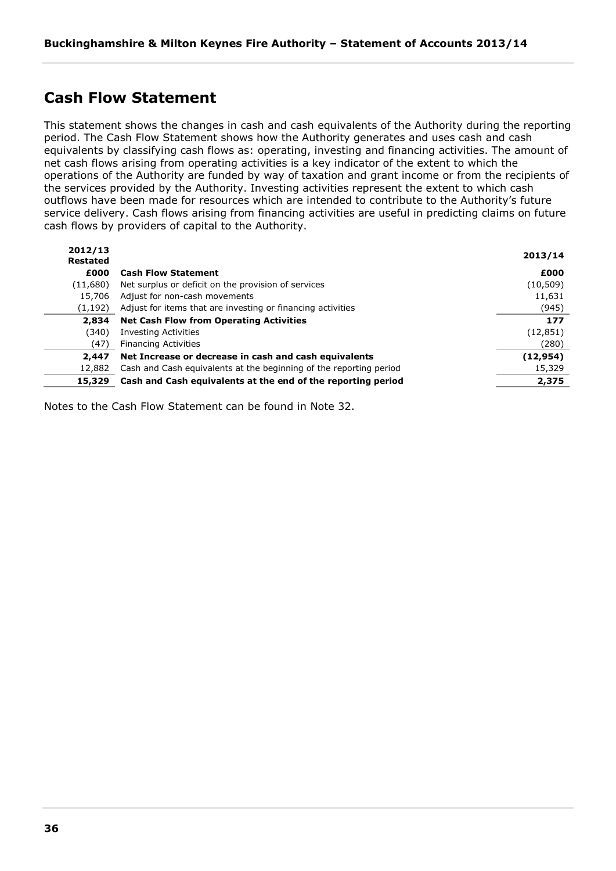# <span id="page-35-0"></span>**Cash Flow Statement**

This statement shows the changes in cash and cash equivalents of the Authority during the reporting period. The Cash Flow Statement shows how the Authority generates and uses cash and cash equivalents by classifying cash flows as: operating, investing and financing activities. The amount of net cash flows arising from operating activities is a key indicator of the extent to which the operations of the Authority are funded by way of taxation and grant income or from the recipients of the services provided by the Authority. Investing activities represent the extent to which cash outflows have been made for resources which are intended to contribute to the Authority's future service delivery. Cash flows arising from financing activities are useful in predicting claims on future cash flows by providers of capital to the Authority.

| 2012/13<br><b>Restated</b> |                                                                    | 2013/14   |
|----------------------------|--------------------------------------------------------------------|-----------|
| £000                       | <b>Cash Flow Statement</b>                                         | £000      |
| (11,680)                   | Net surplus or deficit on the provision of services                | (10, 509) |
| 15,706                     | Adjust for non-cash movements                                      | 11,631    |
| (1, 192)                   | Adjust for items that are investing or financing activities        | (945)     |
| 2,834                      | <b>Net Cash Flow from Operating Activities</b>                     | 177       |
| (340)                      | <b>Investing Activities</b>                                        | (12, 851) |
| (47)                       | <b>Financing Activities</b>                                        | (280)     |
| 2,447                      | Net Increase or decrease in cash and cash equivalents              | (12, 954) |
| 12,882                     | Cash and Cash equivalents at the beginning of the reporting period | 15,329    |
| 15,329                     | Cash and Cash equivalents at the end of the reporting period       | 2,375     |

Notes to the Cash Flow Statement can be found in Note 32.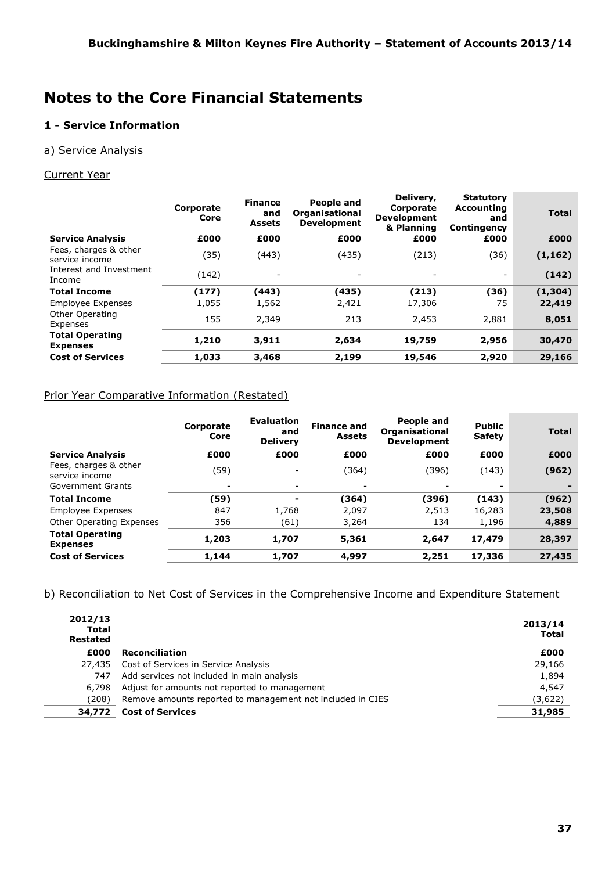# **Notes to the Core Financial Statements**

# **1 - Service Information**

# a) Service Analysis

# Current Year

|                                                                                                   | <b>Total</b> |
|---------------------------------------------------------------------------------------------------|--------------|
| £000<br>£000<br>£000<br>£000<br><b>Service Analysis</b><br>£000                                   | £000         |
| Fees, charges & other<br>(35)<br>(36)<br>(443)<br>(435)<br>(213)<br>(1, 162)<br>service income    |              |
| Interest and Investment<br>(142)<br>(142)<br>$\overline{\phantom{a}}$<br>Income                   |              |
| (177)<br>(435)<br>(36)<br><b>Total Income</b><br>(443)<br>(213)<br>(1,304)                        |              |
| 1,055<br>2,421<br>75<br><b>Employee Expenses</b><br>1,562<br>17,306<br>22,419                     |              |
| Other Operating<br>155<br>2,349<br>213<br>2,881<br>8,051<br>2,453<br>Expenses                     |              |
| <b>Total Operating</b><br>1,210<br>2,634<br>19,759<br>2,956<br>30,470<br>3,911<br><b>Expenses</b> |              |
| <b>Cost of Services</b><br>1,033<br>3,468<br>2,199<br>19,546<br>2,920<br>29,166                   |              |

# Prior Year Comparative Information (Restated)

|                                           | Corporate<br>Core        | <b>Evaluation</b><br>and<br><b>Delivery</b> | <b>Finance and</b><br><b>Assets</b> | People and<br><b>Organisational</b><br><b>Development</b> | <b>Public</b><br><b>Safety</b> | <b>Total</b> |
|-------------------------------------------|--------------------------|---------------------------------------------|-------------------------------------|-----------------------------------------------------------|--------------------------------|--------------|
| <b>Service Analysis</b>                   | £000                     | £000                                        | £000                                | £000                                                      | £000                           | £000         |
| Fees, charges & other<br>service income   | (59)                     |                                             | (364)                               | (396)                                                     | (143)                          | (962)        |
| Government Grants                         | $\overline{\phantom{a}}$ | $\overline{\phantom{a}}$                    | $\overline{\phantom{a}}$            | $\overline{\phantom{a}}$                                  | -                              |              |
| <b>Total Income</b>                       | (59)                     |                                             | (364)                               | (396)                                                     | (143)                          | (962)        |
| <b>Employee Expenses</b>                  | 847                      | 1,768                                       | 2.097                               | 2.513                                                     | 16,283                         | 23,508       |
| Other Operating Expenses                  | 356                      | (61)                                        | 3,264                               | 134                                                       | 1,196                          | 4,889        |
| <b>Total Operating</b><br><b>Expenses</b> | 1,203                    | 1,707                                       | 5,361                               | 2,647                                                     | 17,479                         | 28,397       |
| <b>Cost of Services</b>                   | 1,144                    | 1,707                                       | 4,997                               | 2,251                                                     | 17,336                         | 27,435       |

b) Reconciliation to Net Cost of Services in the Comprehensive Income and Expenditure Statement

| 2012/13<br><b>Total</b><br>Restated |                                                            | 2013/14<br><b>Total</b> |
|-------------------------------------|------------------------------------------------------------|-------------------------|
| £000                                | <b>Reconciliation</b>                                      | £000                    |
| 27,435                              | Cost of Services in Service Analysis                       | 29,166                  |
| 747                                 | Add services not included in main analysis                 | 1,894                   |
| 6,798                               | Adjust for amounts not reported to management              | 4,547                   |
| (208)                               | Remove amounts reported to management not included in CIES | (3,622)                 |
| 34,772                              | <b>Cost of Services</b>                                    | 31,985                  |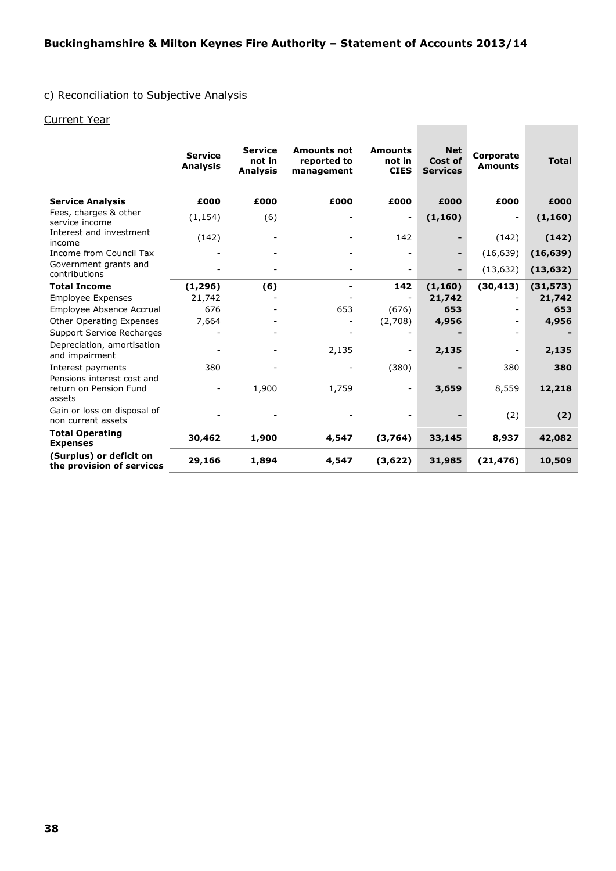# c) Reconciliation to Subjective Analysis

# Current Year

|                                                                | <b>Service</b><br><b>Analysis</b> | <b>Service</b><br>not in<br><b>Analysis</b> | <b>Amounts not</b><br>reported to<br>management | <b>Amounts</b><br>not in<br><b>CIES</b> | <b>Net</b><br>Cost of<br><b>Services</b> | Corporate<br><b>Amounts</b> | <b>Total</b> |
|----------------------------------------------------------------|-----------------------------------|---------------------------------------------|-------------------------------------------------|-----------------------------------------|------------------------------------------|-----------------------------|--------------|
| <b>Service Analysis</b>                                        | £000                              | £000                                        | £000                                            | £000                                    | £000                                     | £000                        | £000         |
| Fees, charges & other<br>service income                        | (1, 154)                          | (6)                                         |                                                 | $\overline{\phantom{a}}$                | (1, 160)                                 | $\overline{\phantom{a}}$    | (1, 160)     |
| Interest and investment<br>income                              | (142)                             |                                             |                                                 | 142                                     | -                                        | (142)                       | (142)        |
| Income from Council Tax                                        |                                   |                                             |                                                 |                                         | -                                        | (16, 639)                   | (16, 639)    |
| Government grants and<br>contributions                         |                                   |                                             |                                                 |                                         | -                                        | (13, 632)                   | (13, 632)    |
| <b>Total Income</b>                                            | (1, 296)                          | (6)                                         |                                                 | 142                                     | (1, 160)                                 | (30, 413)                   | (31, 573)    |
| <b>Employee Expenses</b>                                       | 21,742                            |                                             |                                                 |                                         | 21,742                                   |                             | 21,742       |
| Employee Absence Accrual                                       | 676                               |                                             | 653                                             | (676)                                   | 653                                      |                             | 653          |
| Other Operating Expenses                                       | 7,664                             |                                             |                                                 | (2,708)                                 | 4,956                                    | $\overline{\phantom{0}}$    | 4,956        |
| Support Service Recharges                                      |                                   |                                             |                                                 |                                         |                                          |                             |              |
| Depreciation, amortisation<br>and impairment                   |                                   |                                             | 2,135                                           |                                         | 2,135                                    | $\overline{\phantom{0}}$    | 2,135        |
| Interest payments                                              | 380                               |                                             |                                                 | (380)                                   |                                          | 380                         | 380          |
| Pensions interest cost and<br>return on Pension Fund<br>assets |                                   | 1,900                                       | 1,759                                           | Ξ.                                      | 3,659                                    | 8,559                       | 12,218       |
| Gain or loss on disposal of<br>non current assets              |                                   |                                             |                                                 |                                         |                                          | (2)                         | (2)          |
| <b>Total Operating</b><br><b>Expenses</b>                      | 30,462                            | 1,900                                       | 4,547                                           | (3,764)                                 | 33,145                                   | 8,937                       | 42,082       |
| (Surplus) or deficit on<br>the provision of services           | 29,166                            | 1,894                                       | 4,547                                           | (3,622)                                 | 31,985                                   | (21, 476)                   | 10,509       |

**Contract Contract**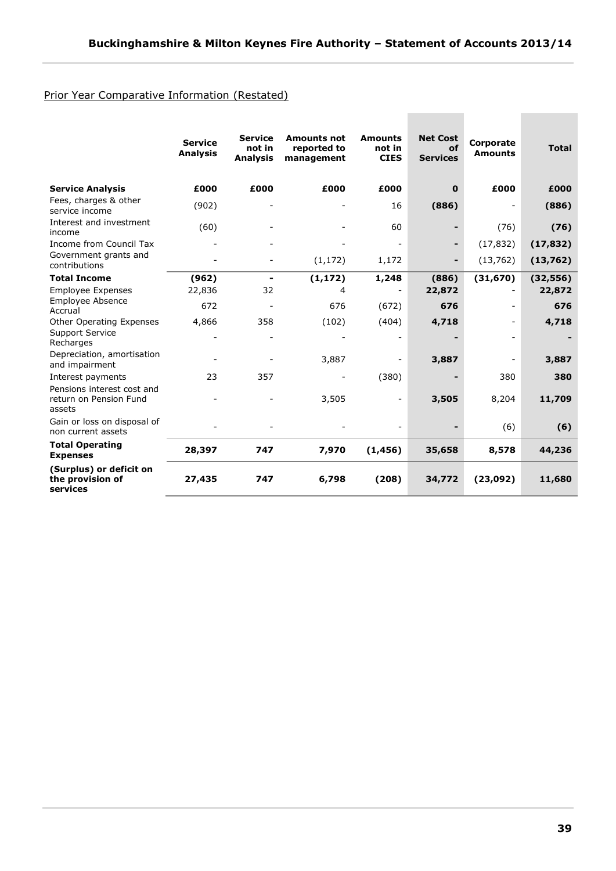# Prior Year Comparative Information (Restated)

|                                                                | <b>Service</b><br><b>Analysis</b> | <b>Service</b><br>not in<br><b>Analysis</b> | <b>Amounts not</b><br>reported to<br>management | <b>Amounts</b><br>not in<br><b>CIES</b> | <b>Net Cost</b><br>of<br><b>Services</b> | Corporate<br><b>Amounts</b> | <b>Total</b> |
|----------------------------------------------------------------|-----------------------------------|---------------------------------------------|-------------------------------------------------|-----------------------------------------|------------------------------------------|-----------------------------|--------------|
| <b>Service Analysis</b>                                        | £000                              | £000                                        | £000                                            | £000                                    | $\mathbf 0$                              | £000                        | £000         |
| Fees, charges & other<br>service income                        | (902)                             |                                             |                                                 | 16                                      | (886)                                    |                             | (886)        |
| Interest and investment<br>income                              | (60)                              |                                             |                                                 | 60                                      |                                          | (76)                        | (76)         |
| Income from Council Tax                                        |                                   |                                             |                                                 |                                         |                                          | (17, 832)                   | (17, 832)    |
| Government grants and<br>contributions                         |                                   |                                             | (1, 172)                                        | 1,172                                   | -                                        | (13, 762)                   | (13, 762)    |
| <b>Total Income</b>                                            | (962)                             | -                                           | (1, 172)                                        | 1,248                                   | (886)                                    | (31, 670)                   | (32, 556)    |
| <b>Employee Expenses</b>                                       | 22,836                            | 32                                          | 4                                               |                                         | 22,872                                   |                             | 22,872       |
| <b>Employee Absence</b><br>Accrual                             | 672                               |                                             | 676                                             | (672)                                   | 676                                      |                             | 676          |
| Other Operating Expenses                                       | 4,866                             | 358                                         | (102)                                           | (404)                                   | 4,718                                    |                             | 4,718        |
| <b>Support Service</b><br>Recharges                            |                                   | ۰                                           |                                                 |                                         |                                          |                             |              |
| Depreciation, amortisation<br>and impairment                   |                                   |                                             | 3,887                                           |                                         | 3,887                                    |                             | 3,887        |
| Interest payments                                              | 23                                | 357                                         |                                                 | (380)                                   |                                          | 380                         | 380          |
| Pensions interest cost and<br>return on Pension Fund<br>assets |                                   |                                             | 3,505                                           | ۰                                       | 3,505                                    | 8,204                       | 11,709       |
| Gain or loss on disposal of<br>non current assets              |                                   |                                             |                                                 |                                         |                                          | (6)                         | (6)          |
| <b>Total Operating</b><br><b>Expenses</b>                      | 28,397                            | 747                                         | 7,970                                           | (1, 456)                                | 35,658                                   | 8,578                       | 44,236       |
| (Surplus) or deficit on<br>the provision of<br>services        | 27,435                            | 747                                         | 6,798                                           | (208)                                   | 34,772                                   | (23,092)                    | 11,680       |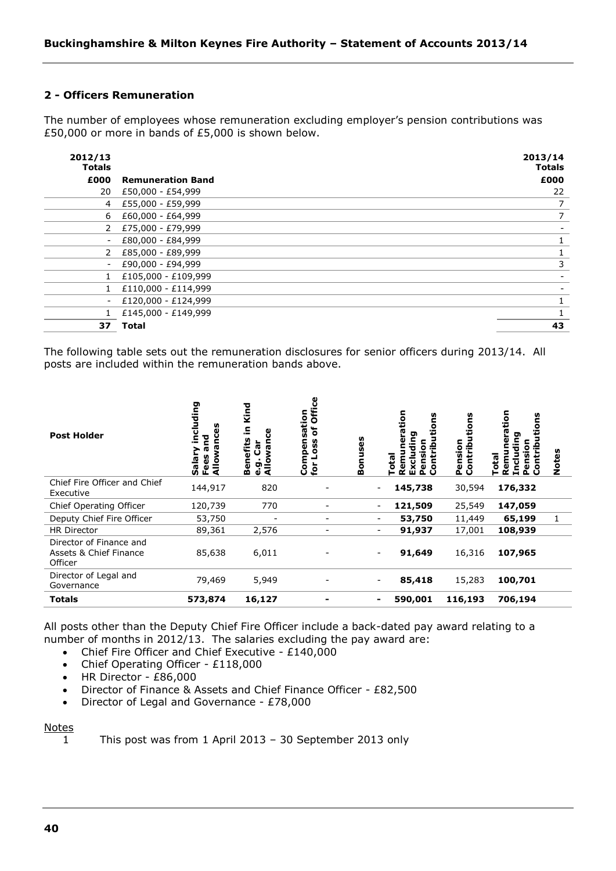# **2 - Officers Remuneration**

The number of employees whose remuneration excluding employer's pension contributions was £50,000 or more in bands of £5,000 is shown below.

| 2012/13<br><b>Totals</b> |                          | 2013/14<br><b>Totals</b> |
|--------------------------|--------------------------|--------------------------|
| £000                     | <b>Remuneration Band</b> | £000                     |
| 20                       | £50,000 - £54,999        | 22                       |
| 4                        | £55,000 - £59,999        | 7                        |
| 6                        | £60,000 - £64,999        | 7                        |
| 2                        | £75,000 - £79,999        |                          |
| $\overline{\phantom{a}}$ | £80,000 - £84,999        |                          |
| 2                        | £85,000 - £89,999        |                          |
| $\overline{\phantom{a}}$ | £90,000 - £94,999        | 3                        |
|                          | £105,000 - £109,999      |                          |
|                          | £110,000 - £114,999      |                          |
| $\blacksquare$           | £120,000 - £124,999      |                          |
|                          | £145,000 - £149,999      |                          |
| 37                       | <b>Total</b>             | 43                       |

The following table sets out the remuneration disclosures for senior officers during 2013/14. All posts are included within the remuneration bands above.

| <b>Post Holder</b>                                           | ding<br>꾿<br>÷<br>Salar<br>ပ္ၿ<br>ç<br>₹<br>՟՟ | Kind<br>으.<br>ပ္ပ<br>efits<br>ថិ<br><b>rg</b><br>₹<br>$\blacksquare$<br>O<br>ত<br>ত ই<br>m | Ğ<br>Compensation<br>ð<br>ပ္ပ<br>ق<br>ِ ڇ | n,<br>ë<br>Se<br>Eon | tion<br>n<br>ה<br>恧<br>ū<br><u>ٍة</u><br>ဗ္ဇိ<br>ă<br>ፚ | ទី<br>១<br>Pension<br>Contrib | 등<br>ဋိ<br>ō<br>£. | Notes |
|--------------------------------------------------------------|------------------------------------------------|--------------------------------------------------------------------------------------------|-------------------------------------------|----------------------|---------------------------------------------------------|-------------------------------|--------------------|-------|
| Chief Fire Officer and Chief<br>Executive                    | 144,917                                        | 820                                                                                        |                                           |                      | 145,738<br>$\overline{\phantom{a}}$                     | 30,594                        | 176,332            |       |
| Chief Operating Officer                                      | 120,739                                        | 770                                                                                        |                                           |                      | 121,509<br>-                                            | 25,549                        | 147,059            |       |
| Deputy Chief Fire Officer                                    | 53,750                                         |                                                                                            | -                                         |                      | 53,750<br>-                                             | 11,449                        | 65,199             | 1     |
| <b>HR Director</b>                                           | 89,361                                         | 2,576                                                                                      | -                                         |                      | 91,937<br>-                                             | 17,001                        | 108,939            |       |
| Director of Finance and<br>Assets & Chief Finance<br>Officer | 85,638                                         | 6,011                                                                                      |                                           |                      | 91,649<br>-                                             | 16,316                        | 107,965            |       |
| Director of Legal and<br>Governance                          | 79,469                                         | 5,949                                                                                      |                                           |                      | 85,418                                                  | 15,283                        | 100,701            |       |
| <b>Totals</b>                                                | 573,874                                        | 16,127                                                                                     |                                           |                      | 590,001<br>۰                                            | 116,193                       | 706,194            |       |

All posts other than the Deputy Chief Fire Officer include a back-dated pay award relating to a number of months in 2012/13. The salaries excluding the pay award are:

- Chief Fire Officer and Chief Executive £140,000
- Chief Operating Officer £118,000
- HR Director £86,000
- Director of Finance & Assets and Chief Finance Officer £82,500
- Director of Legal and Governance £78,000

#### Notes

1 This post was from 1 April 2013 – 30 September 2013 only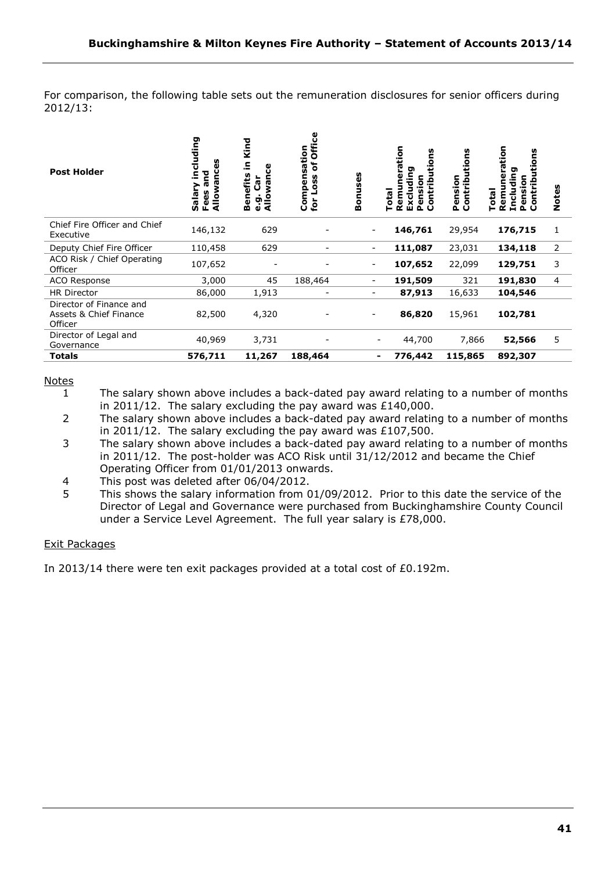For comparison, the following table sets out the remuneration disclosures for senior officers during 2012/13:

| <b>Post Holder</b>                                           | including<br>ω<br>bus<br>æ<br>Salary<br>Fees a<br>Allow | Kind<br>Ξ.<br>ပ္ပ<br>enefits<br>ថិ<br><b>r</b><br>Allowi<br>$\blacksquare$<br>o.<br>0<br>m | Office<br>sation<br>ិ<br>Compen<br>Loss<br>for | <b>Bonuses</b>               | tion<br>ons<br>ັດ<br><b>Total</b><br>em<br>ō<br>o<br>പ വ<br>ш | ons<br>Pension<br>Contribu<br><b>ontrib</b> | tion<br>U)<br>ο<br>σ<br>o<br>≔<br>륕<br><b>ota</b><br>٤<br>ō<br>۰ | Notes          |
|--------------------------------------------------------------|---------------------------------------------------------|--------------------------------------------------------------------------------------------|------------------------------------------------|------------------------------|---------------------------------------------------------------|---------------------------------------------|------------------------------------------------------------------|----------------|
| Chief Fire Officer and Chief<br>Executive                    | 146,132                                                 | 629                                                                                        |                                                | -                            | 146,761                                                       | 29,954                                      | 176,715                                                          | 1              |
| Deputy Chief Fire Officer                                    | 110,458                                                 | 629                                                                                        |                                                | $\overline{\phantom{0}}$     | 111,087                                                       | 23,031                                      | 134,118                                                          | 2              |
| ACO Risk / Chief Operating<br>Officer                        | 107,652                                                 |                                                                                            |                                                | -                            | 107,652                                                       | 22,099                                      | 129,751                                                          | 3              |
| ACO Response                                                 | 3,000                                                   | 45                                                                                         | 188,464                                        | $\qquad \qquad \blacksquare$ | 191,509                                                       | 321                                         | 191,830                                                          | $\overline{4}$ |
| <b>HR Director</b>                                           | 86,000                                                  | 1,913                                                                                      | -                                              | ۰                            | 87,913                                                        | 16,633                                      | 104,546                                                          |                |
| Director of Finance and<br>Assets & Chief Finance<br>Officer | 82,500                                                  | 4,320                                                                                      |                                                | -                            | 86,820                                                        | 15,961                                      | 102,781                                                          |                |
| Director of Legal and<br>Governance                          | 40,969                                                  | 3,731                                                                                      |                                                |                              | 44,700                                                        | 7,866                                       | 52,566                                                           | 5              |
| <b>Totals</b>                                                | 576,711                                                 | 11,267                                                                                     | 188,464                                        | ۰                            | 776,442                                                       | 115,865                                     | 892,307                                                          |                |

### Notes

- 1 The salary shown above includes a back-dated pay award relating to a number of months in 2011/12. The salary excluding the pay award was £140,000.
- 2 The salary shown above includes a back-dated pay award relating to a number of months in 2011/12. The salary excluding the pay award was £107,500.
- 3 The salary shown above includes a back-dated pay award relating to a number of months in 2011/12. The post-holder was ACO Risk until 31/12/2012 and became the Chief Operating Officer from 01/01/2013 onwards.
- 4 This post was deleted after 06/04/2012.
- 5 This shows the salary information from 01/09/2012. Prior to this date the service of the Director of Legal and Governance were purchased from Buckinghamshire County Council under a Service Level Agreement. The full year salary is £78,000.

### Exit Packages

In 2013/14 there were ten exit packages provided at a total cost of £0.192m.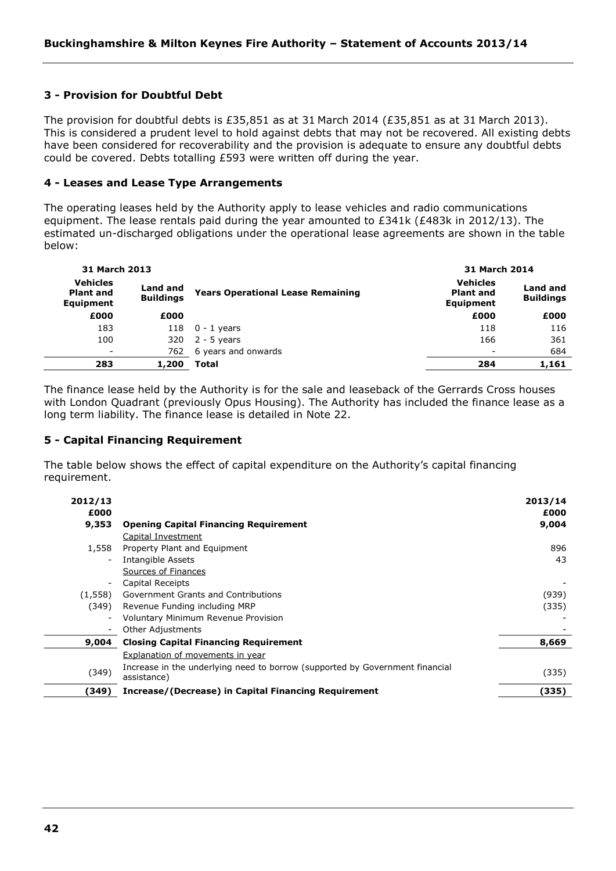# **3 - Provision for Doubtful Debt**

The provision for doubtful debts is £35,851 as at 31 March 2014 (£35,851 as at 31 March 2013). This is considered a prudent level to hold against debts that may not be recovered. All existing debts have been considered for recoverability and the provision is adequate to ensure any doubtful debts could be covered. Debts totalling £593 were written off during the year.

# **4 - Leases and Lease Type Arrangements**

The operating leases held by the Authority apply to lease vehicles and radio communications equipment. The lease rentals paid during the year amounted to £341k (£483k in 2012/13). The estimated un-discharged obligations under the operational lease agreements are shown in the table below:

| 31 March 2013                                           |                              |                                          | <b>31 March 2014</b>                             |                              |
|---------------------------------------------------------|------------------------------|------------------------------------------|--------------------------------------------------|------------------------------|
| <b>Vehicles</b><br><b>Plant and</b><br><b>Equipment</b> | Land and<br><b>Buildings</b> | <b>Years Operational Lease Remaining</b> | <b>Vehicles</b><br><b>Plant and</b><br>Equipment | Land and<br><b>Buildings</b> |
| £000                                                    | £000                         |                                          | £000                                             | £000                         |
| 183                                                     | 118                          | $0 - 1$ years                            | 118                                              | 116                          |
| 100                                                     | 320                          | $2 - 5$ years                            | 166                                              | 361                          |
| $\overline{\phantom{a}}$                                | 762                          | 6 years and onwards                      |                                                  | 684                          |
| 283                                                     | 1,200                        | Total                                    | 284                                              | 1,161                        |

The finance lease held by the Authority is for the sale and leaseback of the Gerrards Cross houses with London Quadrant (previously Opus Housing). The Authority has included the finance lease as a long term liability. The finance lease is detailed in Note 22.

# **5 - Capital Financing Requirement**

The table below shows the effect of capital expenditure on the Authority's capital financing requirement.

| 2012/13<br>£000<br>9,353 | <b>Opening Capital Financing Requirement</b>                                                | 2013/14<br>£000<br>9,004 |
|--------------------------|---------------------------------------------------------------------------------------------|--------------------------|
|                          | Capital Investment                                                                          |                          |
| 1,558                    | Property Plant and Equipment                                                                | 896                      |
| $\overline{a}$           | Intangible Assets                                                                           | 43                       |
|                          | Sources of Finances                                                                         |                          |
| $\overline{\phantom{a}}$ | Capital Receipts                                                                            |                          |
| (1,558)                  | Government Grants and Contributions                                                         | (939)                    |
| (349)                    | Revenue Funding including MRP                                                               | (335)                    |
| $\overline{\phantom{a}}$ | <b>Voluntary Minimum Revenue Provision</b>                                                  |                          |
| $\overline{\phantom{a}}$ | Other Adjustments                                                                           |                          |
| 9,004                    | <b>Closing Capital Financing Requirement</b>                                                | 8,669                    |
|                          | <b>Explanation of movements in year</b>                                                     |                          |
| (349)                    | Increase in the underlying need to borrow (supported by Government financial<br>assistance) | (335)                    |
| (349)                    | <b>Increase/(Decrease) in Capital Financing Requirement</b>                                 | (335)                    |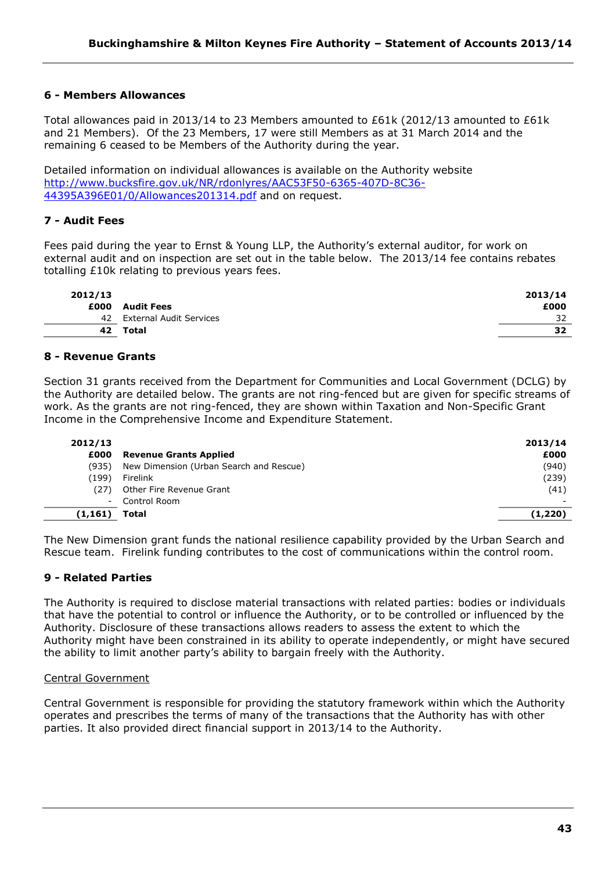# **6 - Members Allowances**

Total allowances paid in 2013/14 to 23 Members amounted to £61k (2012/13 amounted to £61k and 21 Members). Of the 23 Members, 17 were still Members as at 31 March 2014 and the remaining 6 ceased to be Members of the Authority during the year.

Detailed information on individual allowances is available on the Authority website [http://www.bucksfire.gov.uk/NR/rdonlyres/AAC53F50-6365-407D-8C36-](http://www.bucksfire.gov.uk/NR/rdonlyres/AAC53F50-6365-407D-8C36-44395A396E01/0/Allowances201314.pdf) [44395A396E01/0/Allowances201314.pdf](http://www.bucksfire.gov.uk/NR/rdonlyres/AAC53F50-6365-407D-8C36-44395A396E01/0/Allowances201314.pdf) and on request.

# **7 - Audit Fees**

Fees paid during the year to Ernst & Young LLP, the Authority's external auditor, for work on external audit and on inspection are set out in the table below. The 2013/14 fee contains rebates totalling £10k relating to previous years fees.

| 2012/13 |                         | 2013/14 |
|---------|-------------------------|---------|
| £000    | <b>Audit Fees</b>       | £000    |
| 42      | External Audit Services | 32      |
| 42      | Total                   | 32      |
|         |                         |         |

# **8 - Revenue Grants**

Section 31 grants received from the Department for Communities and Local Government (DCLG) by the Authority are detailed below. The grants are not ring-fenced but are given for specific streams of work. As the grants are not ring-fenced, they are shown within Taxation and Non-Specific Grant Income in the Comprehensive Income and Expenditure Statement.

| 2012/13<br>£000 | <b>Revenue Grants Applied</b>           | 2013/14<br>£000 |
|-----------------|-----------------------------------------|-----------------|
| (935)           | New Dimension (Urban Search and Rescue) | (940)           |
| (199)           | Firelink                                | (239)           |
| (27)            | Other Fire Revenue Grant                | (41)            |
| $\sim$          | Control Room                            |                 |
| (1, 161)        | Total                                   | (1, 220)        |

The New Dimension grant funds the national resilience capability provided by the Urban Search and Rescue team. Firelink funding contributes to the cost of communications within the control room.

# **9 - Related Parties**

The Authority is required to disclose material transactions with related parties: bodies or individuals that have the potential to control or influence the Authority, or to be controlled or influenced by the Authority. Disclosure of these transactions allows readers to assess the extent to which the Authority might have been constrained in its ability to operate independently, or might have secured the ability to limit another party's ability to bargain freely with the Authority.

### Central Government

Central Government is responsible for providing the statutory framework within which the Authority operates and prescribes the terms of many of the transactions that the Authority has with other parties. It also provided direct financial support in 2013/14 to the Authority.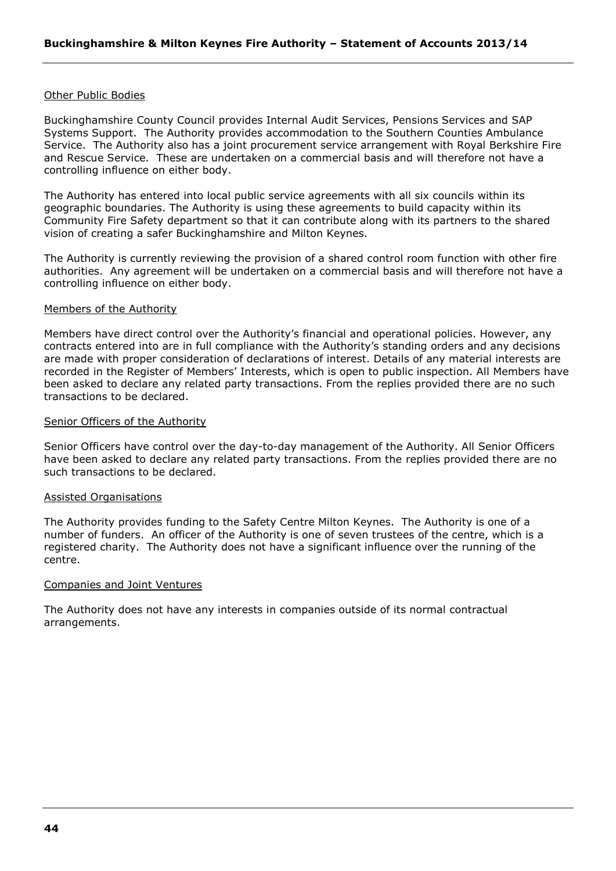### Other Public Bodies

Buckinghamshire County Council provides Internal Audit Services, Pensions Services and SAP Systems Support. The Authority provides accommodation to the Southern Counties Ambulance Service. The Authority also has a joint procurement service arrangement with Royal Berkshire Fire and Rescue Service. These are undertaken on a commercial basis and will therefore not have a controlling influence on either body.

The Authority has entered into local public service agreements with all six councils within its geographic boundaries. The Authority is using these agreements to build capacity within its Community Fire Safety department so that it can contribute along with its partners to the shared vision of creating a safer Buckinghamshire and Milton Keynes.

The Authority is currently reviewing the provision of a shared control room function with other fire authorities. Any agreement will be undertaken on a commercial basis and will therefore not have a controlling influence on either body.

#### Members of the Authority

Members have direct control over the Authority's financial and operational policies. However, any contracts entered into are in full compliance with the Authority's standing orders and any decisions are made with proper consideration of declarations of interest. Details of any material interests are recorded in the Register of Members' Interests, which is open to public inspection. All Members have been asked to declare any related party transactions. From the replies provided there are no such transactions to be declared.

#### Senior Officers of the Authority

Senior Officers have control over the day-to-day management of the Authority. All Senior Officers have been asked to declare any related party transactions. From the replies provided there are no such transactions to be declared.

### Assisted Organisations

The Authority provides funding to the Safety Centre Milton Keynes. The Authority is one of a number of funders. An officer of the Authority is one of seven trustees of the centre, which is a registered charity. The Authority does not have a significant influence over the running of the centre.

#### Companies and Joint Ventures

The Authority does not have any interests in companies outside of its normal contractual arrangements.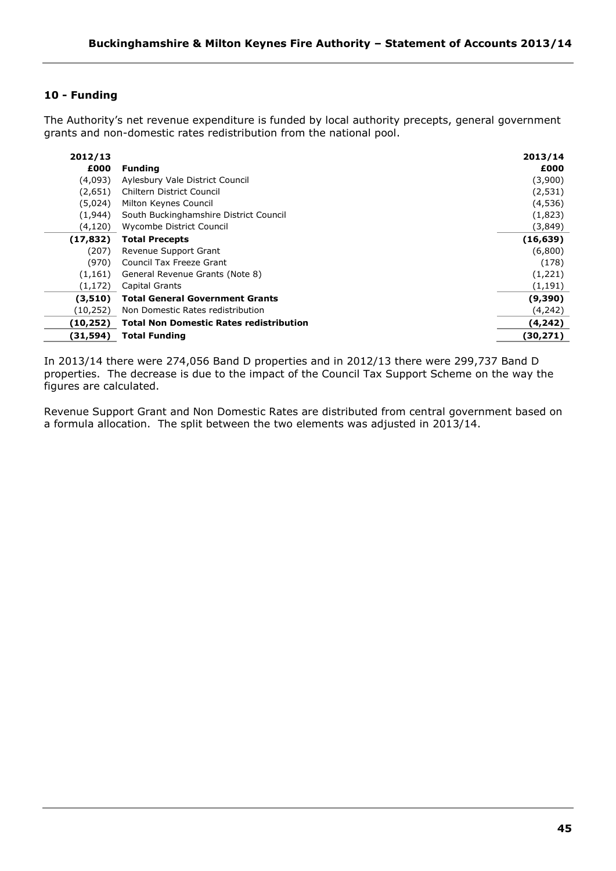# **10 - Funding**

The Authority's net revenue expenditure is funded by local authority precepts, general government grants and non-domestic rates redistribution from the national pool.

| 2012/13   |                                                | 2013/14   |
|-----------|------------------------------------------------|-----------|
| £000      | <b>Funding</b>                                 | £000      |
| (4,093)   | Aylesbury Vale District Council                | (3,900)   |
| (2,651)   | Chiltern District Council                      | (2, 531)  |
| (5,024)   | Milton Keynes Council                          | (4,536)   |
| (1,944)   | South Buckinghamshire District Council         | (1,823)   |
| (4, 120)  | Wycombe District Council                       | (3,849)   |
| (17, 832) | <b>Total Precepts</b>                          | (16, 639) |
| (207)     | Revenue Support Grant                          | (6,800)   |
| (970)     | <b>Council Tax Freeze Grant</b>                | (178)     |
| (1, 161)  | General Revenue Grants (Note 8)                | (1,221)   |
| (1, 172)  | Capital Grants                                 | (1, 191)  |
| (3,510)   | <b>Total General Government Grants</b>         | (9,390)   |
| (10, 252) | Non Domestic Rates redistribution              | (4,242)   |
| (10, 252) | <b>Total Non Domestic Rates redistribution</b> | (4,242)   |
| (31, 594) | <b>Total Funding</b>                           | (30, 271) |

In 2013/14 there were 274,056 Band D properties and in 2012/13 there were 299,737 Band D properties. The decrease is due to the impact of the Council Tax Support Scheme on the way the figures are calculated.

Revenue Support Grant and Non Domestic Rates are distributed from central government based on a formula allocation. The split between the two elements was adjusted in 2013/14.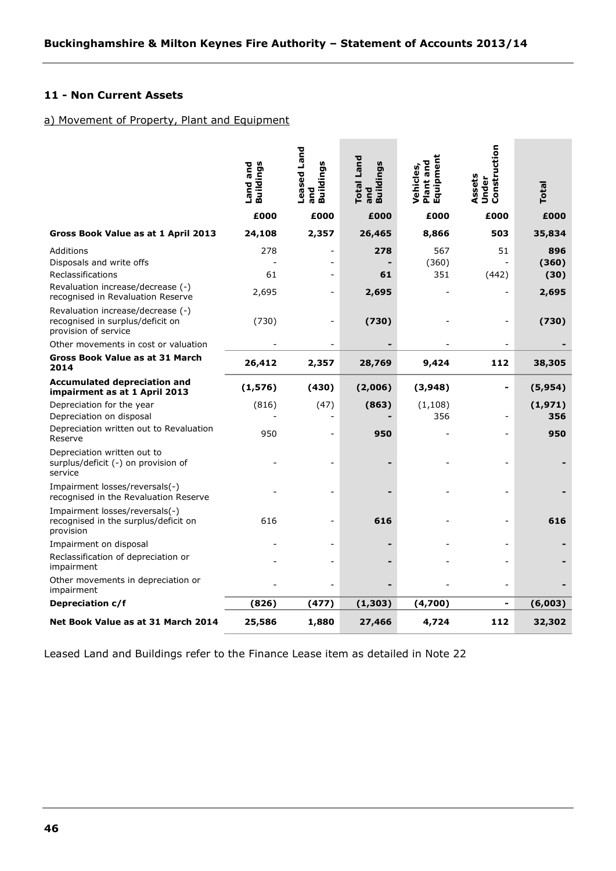# **11 - Non Current Assets**

# a) Movement of Property, Plant and Equipment

|                                                                                               | Buildings<br>Land and | Leased Land<br><b>Buildings</b><br>and | <b>Total Land</b><br><b>Buildings</b><br>and | ā<br>Plant and<br>Vehicles,<br>Equipme | Construction<br>Assets<br>Under | Total          |
|-----------------------------------------------------------------------------------------------|-----------------------|----------------------------------------|----------------------------------------------|----------------------------------------|---------------------------------|----------------|
|                                                                                               | £000                  | £000                                   | £000                                         | £000                                   | £000                            | £000           |
| Gross Book Value as at 1 April 2013                                                           | 24,108                | 2,357                                  | 26,465                                       | 8,866                                  | 503                             | 35,834         |
| Additions<br>Disposals and write offs                                                         | 278                   |                                        | 278                                          | 567<br>(360)                           | 51                              | 896<br>(360)   |
| Reclassifications<br>Revaluation increase/decrease (-)<br>recognised in Revaluation Reserve   | 61<br>2,695           |                                        | 61<br>2,695                                  | 351                                    | (442)                           | (30)<br>2,695  |
| Revaluation increase/decrease (-)<br>recognised in surplus/deficit on<br>provision of service | (730)                 |                                        | (730)                                        |                                        |                                 | (730)          |
| Other movements in cost or valuation                                                          |                       |                                        |                                              |                                        |                                 |                |
| Gross Book Value as at 31 March<br>2014                                                       | 26,412                | 2,357                                  | 28,769                                       | 9,424                                  | 112                             | 38,305         |
| <b>Accumulated depreciation and</b><br>impairment as at 1 April 2013                          | (1, 576)              | (430)                                  | (2,006)                                      | (3,948)                                |                                 | (5, 954)       |
| Depreciation for the year<br>Depreciation on disposal                                         | (816)                 | (47)                                   | (863)                                        | (1, 108)<br>356                        |                                 | (1,971)<br>356 |
| Depreciation written out to Revaluation<br>Reserve                                            | 950                   |                                        | 950                                          |                                        |                                 | 950            |
| Depreciation written out to<br>surplus/deficit (-) on provision of<br>service                 |                       |                                        |                                              |                                        |                                 |                |
| Impairment losses/reversals(-)<br>recognised in the Revaluation Reserve                       |                       |                                        |                                              |                                        |                                 |                |
| Impairment losses/reversals(-)<br>recognised in the surplus/deficit on<br>provision           | 616                   |                                        | 616                                          |                                        |                                 | 616            |
| Impairment on disposal<br>Reclassification of depreciation or<br>impairment                   |                       |                                        |                                              |                                        |                                 |                |
| Other movements in depreciation or<br>impairment                                              |                       |                                        |                                              |                                        |                                 |                |
| Depreciation c/f                                                                              | (826)                 | (477)                                  | (1, 303)                                     | (4,700)                                |                                 | (6,003)        |
| Net Book Value as at 31 March 2014                                                            | 25,586                | 1,880                                  | 27,466                                       | 4,724                                  | 112                             | 32,302         |

Leased Land and Buildings refer to the Finance Lease item as detailed in Note 22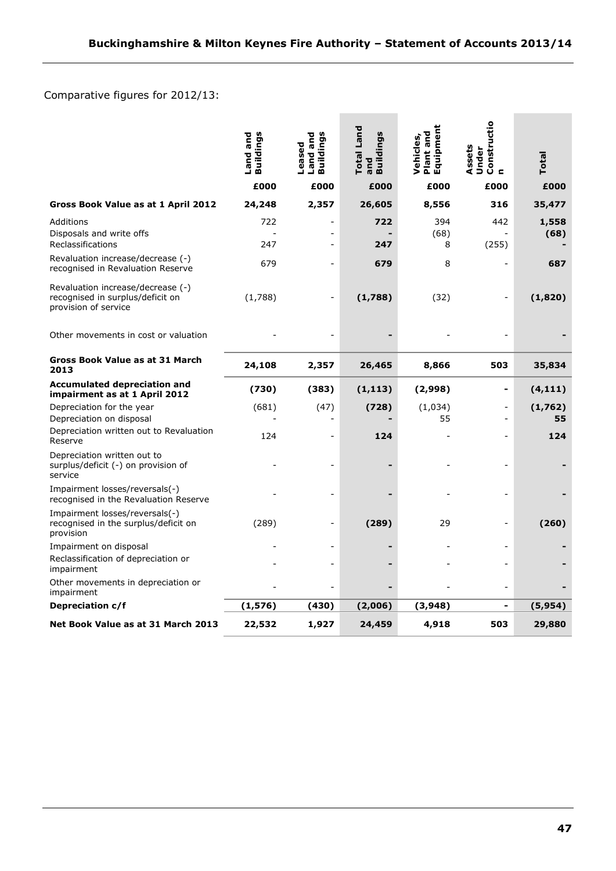# Comparative figures for 2012/13:

|                                                                                               | <b>Buildings</b><br>Land and | Buildings<br>Land and<br>Leased | Total Land<br><b>Buildings</b><br>and | Plant and<br>Equipment<br>Vehicles, | Constructio<br>n<br>Assets<br>Under | Total         |
|-----------------------------------------------------------------------------------------------|------------------------------|---------------------------------|---------------------------------------|-------------------------------------|-------------------------------------|---------------|
|                                                                                               | £000                         | £000                            | £000                                  | £000                                | £000                                | £000          |
| Gross Book Value as at 1 April 2012                                                           | 24,248                       | 2,357                           | 26,605                                | 8,556                               | 316                                 | 35,477        |
| Additions<br>Disposals and write offs<br>Reclassifications                                    | 722<br>247                   |                                 | 722<br>247                            | 394<br>(68)<br>8                    | 442<br>(255)                        | 1,558<br>(68) |
| Revaluation increase/decrease (-)<br>recognised in Revaluation Reserve                        | 679                          |                                 | 679                                   | 8                                   |                                     | 687           |
| Revaluation increase/decrease (-)<br>recognised in surplus/deficit on<br>provision of service | (1,788)                      | $\overline{a}$                  | (1,788)                               | (32)                                |                                     | (1,820)       |
| Other movements in cost or valuation                                                          |                              |                                 |                                       |                                     |                                     |               |
| Gross Book Value as at 31 March<br>2013                                                       | 24,108                       | 2,357                           | 26,465                                | 8,866                               | 503                                 | 35,834        |
| <b>Accumulated depreciation and</b><br>impairment as at 1 April 2012                          | (730)                        | (383)                           | (1, 113)                              | (2,998)                             | -                                   | (4, 111)      |
| Depreciation for the year<br>Depreciation on disposal                                         | (681)                        | (47)                            | (728)                                 | (1,034)<br>55                       | ٠                                   | (1,762)<br>55 |
| Depreciation written out to Revaluation<br>Reserve                                            | 124                          |                                 | 124                                   |                                     |                                     | 124           |
| Depreciation written out to<br>surplus/deficit (-) on provision of<br>service                 |                              | ä,                              |                                       |                                     |                                     |               |
| Impairment losses/reversals(-)<br>recognised in the Revaluation Reserve                       |                              |                                 |                                       |                                     |                                     |               |
| Impairment losses/reversals(-)<br>recognised in the surplus/deficit on<br>provision           | (289)                        | $\overline{a}$                  | (289)                                 | 29                                  | ÷                                   | (260)         |
| Impairment on disposal                                                                        |                              |                                 |                                       |                                     |                                     |               |
| Reclassification of depreciation or<br>impairment                                             |                              |                                 |                                       |                                     |                                     |               |
| Other movements in depreciation or<br>impairment                                              |                              |                                 |                                       |                                     |                                     |               |
| Depreciation c/f                                                                              | (1, 576)                     | (430)                           | (2,006)                               | (3,948)                             | -                                   | (5,954)       |
| Net Book Value as at 31 March 2013                                                            | 22,532                       | 1,927                           | 24,459                                | 4,918                               | 503                                 | 29,880        |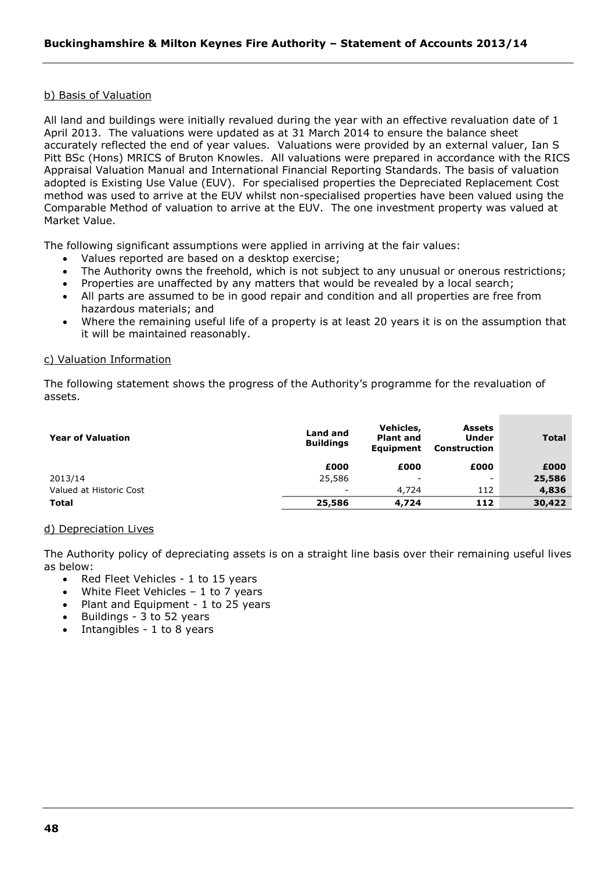### b) Basis of Valuation

All land and buildings were initially revalued during the year with an effective revaluation date of 1 April 2013. The valuations were updated as at 31 March 2014 to ensure the balance sheet accurately reflected the end of year values. Valuations were provided by an external valuer, Ian S Pitt BSc (Hons) MRICS of Bruton Knowles. All valuations were prepared in accordance with the RICS Appraisal Valuation Manual and International Financial Reporting Standards. The basis of valuation adopted is Existing Use Value (EUV). For specialised properties the Depreciated Replacement Cost method was used to arrive at the EUV whilst non-specialised properties have been valued using the Comparable Method of valuation to arrive at the EUV. The one investment property was valued at Market Value.

The following significant assumptions were applied in arriving at the fair values:

- Values reported are based on a desktop exercise;
- The Authority owns the freehold, which is not subject to any unusual or onerous restrictions;
- Properties are unaffected by any matters that would be revealed by a local search;
- All parts are assumed to be in good repair and condition and all properties are free from hazardous materials; and
- Where the remaining useful life of a property is at least 20 years it is on the assumption that it will be maintained reasonably.

### c) Valuation Information

The following statement shows the progress of the Authority's programme for the revaluation of assets.

| <b>Year of Valuation</b> | Land and<br><b>Buildings</b> | Vehicles,<br><b>Plant and</b><br><b>Equipment</b> | <b>Assets</b><br><b>Under</b><br>Construction | <b>Total</b> |
|--------------------------|------------------------------|---------------------------------------------------|-----------------------------------------------|--------------|
|                          | £000                         | £000                                              | £000                                          | £000         |
| 2013/14                  | 25,586                       | -                                                 | -                                             | 25,586       |
| Valued at Historic Cost  | -                            | 4,724                                             | 112                                           | 4,836        |
| <b>Total</b>             | 25,586                       | 4,724                                             | 112                                           | 30,422       |

# d) Depreciation Lives

The Authority policy of depreciating assets is on a straight line basis over their remaining useful lives as below:

- Red Fleet Vehicles 1 to 15 years
- White Fleet Vehicles  $-1$  to 7 years
- Plant and Equipment 1 to 25 years
- Buildings 3 to 52 years
- Intangibles 1 to 8 years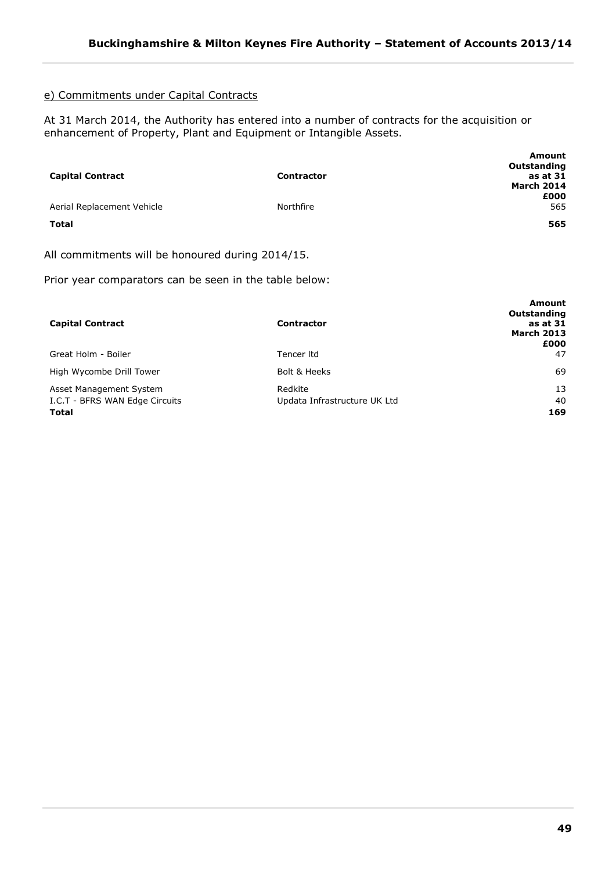# e) Commitments under Capital Contracts

At 31 March 2014, the Authority has entered into a number of contracts for the acquisition or enhancement of Property, Plant and Equipment or Intangible Assets.

|                            |                   | <b>Amount</b><br>Outstanding |
|----------------------------|-------------------|------------------------------|
| <b>Capital Contract</b>    | <b>Contractor</b> | as at 31                     |
|                            |                   | <b>March 2014</b>            |
|                            |                   | £000                         |
| Aerial Replacement Vehicle | Northfire         | 565                          |
| <b>Total</b>               |                   | 565                          |

All commitments will be honoured during 2014/15.

Prior year comparators can be seen in the table below:

| <b>Capital Contract</b>        | <b>Contractor</b>            | Amount<br>Outstanding<br>as at 31<br><b>March 2013</b><br>£000 |
|--------------------------------|------------------------------|----------------------------------------------------------------|
| Great Holm - Boiler            | Tencer Itd                   | 47                                                             |
| High Wycombe Drill Tower       | Bolt & Heeks                 | 69                                                             |
| Asset Management System        | Redkite                      | 13                                                             |
| I.C.T - BFRS WAN Edge Circuits | Updata Infrastructure UK Ltd | 40                                                             |
| <b>Total</b>                   |                              | 169                                                            |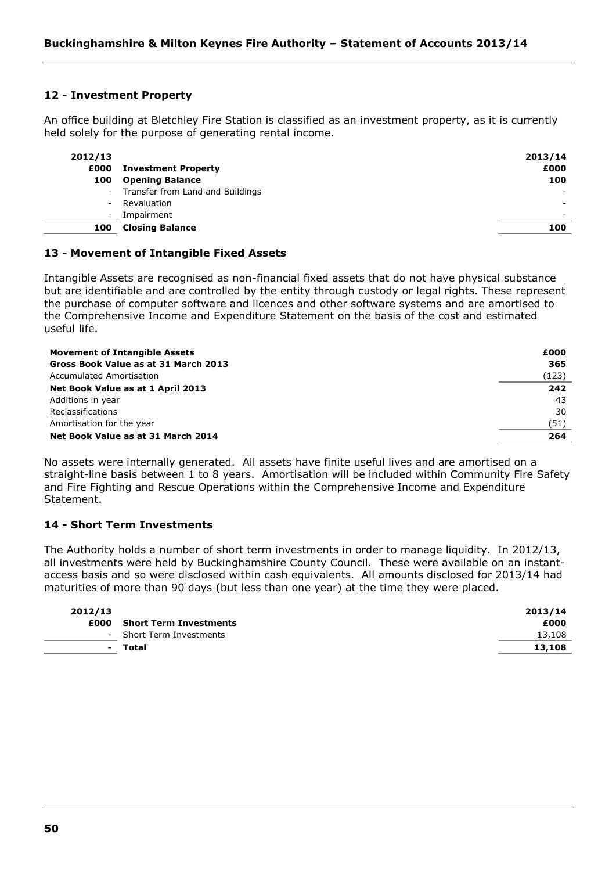# **12 - Investment Property**

An office building at Bletchley Fire Station is classified as an investment property, as it is currently held solely for the purpose of generating rental income.

| 2012/13<br>£000<br>100 | <b>Investment Property</b><br><b>Opening Balance</b> | 2013/14<br>£000<br>100   |
|------------------------|------------------------------------------------------|--------------------------|
|                        | - Transfer from Land and Buildings                   |                          |
| $\sim$                 | Revaluation                                          | $\overline{\phantom{0}}$ |
| $\sim$                 | Impairment                                           | $\sim$                   |
| 100                    | <b>Closing Balance</b>                               | 100                      |

### **13 - Movement of Intangible Fixed Assets**

Intangible Assets are recognised as non-financial fixed assets that do not have physical substance but are identifiable and are controlled by the entity through custody or legal rights. These represent the purchase of computer software and licences and other software systems and are amortised to the Comprehensive Income and Expenditure Statement on the basis of the cost and estimated useful life.

| <b>Movement of Intangible Assets</b> | £000  |
|--------------------------------------|-------|
| Gross Book Value as at 31 March 2013 | 365   |
| Accumulated Amortisation             | (123) |
| Net Book Value as at 1 April 2013    | 242   |
| Additions in year                    | 43    |
| Reclassifications                    | 30    |
| Amortisation for the year            | (51)  |
| Net Book Value as at 31 March 2014   | 264   |

No assets were internally generated. All assets have finite useful lives and are amortised on a straight-line basis between 1 to 8 years. Amortisation will be included within Community Fire Safety and Fire Fighting and Rescue Operations within the Comprehensive Income and Expenditure Statement.

# **14 - Short Term Investments**

The Authority holds a number of short term investments in order to manage liquidity. In 2012/13, all investments were held by Buckinghamshire County Council. These were available on an instantaccess basis and so were disclosed within cash equivalents. All amounts disclosed for 2013/14 had maturities of more than 90 days (but less than one year) at the time they were placed.

| 2012/13 |                               | 2013/14 |
|---------|-------------------------------|---------|
| £000    | <b>Short Term Investments</b> | £000    |
|         | - Short Term Investments      | 13,108  |
| $\sim$  | Total                         | 13,108  |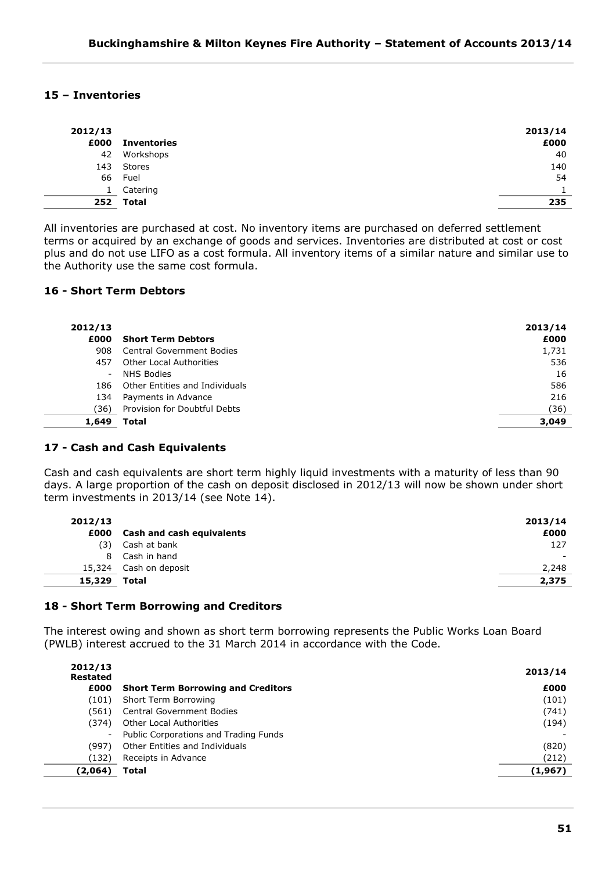# **15 – Inventories**

à.  $\overline{\phantom{a}}$ 

i.

| 2012/13 |                    | 2013/14 |
|---------|--------------------|---------|
| £000    | <b>Inventories</b> | £000    |
| 42      | Workshops          | 40      |
|         | 143 Stores         | 140     |
| 66      | Fuel               | 54      |
| 1       | Catering           |         |
|         | 252 Total          | 235     |

All inventories are purchased at cost. No inventory items are purchased on deferred settlement terms or acquired by an exchange of goods and services. Inventories are distributed at cost or cost plus and do not use LIFO as a cost formula. All inventory items of a similar nature and similar use to the Authority use the same cost formula.

# **16 - Short Term Debtors**

| 2012/13<br>£000          | <b>Short Term Debtors</b>        | 2013/14<br>£000 |
|--------------------------|----------------------------------|-----------------|
| 908                      | <b>Central Government Bodies</b> | 1,731           |
| 457                      | Other Local Authorities          | 536             |
| $\overline{\phantom{0}}$ | <b>NHS Bodies</b>                | 16              |
| 186                      | Other Entities and Individuals   | 586             |
| 134                      | Payments in Advance              | 216             |
| 36)                      | Provision for Doubtful Debts     | (36)            |
| 1,649                    | Total                            | 3,049           |

### **17 - Cash and Cash Equivalents**

Cash and cash equivalents are short term highly liquid investments with a maturity of less than 90 days. A large proportion of the cash on deposit disclosed in 2012/13 will now be shown under short term investments in 2013/14 (see Note 14).

|              | 2013/14                                      |
|--------------|----------------------------------------------|
|              | £000                                         |
| Cash at bank | 127                                          |
| Cash in hand |                                              |
|              | 2,248                                        |
| Total        | 2,375                                        |
|              | Cash and cash equivalents<br>Cash on deposit |

### **18 - Short Term Borrowing and Creditors**

The interest owing and shown as short term borrowing represents the Public Works Loan Board (PWLB) interest accrued to the 31 March 2014 in accordance with the Code.

| 2012/13<br>Restated |                                           | 2013/14 |
|---------------------|-------------------------------------------|---------|
| £000                | <b>Short Term Borrowing and Creditors</b> | £000    |
| (101)               | Short Term Borrowing                      | (101)   |
| (561)               | <b>Central Government Bodies</b>          | (741)   |
| (374)               | Other Local Authorities                   | (194)   |
| ۰.                  | Public Corporations and Trading Funds     |         |
| (997)               | Other Entities and Individuals            | (820)   |
| (132)               | Receipts in Advance                       | (212)   |
| (2,064)             | <b>Total</b>                              | (1,967) |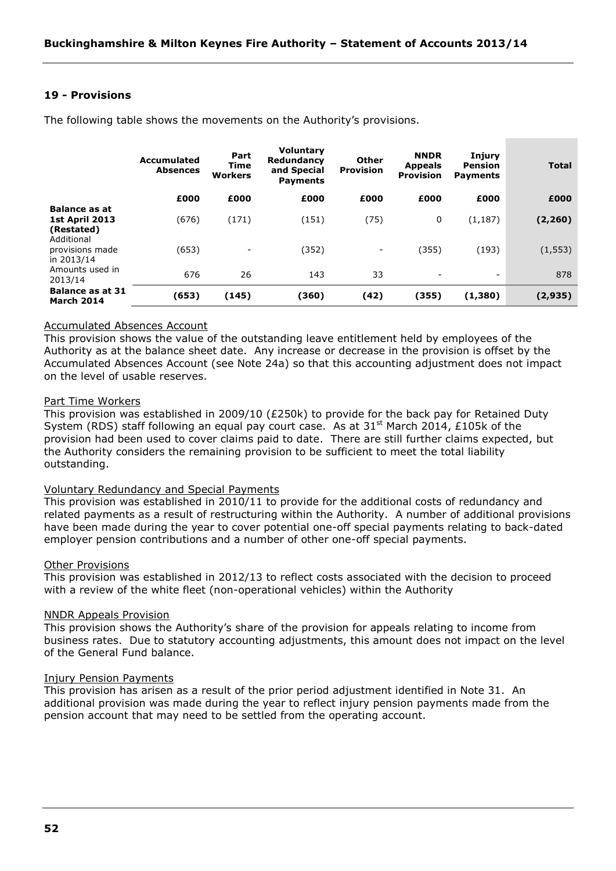# **19 - Provisions**

|                                                             | Accumulated<br><b>Absences</b> | Part<br>Time<br>Workers  | <b>Voluntary</b><br>Redundancy<br>and Special<br><b>Payments</b> | Other<br><b>Provision</b> | <b>NNDR</b><br><b>Appeals</b><br><b>Provision</b> | Injury<br>Pension<br><b>Payments</b> | <b>Total</b> |
|-------------------------------------------------------------|--------------------------------|--------------------------|------------------------------------------------------------------|---------------------------|---------------------------------------------------|--------------------------------------|--------------|
|                                                             | £000                           | £000                     | £000                                                             | £000                      | £000                                              | £000                                 | £000         |
| <b>Balance as at</b><br><b>1st April 2013</b><br>(Restated) | (676)                          | (171)                    | (151)                                                            | (75)                      | 0                                                 | (1, 187)                             | (2, 260)     |
| Additional<br>provisions made<br>in 2013/14                 | (653)                          | $\overline{\phantom{a}}$ | (352)                                                            | $\overline{\phantom{0}}$  | (355)                                             | (193)                                | (1, 553)     |
| Amounts used in<br>2013/14                                  | 676                            | 26                       | 143                                                              | 33                        | $\overline{\phantom{a}}$                          | $\overline{\phantom{a}}$             | 878          |
| <b>Balance as at 31</b><br><b>March 2014</b>                | (653)                          | (145)                    | (360)                                                            | (42)                      | (355)                                             | (1,380)                              | (2, 935)     |

The following table shows the movements on the Authority's provisions.

### Accumulated Absences Account

This provision shows the value of the outstanding leave entitlement held by employees of the Authority as at the balance sheet date. Any increase or decrease in the provision is offset by the Accumulated Absences Account (see Note 24a) so that this accounting adjustment does not impact on the level of usable reserves.

### Part Time Workers

This provision was established in 2009/10 (£250k) to provide for the back pay for Retained Duty System (RDS) staff following an equal pay court case. As at  $31<sup>st</sup>$  March 2014, £105k of the provision had been used to cover claims paid to date. There are still further claims expected, but the Authority considers the remaining provision to be sufficient to meet the total liability outstanding.

### Voluntary Redundancy and Special Payments

This provision was established in 2010/11 to provide for the additional costs of redundancy and related payments as a result of restructuring within the Authority. A number of additional provisions have been made during the year to cover potential one-off special payments relating to back-dated employer pension contributions and a number of other one-off special payments.

#### Other Provisions

This provision was established in 2012/13 to reflect costs associated with the decision to proceed with a review of the white fleet (non-operational vehicles) within the Authority

#### NNDR Appeals Provision

This provision shows the Authority's share of the provision for appeals relating to income from business rates. Due to statutory accounting adjustments, this amount does not impact on the level of the General Fund balance.

#### Injury Pension Payments

This provision has arisen as a result of the prior period adjustment identified in Note 31. An additional provision was made during the year to reflect injury pension payments made from the pension account that may need to be settled from the operating account.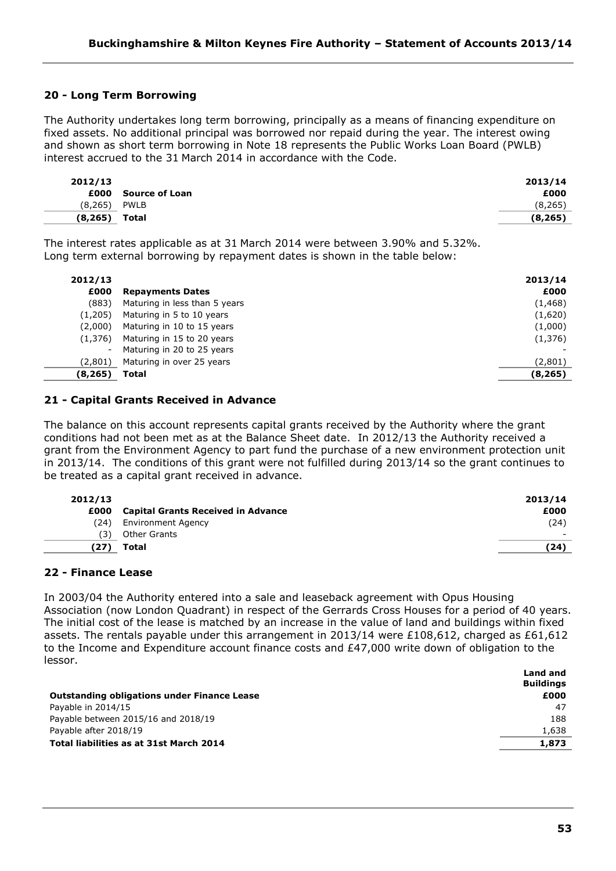# **20 - Long Term Borrowing**

The Authority undertakes long term borrowing, principally as a means of financing expenditure on fixed assets. No additional principal was borrowed nor repaid during the year. The interest owing and shown as short term borrowing in Note 18 represents the Public Works Loan Board (PWLB) interest accrued to the 31 March 2014 in accordance with the Code.

| 2012/13  |                | 2013/14  |
|----------|----------------|----------|
| £000     | Source of Loan | £000     |
| (8, 265) | <b>PWLB</b>    | (8,265)  |
| (8, 265) | Total          | (8, 265) |

The interest rates applicable as at 31 March 2014 were between 3.90% and 5.32%. Long term external borrowing by repayment dates is shown in the table below:

| 2012/13  |                               | 2013/14  |
|----------|-------------------------------|----------|
| £000     | <b>Repayments Dates</b>       | £000     |
| (883)    | Maturing in less than 5 years | (1, 468) |
| (1,205)  | Maturing in 5 to 10 years     | (1,620)  |
| (2.000)  | Maturing in 10 to 15 years    | (1,000)  |
| (1,376)  | Maturing in 15 to 20 years    | (1,376)  |
| $\sim$   | Maturing in 20 to 25 years    |          |
| (2,801)  | Maturing in over 25 years     | (2,801)  |
| (8, 265) | Total                         | (8, 265) |

# **21 - Capital Grants Received in Advance**

The balance on this account represents capital grants received by the Authority where the grant conditions had not been met as at the Balance Sheet date. In 2012/13 the Authority received a grant from the Environment Agency to part fund the purchase of a new environment protection unit in 2013/14. The conditions of this grant were not fulfilled during 2013/14 so the grant continues to be treated as a capital grant received in advance.

| 2012/13 |                                           | 2013/14                  |
|---------|-------------------------------------------|--------------------------|
| £000    | <b>Capital Grants Received in Advance</b> | £000                     |
| (24)    | <b>Environment Agency</b>                 | (24)                     |
| ΄3)     | Other Grants                              | $\overline{\phantom{0}}$ |
| 27      | Total                                     | (24)                     |
|         |                                           |                          |

# **22 - Finance Lease**

In 2003/04 the Authority entered into a sale and leaseback agreement with Opus Housing Association (now London Quadrant) in respect of the Gerrards Cross Houses for a period of 40 years. The initial cost of the lease is matched by an increase in the value of land and buildings within fixed assets. The rentals payable under this arrangement in 2013/14 were £108,612, charged as £61,612 to the Income and Expenditure account finance costs and £47,000 write down of obligation to the lessor.

|                                                    | Land and<br><b>Buildings</b> |
|----------------------------------------------------|------------------------------|
| <b>Outstanding obligations under Finance Lease</b> | £000                         |
| Payable in 2014/15                                 | 47                           |
| Payable between 2015/16 and 2018/19                | 188                          |
| Payable after 2018/19                              | 1,638                        |
| Total liabilities as at 31st March 2014            | 1,873                        |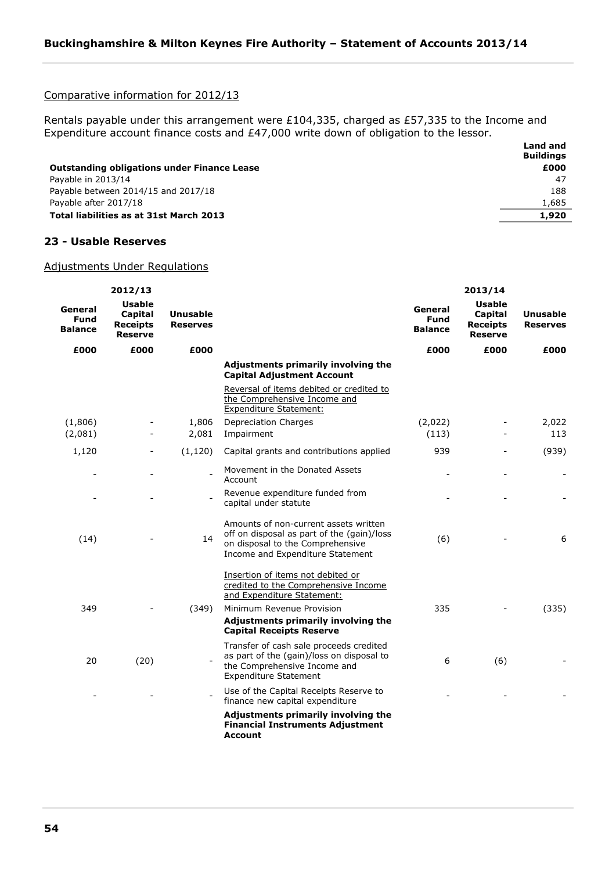# Comparative information for 2012/13

Rentals payable under this arrangement were £104,335, charged as £57,335 to the Income and Expenditure account finance costs and £47,000 write down of obligation to the lessor.

|                                                    | Land and<br><b>Buildings</b> |
|----------------------------------------------------|------------------------------|
| <b>Outstanding obligations under Finance Lease</b> | £000                         |
| Payable in 2013/14                                 | -47                          |
| Payable between 2014/15 and 2017/18                | 188                          |
| Payable after 2017/18                              | 1,685                        |
| Total liabilities as at 31st March 2013            | 1,920                        |

#### **23 - Usable Reserves**

# Adjustments Under Regulations

|                                          | 2012/13                                                       |                                    |                                                                                                                                                             |                                          | 2013/14                                         |                                    |
|------------------------------------------|---------------------------------------------------------------|------------------------------------|-------------------------------------------------------------------------------------------------------------------------------------------------------------|------------------------------------------|-------------------------------------------------|------------------------------------|
| General<br><b>Fund</b><br><b>Balance</b> | <b>Usable</b><br><b>Capital</b><br><b>Receipts</b><br>Reserve | <b>Unusable</b><br><b>Reserves</b> |                                                                                                                                                             | General<br><b>Fund</b><br><b>Balance</b> | Usable<br>Capital<br><b>Receipts</b><br>Reserve | <b>Unusable</b><br><b>Reserves</b> |
| £000                                     | £000                                                          | £000                               |                                                                                                                                                             | £000                                     | £000                                            | £000                               |
|                                          |                                                               |                                    | Adjustments primarily involving the<br><b>Capital Adjustment Account</b>                                                                                    |                                          |                                                 |                                    |
|                                          |                                                               |                                    | Reversal of items debited or credited to<br>the Comprehensive Income and<br><b>Expenditure Statement:</b>                                                   |                                          |                                                 |                                    |
| (1,806)                                  |                                                               | 1,806                              | <b>Depreciation Charges</b>                                                                                                                                 | (2,022)                                  |                                                 | 2,022                              |
| (2,081)                                  |                                                               | 2,081                              | Impairment                                                                                                                                                  | (113)                                    |                                                 | 113                                |
| 1,120                                    |                                                               | (1, 120)                           | Capital grants and contributions applied                                                                                                                    | 939                                      |                                                 | (939)                              |
| $\overline{\phantom{0}}$                 |                                                               |                                    | Movement in the Donated Assets<br>Account                                                                                                                   |                                          |                                                 |                                    |
|                                          |                                                               |                                    | Revenue expenditure funded from<br>capital under statute                                                                                                    |                                          |                                                 |                                    |
| (14)                                     |                                                               | 14                                 | Amounts of non-current assets written<br>off on disposal as part of the (gain)/loss<br>on disposal to the Comprehensive<br>Income and Expenditure Statement | (6)                                      |                                                 | 6                                  |
|                                          |                                                               |                                    | Insertion of items not debited or<br>credited to the Comprehensive Income<br>and Expenditure Statement:                                                     |                                          |                                                 |                                    |
| 349                                      |                                                               | (349)                              | Minimum Revenue Provision                                                                                                                                   | 335                                      |                                                 | (335)                              |
|                                          |                                                               |                                    | Adjustments primarily involving the<br><b>Capital Receipts Reserve</b>                                                                                      |                                          |                                                 |                                    |
| 20                                       | (20)                                                          |                                    | Transfer of cash sale proceeds credited<br>as part of the (gain)/loss on disposal to<br>the Comprehensive Income and<br><b>Expenditure Statement</b>        | 6                                        | (6)                                             |                                    |
|                                          |                                                               |                                    | Use of the Capital Receipts Reserve to<br>finance new capital expenditure                                                                                   |                                          |                                                 |                                    |
|                                          |                                                               |                                    | Adjustments primarily involving the<br><b>Financial Instruments Adjustment</b><br>Account                                                                   |                                          |                                                 |                                    |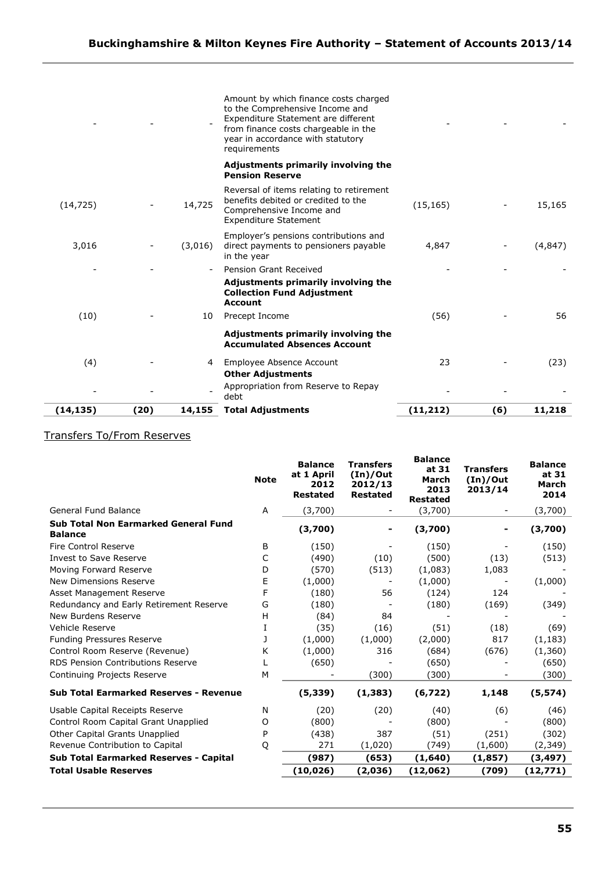|           |      |         | Amount by which finance costs charged<br>to the Comprehensive Income and<br>Expenditure Statement are different<br>from finance costs chargeable in the<br>year in accordance with statutory<br>requirements |           |     |          |
|-----------|------|---------|--------------------------------------------------------------------------------------------------------------------------------------------------------------------------------------------------------------|-----------|-----|----------|
|           |      |         | Adjustments primarily involving the<br><b>Pension Reserve</b>                                                                                                                                                |           |     |          |
| (14, 725) |      | 14,725  | Reversal of items relating to retirement<br>benefits debited or credited to the<br>Comprehensive Income and<br><b>Expenditure Statement</b>                                                                  | (15, 165) |     | 15,165   |
| 3,016     |      | (3,016) | Employer's pensions contributions and<br>direct payments to pensioners payable<br>in the year                                                                                                                | 4,847     |     | (4, 847) |
|           |      |         | Pension Grant Received                                                                                                                                                                                       |           |     |          |
|           |      |         | Adjustments primarily involving the<br><b>Collection Fund Adjustment</b><br><b>Account</b>                                                                                                                   |           |     |          |
| (10)      |      | 10      | Precept Income                                                                                                                                                                                               | (56)      |     | 56       |
|           |      |         | Adjustments primarily involving the<br><b>Accumulated Absences Account</b>                                                                                                                                   |           |     |          |
| (4)       |      | 4       | Employee Absence Account<br><b>Other Adjustments</b>                                                                                                                                                         | 23        |     | (23)     |
|           |      |         | Appropriation from Reserve to Repay<br>debt                                                                                                                                                                  |           |     |          |
| (14, 135) | (20) | 14,155  | <b>Total Adjustments</b>                                                                                                                                                                                     | (11, 212) | (6) | 11,218   |

# Transfers To/From Reserves

|                                                               | <b>Note</b> | <b>Balance</b><br>at 1 April<br>2012<br><b>Restated</b> | <b>Transfers</b><br>(In)/Out<br>2012/13<br><b>Restated</b> | <b>Balance</b><br>at 31<br>March<br>2013<br><b>Restated</b> | <b>Transfers</b><br>(In)/Out<br>2013/14 | <b>Balance</b><br>at 31<br>March<br>2014 |
|---------------------------------------------------------------|-------------|---------------------------------------------------------|------------------------------------------------------------|-------------------------------------------------------------|-----------------------------------------|------------------------------------------|
| General Fund Balance                                          | A           | (3,700)                                                 |                                                            | (3,700)                                                     |                                         | (3,700)                                  |
| <b>Sub Total Non Earmarked General Fund</b><br><b>Balance</b> |             | (3,700)                                                 |                                                            | (3,700)                                                     | ۰                                       | (3,700)                                  |
| Fire Control Reserve                                          | B           | (150)                                                   |                                                            | (150)                                                       |                                         | (150)                                    |
| Invest to Save Reserve                                        | C           | (490)                                                   | (10)                                                       | (500)                                                       | (13)                                    | (513)                                    |
| Moving Forward Reserve                                        | D           | (570)                                                   | (513)                                                      | (1,083)                                                     | 1,083                                   |                                          |
| New Dimensions Reserve                                        | E           | (1,000)                                                 |                                                            | (1,000)                                                     |                                         | (1,000)                                  |
| Asset Management Reserve                                      | F           | (180)                                                   | 56                                                         | (124)                                                       | 124                                     |                                          |
| Redundancy and Early Retirement Reserve                       | G           | (180)                                                   |                                                            | (180)                                                       | (169)                                   | (349)                                    |
| New Burdens Reserve                                           | н           | (84)                                                    | 84                                                         |                                                             |                                         |                                          |
| Vehicle Reserve                                               | I           | (35)                                                    | (16)                                                       | (51)                                                        | (18)                                    | (69)                                     |
| Funding Pressures Reserve                                     | 1           | (1,000)                                                 | (1,000)                                                    | (2,000)                                                     | 817                                     | (1, 183)                                 |
| Control Room Reserve (Revenue)                                | Κ           | (1,000)                                                 | 316                                                        | (684)                                                       | (676)                                   | (1,360)                                  |
| RDS Pension Contributions Reserve                             | L           | (650)                                                   |                                                            | (650)                                                       |                                         | (650)                                    |
| Continuing Projects Reserve                                   | M           |                                                         | (300)                                                      | (300)                                                       |                                         | (300)                                    |
| <b>Sub Total Earmarked Reserves - Revenue</b>                 |             | (5, 339)                                                | (1, 383)                                                   | (6,722)                                                     | 1,148                                   | (5, 574)                                 |
| Usable Capital Receipts Reserve                               | N           | (20)                                                    | (20)                                                       | (40)                                                        | (6)                                     | (46)                                     |
| Control Room Capital Grant Unapplied                          | O           | (800)                                                   |                                                            | (800)                                                       |                                         | (800)                                    |
| Other Capital Grants Unapplied                                | P           | (438)                                                   | 387                                                        | (51)                                                        | (251)                                   | (302)                                    |
| Revenue Contribution to Capital                               | Q           | 271                                                     | (1,020)                                                    | (749)                                                       | (1,600)                                 | (2, 349)                                 |
| <b>Sub Total Earmarked Reserves - Capital</b>                 |             | (987)                                                   | (653)                                                      | (1,640)                                                     | (1, 857)                                | (3, 497)                                 |
| <b>Total Usable Reserves</b>                                  |             | (10, 026)                                               | (2,036)                                                    | (12,062)                                                    | (709)                                   | (12,771)                                 |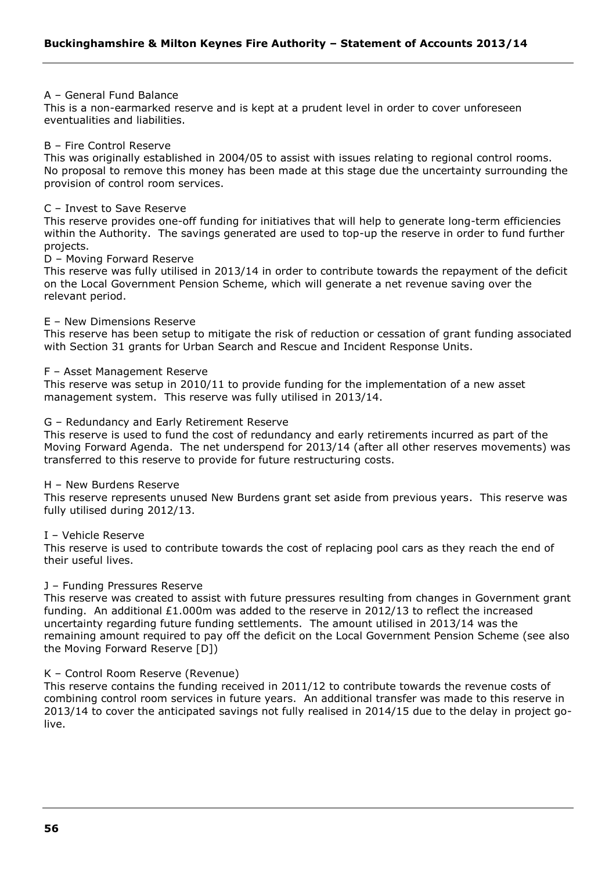### A – General Fund Balance

This is a non-earmarked reserve and is kept at a prudent level in order to cover unforeseen eventualities and liabilities.

### B – Fire Control Reserve

This was originally established in 2004/05 to assist with issues relating to regional control rooms. No proposal to remove this money has been made at this stage due the uncertainty surrounding the provision of control room services.

#### C – Invest to Save Reserve

This reserve provides one-off funding for initiatives that will help to generate long-term efficiencies within the Authority. The savings generated are used to top-up the reserve in order to fund further projects.

#### D – Moving Forward Reserve

This reserve was fully utilised in 2013/14 in order to contribute towards the repayment of the deficit on the Local Government Pension Scheme, which will generate a net revenue saving over the relevant period.

#### E – New Dimensions Reserve

This reserve has been setup to mitigate the risk of reduction or cessation of grant funding associated with Section 31 grants for Urban Search and Rescue and Incident Response Units.

#### F – Asset Management Reserve

This reserve was setup in 2010/11 to provide funding for the implementation of a new asset management system. This reserve was fully utilised in 2013/14.

#### G – Redundancy and Early Retirement Reserve

This reserve is used to fund the cost of redundancy and early retirements incurred as part of the Moving Forward Agenda. The net underspend for 2013/14 (after all other reserves movements) was transferred to this reserve to provide for future restructuring costs.

#### H – New Burdens Reserve

This reserve represents unused New Burdens grant set aside from previous years. This reserve was fully utilised during 2012/13.

#### I – Vehicle Reserve

This reserve is used to contribute towards the cost of replacing pool cars as they reach the end of their useful lives.

### J – Funding Pressures Reserve

This reserve was created to assist with future pressures resulting from changes in Government grant funding. An additional £1.000m was added to the reserve in 2012/13 to reflect the increased uncertainty regarding future funding settlements. The amount utilised in 2013/14 was the remaining amount required to pay off the deficit on the Local Government Pension Scheme (see also the Moving Forward Reserve [D])

### K – Control Room Reserve (Revenue)

This reserve contains the funding received in 2011/12 to contribute towards the revenue costs of combining control room services in future years. An additional transfer was made to this reserve in 2013/14 to cover the anticipated savings not fully realised in 2014/15 due to the delay in project golive.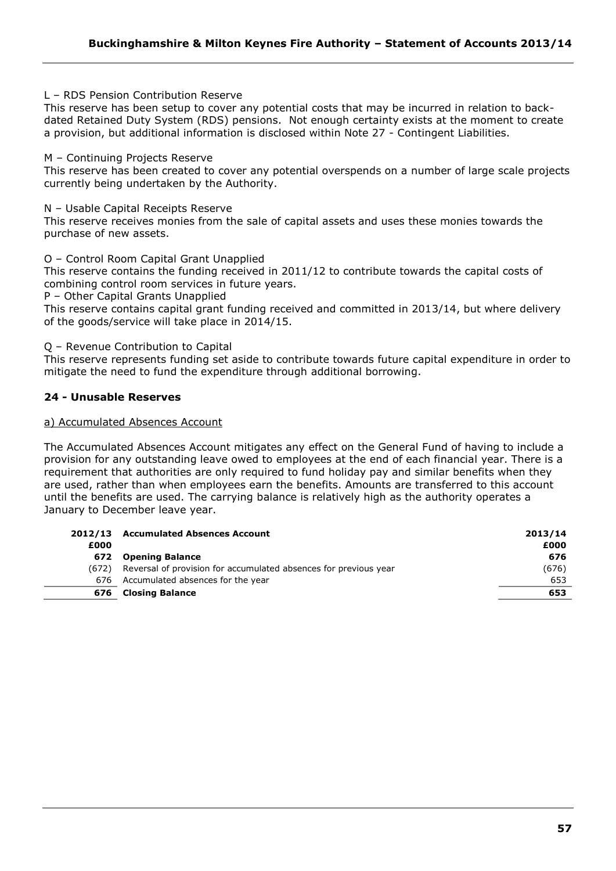L – RDS Pension Contribution Reserve

This reserve has been setup to cover any potential costs that may be incurred in relation to backdated Retained Duty System (RDS) pensions. Not enough certainty exists at the moment to create a provision, but additional information is disclosed within Note 27 - Contingent Liabilities.

M – Continuing Projects Reserve

This reserve has been created to cover any potential overspends on a number of large scale projects currently being undertaken by the Authority.

N – Usable Capital Receipts Reserve

This reserve receives monies from the sale of capital assets and uses these monies towards the purchase of new assets.

O – Control Room Capital Grant Unapplied

This reserve contains the funding received in 2011/12 to contribute towards the capital costs of combining control room services in future years.

P – Other Capital Grants Unapplied

This reserve contains capital grant funding received and committed in 2013/14, but where delivery of the goods/service will take place in 2014/15.

Q – Revenue Contribution to Capital

This reserve represents funding set aside to contribute towards future capital expenditure in order to mitigate the need to fund the expenditure through additional borrowing.

# **24 - Unusable Reserves**

#### a) Accumulated Absences Account

The Accumulated Absences Account mitigates any effect on the General Fund of having to include a provision for any outstanding leave owed to employees at the end of each financial year. There is a requirement that authorities are only required to fund holiday pay and similar benefits when they are used, rather than when employees earn the benefits. Amounts are transferred to this account until the benefits are used. The carrying balance is relatively high as the authority operates a January to December leave year.

| 2012/13 | <b>Accumulated Absences Account</b>                              | 2013/14 |
|---------|------------------------------------------------------------------|---------|
| £000    |                                                                  | £000    |
| 672     | <b>Opening Balance</b>                                           | 676     |
| (672)   | Reversal of provision for accumulated absences for previous year | (676)   |
| 676     | Accumulated absences for the year                                | 653     |
| 676     | <b>Closing Balance</b>                                           | 653     |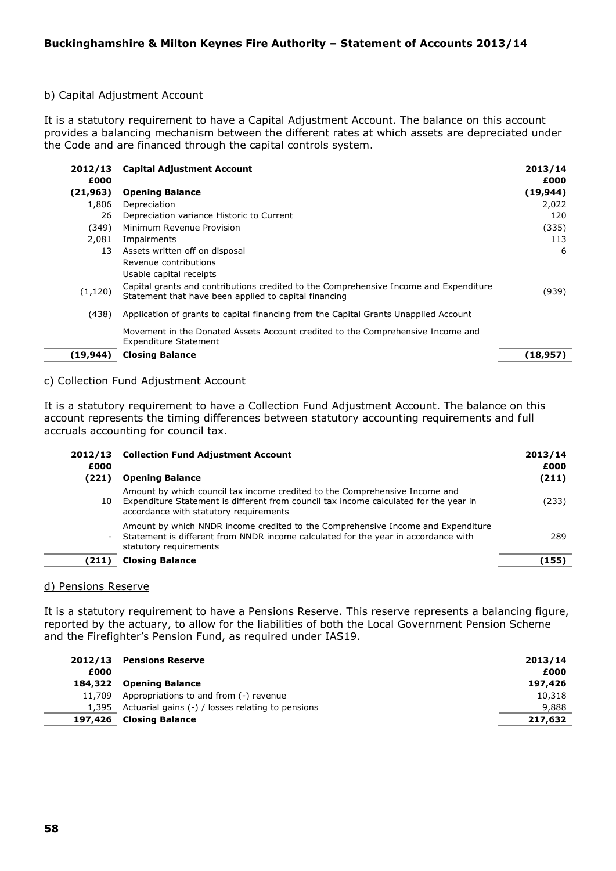# b) Capital Adjustment Account

It is a statutory requirement to have a Capital Adjustment Account. The balance on this account provides a balancing mechanism between the different rates at which assets are depreciated under the Code and are financed through the capital controls system.

| 2012/13<br>£000 | <b>Capital Adjustment Account</b>                                                                                                              | 2013/14<br>£000 |
|-----------------|------------------------------------------------------------------------------------------------------------------------------------------------|-----------------|
| (21,963)        | <b>Opening Balance</b>                                                                                                                         | (19, 944)       |
| 1.806           | Depreciation                                                                                                                                   | 2,022           |
| 26              | Depreciation variance Historic to Current                                                                                                      | 120             |
| (349)           | Minimum Revenue Provision                                                                                                                      | (335)           |
| 2,081           | Impairments                                                                                                                                    | 113             |
| 13              | Assets written off on disposal                                                                                                                 | -6              |
|                 | Revenue contributions                                                                                                                          |                 |
|                 | Usable capital receipts                                                                                                                        |                 |
| (1, 120)        | Capital grants and contributions credited to the Comprehensive Income and Expenditure<br>Statement that have been applied to capital financing | (939)           |
| (438)           | Application of grants to capital financing from the Capital Grants Unapplied Account                                                           |                 |
|                 | Movement in the Donated Assets Account credited to the Comprehensive Income and<br><b>Expenditure Statement</b>                                |                 |
| (19,944)        | <b>Closing Balance</b>                                                                                                                         | (18,957)        |

### c) Collection Fund Adjustment Account

It is a statutory requirement to have a Collection Fund Adjustment Account. The balance on this account represents the timing differences between statutory accounting requirements and full accruals accounting for council tax.

| 2012/13<br>£000<br>(221) | <b>Collection Fund Adjustment Account</b><br><b>Opening Balance</b>                                                                                                                                            | 2013/14<br>£000<br>(211) |
|--------------------------|----------------------------------------------------------------------------------------------------------------------------------------------------------------------------------------------------------------|--------------------------|
| 10                       | Amount by which council tax income credited to the Comprehensive Income and<br>Expenditure Statement is different from council tax income calculated for the year in<br>accordance with statutory requirements | (233)                    |
|                          | Amount by which NNDR income credited to the Comprehensive Income and Expenditure<br>- Statement is different from NNDR income calculated for the year in accordance with<br>statutory requirements             | 289                      |
| (211)                    | <b>Closing Balance</b>                                                                                                                                                                                         | (155)                    |

#### d) Pensions Reserve

It is a statutory requirement to have a Pensions Reserve. This reserve represents a balancing figure, reported by the actuary, to allow for the liabilities of both the Local Government Pension Scheme and the Firefighter's Pension Fund, as required under IAS19.

|      | 2012/13 Pensions Reserve                                  | 2013/14 |
|------|-----------------------------------------------------------|---------|
| £000 |                                                           | £000    |
|      | 184,322 Opening Balance                                   | 197,426 |
|      | 11,709 Appropriations to and from (-) revenue             | 10,318  |
|      | 1,395 Actuarial gains $(-)$ / losses relating to pensions | 9,888   |
|      | 197,426 Closing Balance                                   | 217,632 |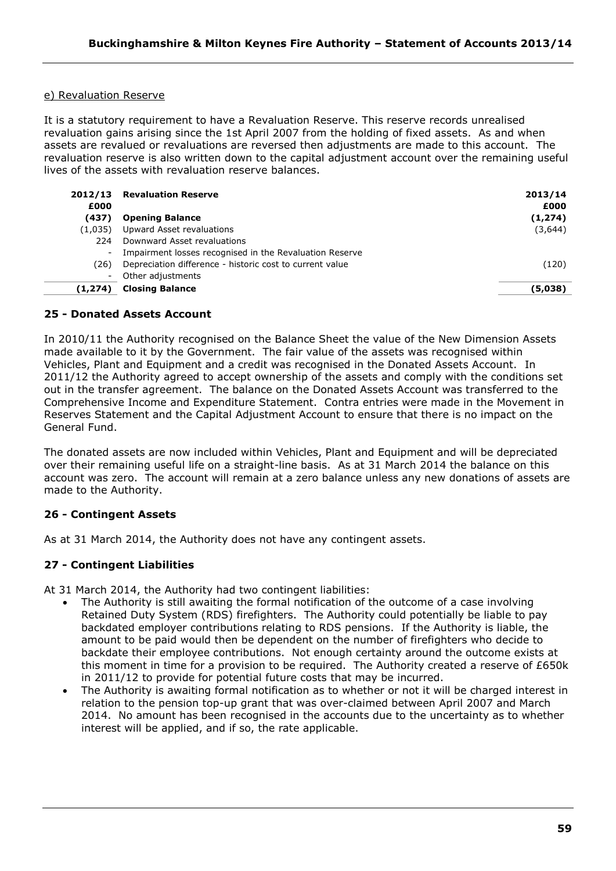# e) Revaluation Reserve

It is a statutory requirement to have a Revaluation Reserve. This reserve records unrealised revaluation gains arising since the 1st April 2007 from the holding of fixed assets. As and when assets are revalued or revaluations are reversed then adjustments are made to this account. The revaluation reserve is also written down to the capital adjustment account over the remaining useful lives of the assets with revaluation reserve balances.

| £000                     | 2012/13 Revaluation Reserve                              | 2013/14<br>£000 |
|--------------------------|----------------------------------------------------------|-----------------|
| (437)                    | <b>Opening Balance</b>                                   | (1, 274)        |
| (1,035)                  | Upward Asset revaluations                                | (3,644)         |
| 224                      | Downward Asset revaluations                              |                 |
| $\overline{\phantom{a}}$ | Impairment losses recognised in the Revaluation Reserve  |                 |
| (26)                     | Depreciation difference - historic cost to current value | (120)           |
|                          | Other adjustments                                        |                 |
| (1,274)                  | <b>Closing Balance</b>                                   | (5,038)         |

# **25 - Donated Assets Account**

In 2010/11 the Authority recognised on the Balance Sheet the value of the New Dimension Assets made available to it by the Government. The fair value of the assets was recognised within Vehicles, Plant and Equipment and a credit was recognised in the Donated Assets Account. In 2011/12 the Authority agreed to accept ownership of the assets and comply with the conditions set out in the transfer agreement. The balance on the Donated Assets Account was transferred to the Comprehensive Income and Expenditure Statement. Contra entries were made in the Movement in Reserves Statement and the Capital Adjustment Account to ensure that there is no impact on the General Fund.

The donated assets are now included within Vehicles, Plant and Equipment and will be depreciated over their remaining useful life on a straight-line basis. As at 31 March 2014 the balance on this account was zero. The account will remain at a zero balance unless any new donations of assets are made to the Authority.

# **26 - Contingent Assets**

As at 31 March 2014, the Authority does not have any contingent assets.

# **27 - Contingent Liabilities**

At 31 March 2014, the Authority had two contingent liabilities:

- The Authority is still awaiting the formal notification of the outcome of a case involving Retained Duty System (RDS) firefighters. The Authority could potentially be liable to pay backdated employer contributions relating to RDS pensions. If the Authority is liable, the amount to be paid would then be dependent on the number of firefighters who decide to backdate their employee contributions. Not enough certainty around the outcome exists at this moment in time for a provision to be required. The Authority created a reserve of £650k in 2011/12 to provide for potential future costs that may be incurred.
- The Authority is awaiting formal notification as to whether or not it will be charged interest in relation to the pension top-up grant that was over-claimed between April 2007 and March 2014. No amount has been recognised in the accounts due to the uncertainty as to whether interest will be applied, and if so, the rate applicable.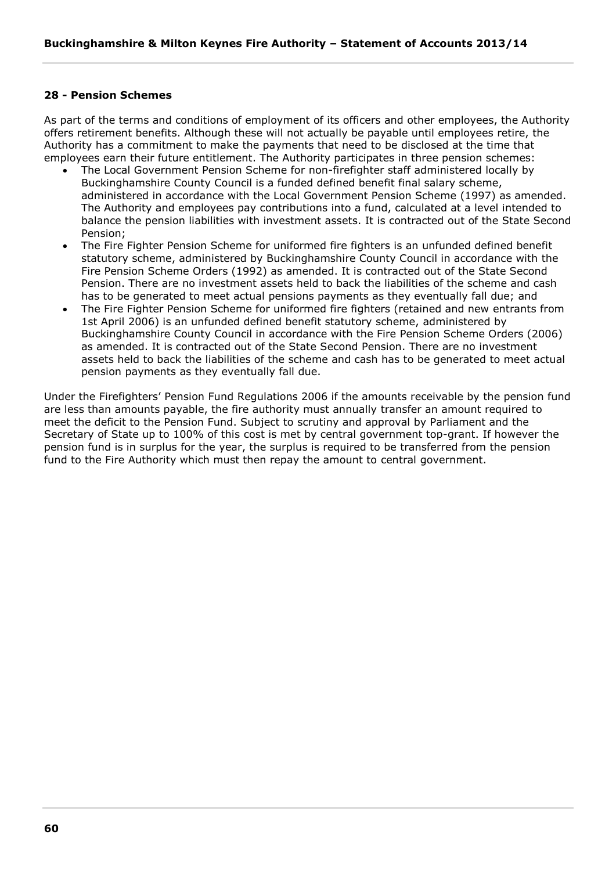# **28 - Pension Schemes**

As part of the terms and conditions of employment of its officers and other employees, the Authority offers retirement benefits. Although these will not actually be payable until employees retire, the Authority has a commitment to make the payments that need to be disclosed at the time that employees earn their future entitlement. The Authority participates in three pension schemes:

- The Local Government Pension Scheme for non-firefighter staff administered locally by Buckinghamshire County Council is a funded defined benefit final salary scheme, administered in accordance with the Local Government Pension Scheme (1997) as amended. The Authority and employees pay contributions into a fund, calculated at a level intended to balance the pension liabilities with investment assets. It is contracted out of the State Second Pension;
- The Fire Fighter Pension Scheme for uniformed fire fighters is an unfunded defined benefit statutory scheme, administered by Buckinghamshire County Council in accordance with the Fire Pension Scheme Orders (1992) as amended. It is contracted out of the State Second Pension. There are no investment assets held to back the liabilities of the scheme and cash has to be generated to meet actual pensions payments as they eventually fall due; and
- The Fire Fighter Pension Scheme for uniformed fire fighters (retained and new entrants from 1st April 2006) is an unfunded defined benefit statutory scheme, administered by Buckinghamshire County Council in accordance with the Fire Pension Scheme Orders (2006) as amended. It is contracted out of the State Second Pension. There are no investment assets held to back the liabilities of the scheme and cash has to be generated to meet actual pension payments as they eventually fall due.

Under the Firefighters' Pension Fund Regulations 2006 if the amounts receivable by the pension fund are less than amounts payable, the fire authority must annually transfer an amount required to meet the deficit to the Pension Fund. Subject to scrutiny and approval by Parliament and the Secretary of State up to 100% of this cost is met by central government top-grant. If however the pension fund is in surplus for the year, the surplus is required to be transferred from the pension fund to the Fire Authority which must then repay the amount to central government.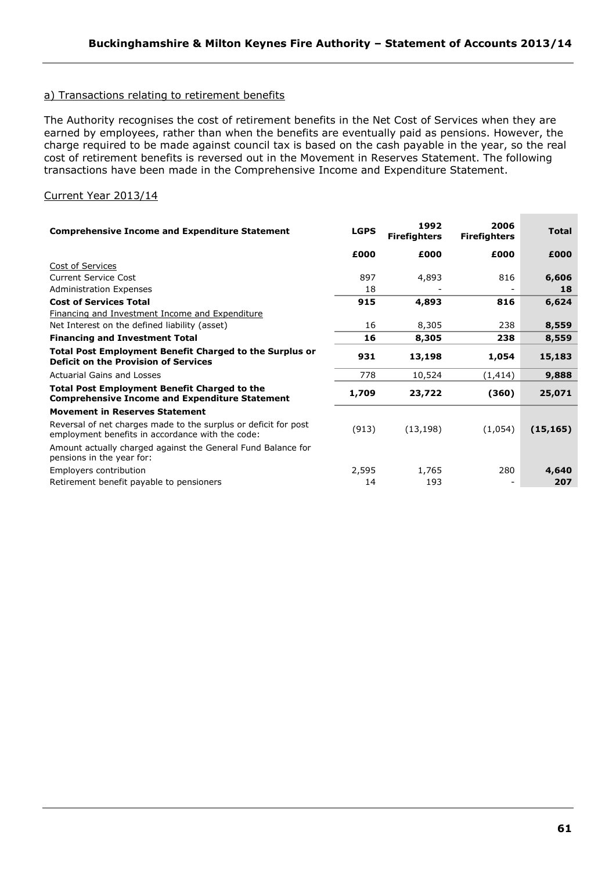# a) Transactions relating to retirement benefits

The Authority recognises the cost of retirement benefits in the Net Cost of Services when they are earned by employees, rather than when the benefits are eventually paid as pensions. However, the charge required to be made against council tax is based on the cash payable in the year, so the real cost of retirement benefits is reversed out in the Movement in Reserves Statement. The following transactions have been made in the Comprehensive Income and Expenditure Statement.

# Current Year 2013/14

| <b>Comprehensive Income and Expenditure Statement</b>                                                               | <b>LGPS</b> | 1992<br><b>Firefighters</b> | 2006<br><b>Firefighters</b> | <b>Total</b> |
|---------------------------------------------------------------------------------------------------------------------|-------------|-----------------------------|-----------------------------|--------------|
|                                                                                                                     | £000        | £000                        | £000                        | £000         |
| Cost of Services                                                                                                    |             |                             |                             |              |
| <b>Current Service Cost</b>                                                                                         | 897         | 4,893                       | 816                         | 6,606        |
| <b>Administration Expenses</b>                                                                                      | 18          |                             |                             | 18           |
| <b>Cost of Services Total</b>                                                                                       | 915         | 4,893                       | 816                         | 6,624        |
| Financing and Investment Income and Expenditure                                                                     |             |                             |                             |              |
| Net Interest on the defined liability (asset)                                                                       | 16          | 8,305                       | 238                         | 8,559        |
| <b>Financing and Investment Total</b>                                                                               | 16          | 8,305                       | 238                         | 8,559        |
| <b>Total Post Employment Benefit Charged to the Surplus or</b><br><b>Deficit on the Provision of Services</b>       | 931         | 13,198                      | 1,054                       | 15,183       |
| Actuarial Gains and Losses                                                                                          | 778         | 10,524                      | (1, 414)                    | 9,888        |
| <b>Total Post Employment Benefit Charged to the</b><br><b>Comprehensive Income and Expenditure Statement</b>        | 1,709       | 23,722                      | (360)                       | 25,071       |
| <b>Movement in Reserves Statement</b>                                                                               |             |                             |                             |              |
| Reversal of net charges made to the surplus or deficit for post<br>employment benefits in accordance with the code: | (913)       | (13, 198)                   | (1,054)                     | (15, 165)    |
| Amount actually charged against the General Fund Balance for<br>pensions in the year for:                           |             |                             |                             |              |
| Employers contribution                                                                                              | 2,595       | 1,765                       | 280                         | 4,640        |
| Retirement benefit payable to pensioners                                                                            | 14          | 193                         |                             | 207          |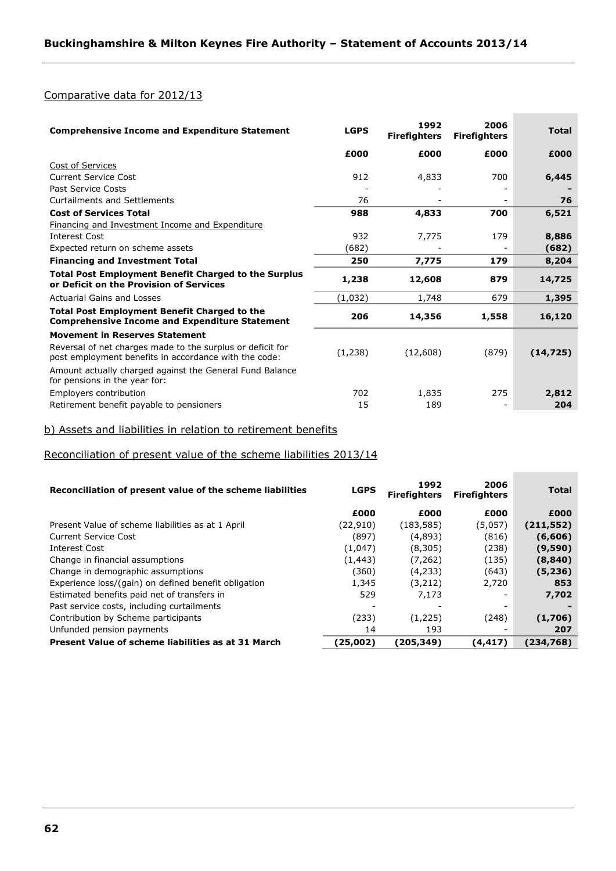# Comparative data for 2012/13

| <b>Comprehensive Income and Expenditure Statement</b>                                                               | <b>LGPS</b> | 1992<br><b>Firefighters</b> | 2006<br><b>Firefighters</b> | <b>Total</b> |
|---------------------------------------------------------------------------------------------------------------------|-------------|-----------------------------|-----------------------------|--------------|
|                                                                                                                     | £000        | £000                        | £000                        | £000         |
| Cost of Services                                                                                                    |             |                             |                             |              |
| <b>Current Service Cost</b>                                                                                         | 912         | 4,833                       | 700                         | 6,445        |
| <b>Past Service Costs</b>                                                                                           |             |                             |                             |              |
| Curtailments and Settlements                                                                                        | 76          |                             |                             | 76           |
| <b>Cost of Services Total</b>                                                                                       | 988         | 4,833                       | 700                         | 6,521        |
| <b>Financing and Investment Income and Expenditure</b>                                                              |             |                             |                             |              |
| <b>Interest Cost</b>                                                                                                | 932         | 7,775                       | 179                         | 8,886        |
| Expected return on scheme assets                                                                                    | (682)       |                             |                             | (682)        |
| <b>Financing and Investment Total</b>                                                                               | 250         | 7,775                       | 179                         | 8,204        |
| <b>Total Post Employment Benefit Charged to the Surplus</b><br>or Deficit on the Provision of Services              | 1,238       | 12,608                      | 879                         | 14,725       |
| Actuarial Gains and Losses                                                                                          | (1,032)     | 1,748                       | 679                         | 1,395        |
| <b>Total Post Employment Benefit Charged to the</b><br><b>Comprehensive Income and Expenditure Statement</b>        | 206         | 14,356                      | 1,558                       | 16,120       |
| <b>Movement in Reserves Statement</b>                                                                               |             |                             |                             |              |
| Reversal of net charges made to the surplus or deficit for<br>post employment benefits in accordance with the code: | (1,238)     | (12,608)                    | (879)                       | (14, 725)    |
| Amount actually charged against the General Fund Balance<br>for pensions in the year for:                           |             |                             |                             |              |
| Employers contribution                                                                                              | 702         | 1,835                       | 275                         | 2,812        |
| Retirement benefit payable to pensioners                                                                            | 15          | 189                         |                             | 204          |

**Contract Contract Contract** 

# b) Assets and liabilities in relation to retirement benefits

# Reconciliation of present value of the scheme liabilities 2013/14

| Reconciliation of present value of the scheme liabilities | <b>LGPS</b> | 1992<br><b>Firefighters</b> | 2006<br><b>Firefighters</b> | <b>Total</b> |
|-----------------------------------------------------------|-------------|-----------------------------|-----------------------------|--------------|
|                                                           | £000        | £000                        | £000                        | £000         |
| Present Value of scheme liabilities as at 1 April         | (22, 910)   | (183, 585)                  | (5,057)                     | (211, 552)   |
| Current Service Cost                                      | (897)       | (4,893)                     | (816)                       | (6,606)      |
| Interest Cost                                             | (1,047)     | (8,305)                     | (238)                       | (9,590)      |
| Change in financial assumptions                           | (1, 443)    | (7,262)                     | (135)                       | (8, 840)     |
| Change in demographic assumptions                         | (360)       | (4,233)                     | (643)                       | (5,236)      |
| Experience loss/(gain) on defined benefit obligation      | 1,345       | (3,212)                     | 2,720                       | 853          |
| Estimated benefits paid net of transfers in               | 529         | 7,173                       |                             | 7,702        |
| Past service costs, including curtailments                |             |                             |                             |              |
| Contribution by Scheme participants                       | (233)       | (1,225)                     | (248)                       | (1,706)      |
| Unfunded pension payments                                 | 14          | 193                         |                             | 207          |
| Present Value of scheme liabilities as at 31 March        | (25,002)    | (205,349)                   | (4, 417)                    | (234,768)    |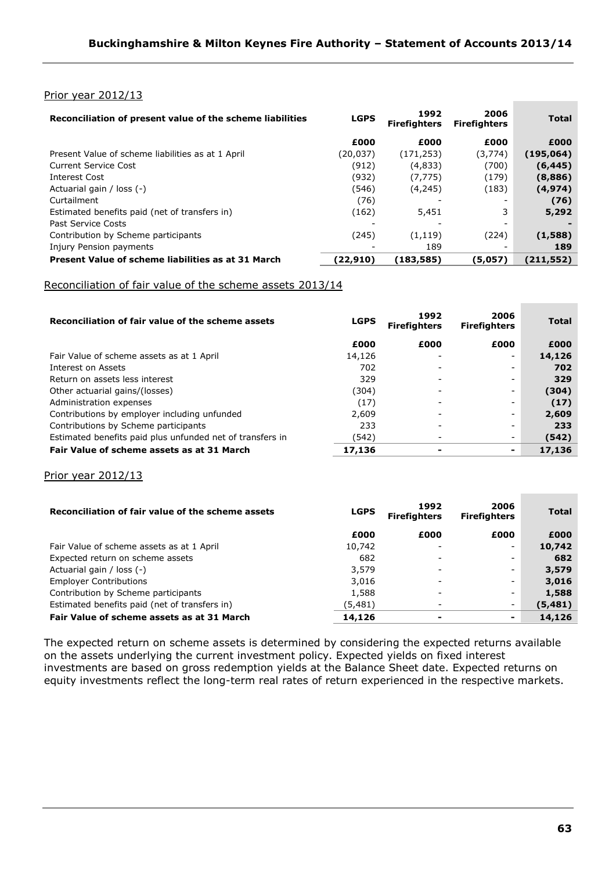# Prior year 2012/13

| <b>LGPS</b> | 1992<br><b>Firefighters</b> | 2006<br><b>Firefighters</b> | <b>Total</b> |
|-------------|-----------------------------|-----------------------------|--------------|
| £000        | £000                        | £000                        | £000         |
| (20, 037)   | (171, 253)                  | (3,774)                     | (195,064)    |
| (912)       | (4,833)                     | (700)                       | (6, 445)     |
| (932)       | (7, 775)                    | (179)                       | (8,886)      |
| (546)       | (4, 245)                    | (183)                       | (4, 974)     |
| (76)        |                             |                             | (76)         |
| (162)       | 5,451                       | 3                           | 5,292        |
|             |                             |                             |              |
| (245)       | (1, 119)                    | (224)                       | (1,588)      |
|             | 189                         |                             | 189          |
| (22,910)    | (183, 585)                  | (5,057)                     | (211, 552)   |
|             |                             |                             |              |

# Reconciliation of fair value of the scheme assets 2013/14

| Reconciliation of fair value of the scheme assets         | <b>LGPS</b> | 1992<br><b>Firefighters</b> | 2006<br><b>Firefighters</b> | <b>Total</b> |
|-----------------------------------------------------------|-------------|-----------------------------|-----------------------------|--------------|
|                                                           | £000        | £000                        | £000                        | £000         |
| Fair Value of scheme assets as at 1 April                 | 14,126      |                             |                             | 14,126       |
| Interest on Assets                                        | 702         |                             |                             | 702          |
| Return on assets less interest                            | 329         |                             |                             | 329          |
| Other actuarial gains/(losses)                            | (304)       |                             |                             | (304)        |
| Administration expenses                                   | (17)        | $\qquad \qquad$             |                             | (17)         |
| Contributions by employer including unfunded              | 2.609       | $\qquad \qquad$             |                             | 2,609        |
| Contributions by Scheme participants                      | 233         |                             |                             | 233          |
| Estimated benefits paid plus unfunded net of transfers in | (542)       |                             |                             | (542)        |
| Fair Value of scheme assets as at 31 March                | 17,136      | ۰                           | -                           | 17,136       |

### Prior year 2012/13

| Reconciliation of fair value of the scheme assets | <b>LGPS</b> | 1992<br><b>Firefighters</b> | 2006<br><b>Firefighters</b> | <b>Total</b> |
|---------------------------------------------------|-------------|-----------------------------|-----------------------------|--------------|
|                                                   | £000        | £000                        | £000                        | £000         |
| Fair Value of scheme assets as at 1 April         | 10,742      |                             |                             | 10,742       |
| Expected return on scheme assets                  | 682         | -                           | -                           | 682          |
| Actuarial gain / loss (-)                         | 3,579       |                             |                             | 3,579        |
| <b>Employer Contributions</b>                     | 3,016       |                             |                             | 3,016        |
| Contribution by Scheme participants               | 1,588       | ۰                           |                             | 1,588        |
| Estimated benefits paid (net of transfers in)     | (5,481)     | ۰                           | -                           | (5, 481)     |
| Fair Value of scheme assets as at 31 March        | 14,126      | $\overline{\phantom{0}}$    | ۰                           | 14,126       |

The expected return on scheme assets is determined by considering the expected returns available on the assets underlying the current investment policy. Expected yields on fixed interest investments are based on gross redemption yields at the Balance Sheet date. Expected returns on equity investments reflect the long-term real rates of return experienced in the respective markets.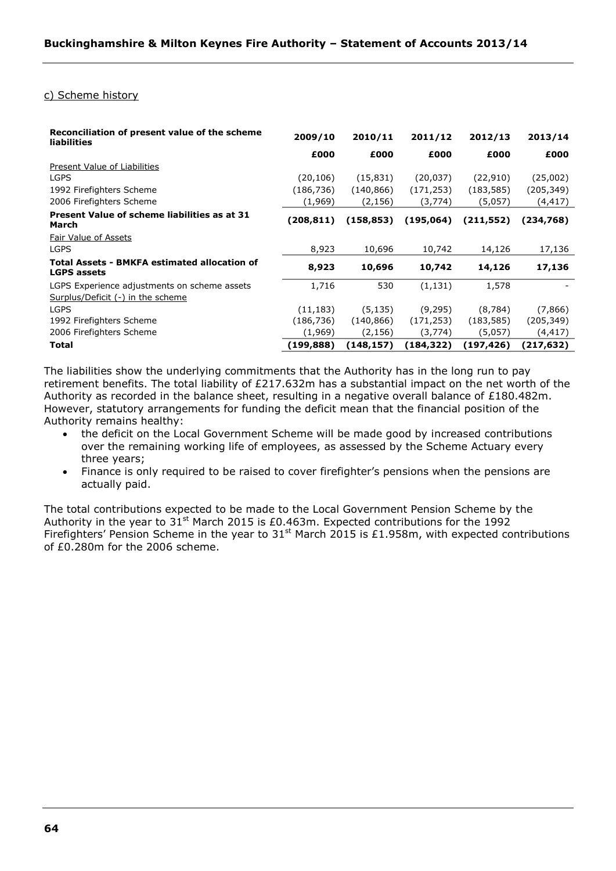# c) Scheme history

| Reconciliation of present value of the scheme<br>liabilities                      | 2009/10    | 2010/11    | 2011/12    | 2012/13    | 2013/14    |
|-----------------------------------------------------------------------------------|------------|------------|------------|------------|------------|
|                                                                                   | £000       | £000       | £000       | £000       | £000       |
| Present Value of Liabilities                                                      |            |            |            |            |            |
| <b>LGPS</b>                                                                       | (20, 106)  | (15, 831)  | (20, 037)  | (22, 910)  | (25,002)   |
| 1992 Firefighters Scheme                                                          | (186, 736) | (140, 866) | (171, 253) | (183, 585) | (205,349)  |
| 2006 Firefighters Scheme                                                          | (1,969)    | (2, 156)   | (3,774)    | (5,057)    | (4,417)    |
| Present Value of scheme liabilities as at 31<br>March                             | (208, 811) | (158, 853) | (195,064)  | (211, 552) | (234,768)  |
| Fair Value of Assets                                                              |            |            |            |            |            |
| <b>LGPS</b>                                                                       | 8,923      | 10,696     | 10,742     | 14,126     | 17,136     |
| <b>Total Assets - BMKFA estimated allocation of</b><br><b>LGPS assets</b>         | 8,923      | 10,696     | 10,742     | 14,126     | 17,136     |
| LGPS Experience adjustments on scheme assets<br>Surplus/Deficit (-) in the scheme | 1,716      | 530        | (1, 131)   | 1,578      |            |
| <b>LGPS</b>                                                                       | (11, 183)  | (5, 135)   | (9,295)    | (8,784)    | (7,866)    |
| 1992 Firefighters Scheme                                                          | (186, 736) | (140, 866) | (171, 253) | (183, 585) | (205, 349) |
| 2006 Firefighters Scheme                                                          | (1,969)    | (2, 156)   | (3,774)    | (5,057)    | (4,417)    |
| Total                                                                             | (199, 888) | (148,157)  | (184,322)  | (197,426)  | (217,632)  |

The liabilities show the underlying commitments that the Authority has in the long run to pay retirement benefits. The total liability of £217.632m has a substantial impact on the net worth of the Authority as recorded in the balance sheet, resulting in a negative overall balance of £180.482m. However, statutory arrangements for funding the deficit mean that the financial position of the Authority remains healthy:

- the deficit on the Local Government Scheme will be made good by increased contributions over the remaining working life of employees, as assessed by the Scheme Actuary every three years;
- Finance is only required to be raised to cover firefighter's pensions when the pensions are actually paid.

The total contributions expected to be made to the Local Government Pension Scheme by the Authority in the year to  $31<sup>st</sup>$  March 2015 is £0.463m. Expected contributions for the 1992 Firefighters' Pension Scheme in the year to  $31<sup>st</sup>$  March 2015 is £1.958m, with expected contributions of £0.280m for the 2006 scheme.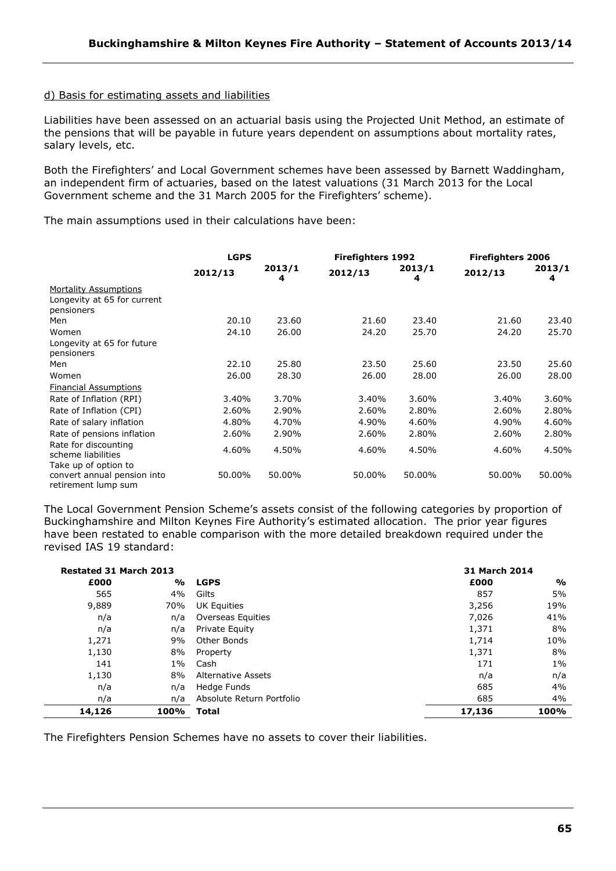### d) Basis for estimating assets and liabilities

Liabilities have been assessed on an actuarial basis using the Projected Unit Method, an estimate of the pensions that will be payable in future years dependent on assumptions about mortality rates, salary levels, etc.

Both the Firefighters' and Local Government schemes have been assessed by Barnett Waddingham, an independent firm of actuaries, based on the latest valuations (31 March 2013 for the Local Government scheme and the 31 March 2005 for the Firefighters' scheme).

The main assumptions used in their calculations have been:

|                              | <b>LGPS</b> |             |         | <b>Firefighters 1992</b> |         | <b>Firefighters 2006</b> |  |
|------------------------------|-------------|-------------|---------|--------------------------|---------|--------------------------|--|
|                              | 2012/13     | 2013/1<br>4 | 2012/13 | 2013/1<br>4              | 2012/13 | 2013/1<br>4              |  |
| <b>Mortality Assumptions</b> |             |             |         |                          |         |                          |  |
| Longevity at 65 for current  |             |             |         |                          |         |                          |  |
| pensioners                   |             |             |         |                          |         |                          |  |
| Men                          | 20.10       | 23.60       | 21.60   | 23.40                    | 21.60   | 23.40                    |  |
| Women                        | 24.10       | 26.00       | 24.20   | 25.70                    | 24.20   | 25.70                    |  |
| Longevity at 65 for future   |             |             |         |                          |         |                          |  |
| pensioners                   |             |             |         |                          |         |                          |  |
| Men                          | 22.10       | 25.80       | 23.50   | 25.60                    | 23.50   | 25.60                    |  |
| Women                        | 26.00       | 28.30       | 26.00   | 28.00                    | 26.00   | 28.00                    |  |
| <b>Financial Assumptions</b> |             |             |         |                          |         |                          |  |
| Rate of Inflation (RPI)      | 3.40%       | 3.70%       | 3.40%   | 3.60%                    | 3.40%   | 3.60%                    |  |
| Rate of Inflation (CPI)      | 2.60%       | 2.90%       | 2.60%   | 2.80%                    | 2.60%   | 2.80%                    |  |
| Rate of salary inflation     | 4.80%       | 4.70%       | 4.90%   | 4.60%                    | 4.90%   | 4.60%                    |  |
| Rate of pensions inflation   | 2.60%       | 2.90%       | 2.60%   | 2.80%                    | 2.60%   | 2.80%                    |  |
| Rate for discounting         | 4.60%       | 4.50%       | 4.60%   | 4.50%                    | 4.60%   | 4.50%                    |  |
| scheme liabilities           |             |             |         |                          |         |                          |  |
| Take up of option to         |             |             |         |                          |         |                          |  |
| convert annual pension into  | 50.00%      | 50.00%      | 50.00%  | 50.00%                   | 50.00%  | 50.00%                   |  |
| retirement lump sum          |             |             |         |                          |         |                          |  |

The Local Government Pension Scheme's assets consist of the following categories by proportion of Buckinghamshire and Milton Keynes Fire Authority's estimated allocation. The prior year figures have been restated to enable comparison with the more detailed breakdown required under the revised IAS 19 standard:

| <b>Restated 31 March 2013</b> |               |                           |        | 31 March 2014 |  |  |
|-------------------------------|---------------|---------------------------|--------|---------------|--|--|
| £000                          | $\frac{0}{0}$ | <b>LGPS</b>               | £000   | $\frac{0}{0}$ |  |  |
| 565                           | 4%            | Gilts                     | 857    | 5%            |  |  |
| 9,889                         | 70%           | <b>UK Equities</b>        | 3,256  | 19%           |  |  |
| n/a                           | n/a           | Overseas Equities         | 7,026  | 41%           |  |  |
| n/a                           | n/a           | Private Equity            | 1,371  | 8%            |  |  |
| 1,271                         | 9%            | Other Bonds               | 1,714  | 10%           |  |  |
| 1,130                         | 8%            | Property                  | 1,371  | 8%            |  |  |
| 141                           | $1\%$         | Cash                      | 171    | $1\%$         |  |  |
| 1,130                         | 8%            | Alternative Assets        | n/a    | n/a           |  |  |
| n/a                           | n/a           | Hedge Funds               | 685    | 4%            |  |  |
| n/a                           | n/a           | Absolute Return Portfolio | 685    | 4%            |  |  |
| 14,126                        | 100%          | <b>Total</b>              | 17,136 | 100%          |  |  |

The Firefighters Pension Schemes have no assets to cover their liabilities.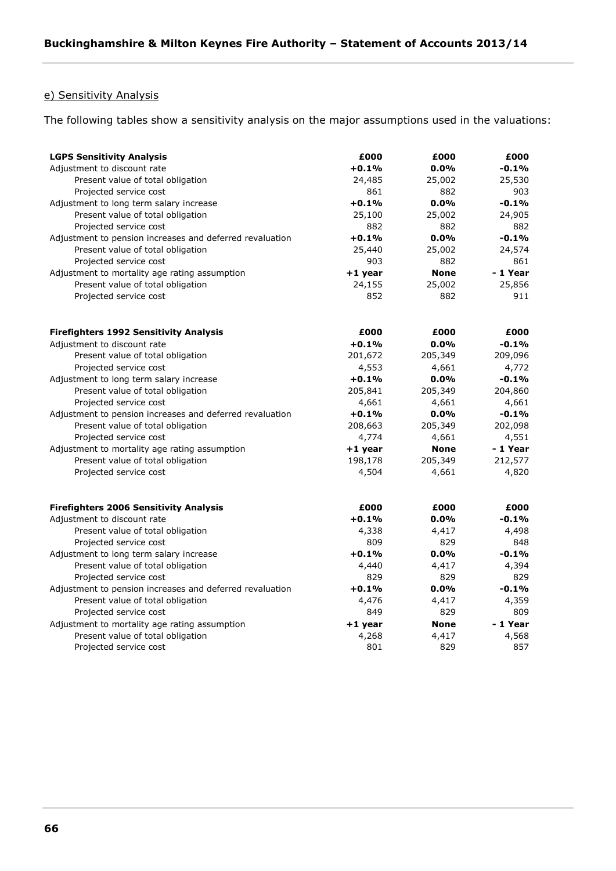# e) Sensitivity Analysis

The following tables show a sensitivity analysis on the major assumptions used in the valuations:

| <b>LGPS Sensitivity Analysis</b>                         | £000      | £000        | £000     |
|----------------------------------------------------------|-----------|-------------|----------|
| Adjustment to discount rate                              | $+0.1%$   | $0.0\%$     | -0.1%    |
| Present value of total obligation                        | 24,485    | 25,002      | 25,530   |
| Projected service cost                                   | 861       | 882         | 903      |
| Adjustment to long term salary increase                  | $+0.1%$   | 0.0%        | $-0.1%$  |
| Present value of total obligation                        | 25,100    | 25,002      | 24,905   |
| Projected service cost                                   | 882       | 882         | 882      |
| Adjustment to pension increases and deferred revaluation | $+0.1%$   | 0.0%        | $-0.1%$  |
| Present value of total obligation                        | 25,440    | 25,002      | 24,574   |
| Projected service cost                                   | 903       | 882         | 861      |
| Adjustment to mortality age rating assumption            | $+1$ year | <b>None</b> | - 1 Year |
| Present value of total obligation                        | 24,155    | 25,002      | 25,856   |
| Projected service cost                                   | 852       | 882         | 911      |
| <b>Firefighters 1992 Sensitivity Analysis</b>            | £000      | £000        | £000     |
| Adjustment to discount rate                              | $+0.1%$   | 0.0%        | $-0.1%$  |
| Present value of total obligation                        | 201,672   | 205,349     | 209,096  |
| Projected service cost                                   | 4,553     | 4,661       | 4,772    |
| Adjustment to long term salary increase                  | $+0.1%$   | 0.0%        | $-0.1%$  |
| Present value of total obligation                        | 205,841   | 205,349     | 204,860  |
| Projected service cost                                   | 4,661     | 4,661       | 4,661    |
| Adjustment to pension increases and deferred revaluation | $+0.1%$   | 0.0%        | $-0.1%$  |
| Present value of total obligation                        | 208,663   | 205,349     | 202,098  |
| Projected service cost                                   | 4,774     | 4,661       | 4,551    |
| Adjustment to mortality age rating assumption            | $+1$ year | <b>None</b> | - 1 Year |
| Present value of total obligation                        | 198,178   | 205,349     | 212,577  |
| Projected service cost                                   | 4,504     | 4,661       | 4,820    |
| <b>Firefighters 2006 Sensitivity Analysis</b>            | £000      | £000        | £000     |
| Adjustment to discount rate                              | +0.1%     | 0.0%        | $-0.1\%$ |
| Present value of total obligation                        | 4,338     | 4,417       | 4,498    |
| Projected service cost                                   | 809       | 829         | 848      |
| Adjustment to long term salary increase                  | +0.1%     | 0.0%        | $-0.1%$  |
| Present value of total obligation                        | 4,440     | 4,417       | 4,394    |
| Projected service cost                                   | 829       | 829         | 829      |
| Adjustment to pension increases and deferred revaluation | $+0.1%$   | 0.0%        | $-0.1%$  |
| Present value of total obligation                        | 4,476     | 4,417       | 4,359    |
| Projected service cost                                   | 849       | 829         | 809      |
| Adjustment to mortality age rating assumption            | +1 year   | <b>None</b> | - 1 Year |
| Present value of total obligation                        | 4,268     | 4,417       | 4,568    |
| Projected service cost                                   | 801       | 829         | 857      |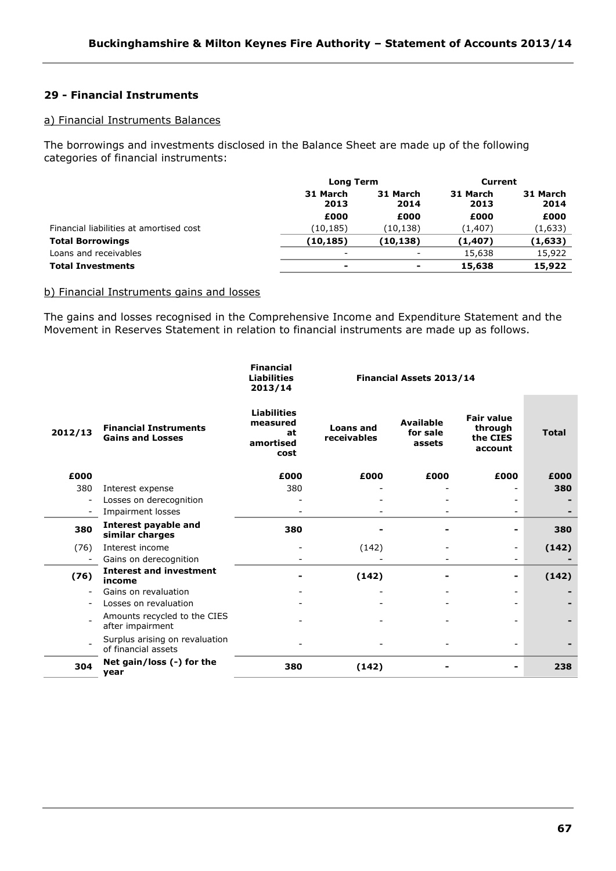# **29 - Financial Instruments**

# a) Financial Instruments Balances

The borrowings and investments disclosed in the Balance Sheet are made up of the following categories of financial instruments:

|                                         | <b>Long Term</b>         |                          | Current          |                  |
|-----------------------------------------|--------------------------|--------------------------|------------------|------------------|
|                                         | 31 March<br>2013         | 31 March<br>2014         | 31 March<br>2013 | 31 March<br>2014 |
|                                         | £000                     | £000                     | £000             | £000             |
| Financial liabilities at amortised cost | (10,185)                 | (10,138)                 | (1,407)          | (1,633)          |
| <b>Total Borrowings</b>                 | (10, 185)                | (10,138)                 | (1, 407)         | (1,633)          |
| Loans and receivables                   | $\overline{\phantom{a}}$ | $\overline{\phantom{0}}$ | 15,638           | 15,922           |
| <b>Total Investments</b>                | ۰                        | ۰                        | 15,638           | 15,922           |

# b) Financial Instruments gains and losses

The gains and losses recognised in the Comprehensive Income and Expenditure Statement and the Movement in Reserves Statement in relation to financial instruments are made up as follows.

|         |                                                         | <b>Financial</b><br><b>Liabilities</b><br>2013/14         | Financial Assets 2013/14        |                                        |                                                     |              |
|---------|---------------------------------------------------------|-----------------------------------------------------------|---------------------------------|----------------------------------------|-----------------------------------------------------|--------------|
| 2012/13 | <b>Financial Instruments</b><br><b>Gains and Losses</b> | <b>Liabilities</b><br>measured<br>at<br>amortised<br>cost | <b>Loans and</b><br>receivables | <b>Available</b><br>for sale<br>assets | <b>Fair value</b><br>through<br>the CIES<br>account | <b>Total</b> |
| £000    |                                                         | £000                                                      | £000                            | £000                                   | £000                                                | £000         |
| 380     | Interest expense                                        | 380                                                       |                                 |                                        |                                                     | 380          |
|         | Losses on derecognition                                 |                                                           |                                 |                                        |                                                     |              |
|         | Impairment losses                                       |                                                           |                                 |                                        |                                                     |              |
| 380     | Interest payable and<br>similar charges                 | 380                                                       |                                 |                                        | -                                                   | 380          |
| (76)    | Interest income                                         |                                                           | (142)                           |                                        | -                                                   | (142)        |
|         | Gains on derecognition                                  |                                                           |                                 |                                        | -                                                   |              |
| (76)    | <b>Interest and investment</b><br>income                |                                                           | (142)                           |                                        | -                                                   | (142)        |
|         | Gains on revaluation                                    |                                                           |                                 |                                        |                                                     |              |
|         | Losses on revaluation                                   |                                                           |                                 |                                        |                                                     |              |
|         | Amounts recycled to the CIES<br>after impairment        |                                                           |                                 |                                        |                                                     |              |
|         | Surplus arising on revaluation<br>of financial assets   |                                                           |                                 |                                        |                                                     |              |
| 304     | Net gain/loss (-) for the<br>vear                       | 380                                                       | (142)                           |                                        |                                                     | 238          |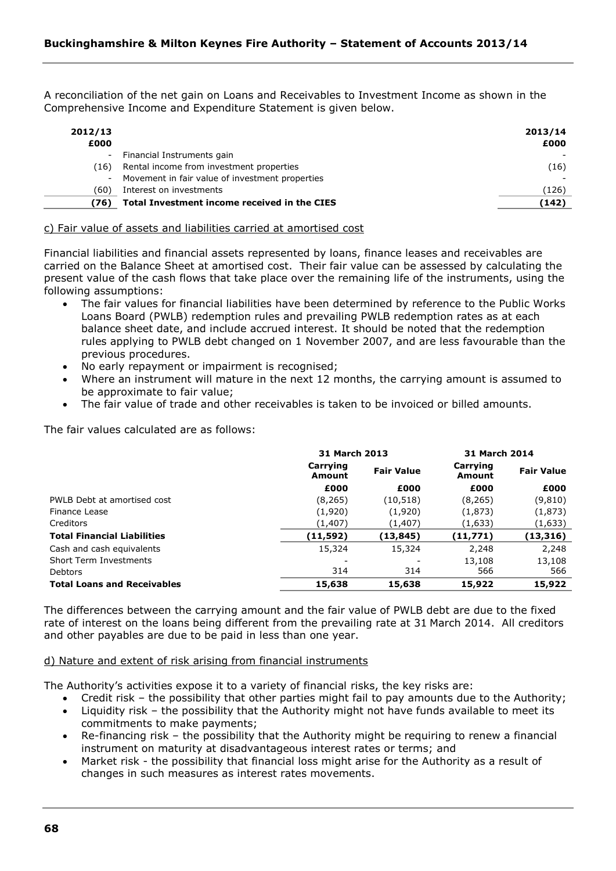A reconciliation of the net gain on Loans and Receivables to Investment Income as shown in the Comprehensive Income and Expenditure Statement is given below.

| 2012/13<br>£000 |                                                 | 2013/14<br>£000 |
|-----------------|-------------------------------------------------|-----------------|
|                 | Financial Instruments gain                      |                 |
| (16)            | Rental income from investment properties        | (16)            |
| $\sim$          | Movement in fair value of investment properties |                 |
| (60)            | Interest on investments                         | (126)           |
| (76)            | Total Investment income received in the CIES    | (142)           |

c) Fair value of assets and liabilities carried at amortised cost

Financial liabilities and financial assets represented by loans, finance leases and receivables are carried on the Balance Sheet at amortised cost. Their fair value can be assessed by calculating the present value of the cash flows that take place over the remaining life of the instruments, using the following assumptions:

- The fair values for financial liabilities have been determined by reference to the Public Works Loans Board (PWLB) redemption rules and prevailing PWLB redemption rates as at each balance sheet date, and include accrued interest. It should be noted that the redemption rules applying to PWLB debt changed on 1 November 2007, and are less favourable than the previous procedures.
- No early repayment or impairment is recognised;
- Where an instrument will mature in the next 12 months, the carrying amount is assumed to be approximate to fair value;
- The fair value of trade and other receivables is taken to be invoiced or billed amounts.

The fair values calculated are as follows:

|                                    | 31 March 2013             |                   | 31 March 2014      |                   |
|------------------------------------|---------------------------|-------------------|--------------------|-------------------|
|                                    | Carrying<br><b>Amount</b> | <b>Fair Value</b> | Carrying<br>Amount | <b>Fair Value</b> |
|                                    | £000                      | £000              | £000               | £000              |
| PWLB Debt at amortised cost        | (8, 265)                  | (10, 518)         | (8, 265)           | (9,810)           |
| Finance Lease                      | (1,920)                   | (1,920)           | (1,873)            | (1,873)           |
| Creditors                          | (1, 407)                  | (1, 407)          | (1,633)            | (1,633)           |
| <b>Total Financial Liabilities</b> | (11, 592)                 | (13, 845)         | (11,771)           | (13, 316)         |
| Cash and cash equivalents          | 15,324                    | 15,324            | 2,248              | 2,248             |
| Short Term Investments             |                           |                   | 13,108             | 13,108            |
| <b>Debtors</b>                     | 314                       | 314               | 566                | 566               |
| <b>Total Loans and Receivables</b> | 15,638                    | 15,638            | 15,922             | 15,922            |

The differences between the carrying amount and the fair value of PWLB debt are due to the fixed rate of interest on the loans being different from the prevailing rate at 31 March 2014. All creditors and other payables are due to be paid in less than one year.

### d) Nature and extent of risk arising from financial instruments

The Authority's activities expose it to a variety of financial risks, the key risks are:

- Credit risk the possibility that other parties might fail to pay amounts due to the Authority;
- Liquidity risk the possibility that the Authority might not have funds available to meet its commitments to make payments;
- Re-financing risk the possibility that the Authority might be requiring to renew a financial instrument on maturity at disadvantageous interest rates or terms; and
- Market risk the possibility that financial loss might arise for the Authority as a result of changes in such measures as interest rates movements.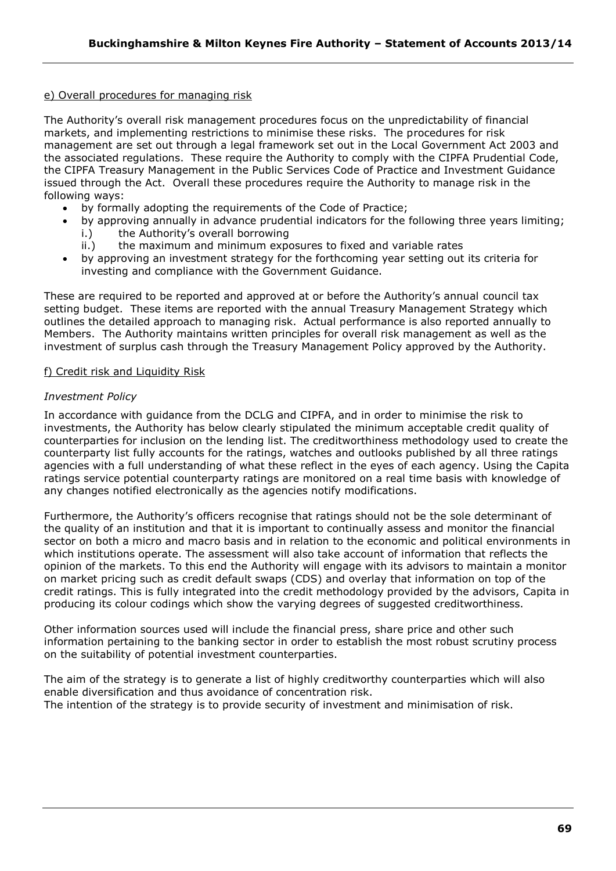# e) Overall procedures for managing risk

The Authority's overall risk management procedures focus on the unpredictability of financial markets, and implementing restrictions to minimise these risks. The procedures for risk management are set out through a legal framework set out in the Local Government Act 2003 and the associated regulations. These require the Authority to comply with the CIPFA Prudential Code, the CIPFA Treasury Management in the Public Services Code of Practice and Investment Guidance issued through the Act. Overall these procedures require the Authority to manage risk in the following ways:

- by formally adopting the requirements of the Code of Practice;
- by approving annually in advance prudential indicators for the following three years limiting; i.) the Authority's overall borrowing
	- ii.) the maximum and minimum exposures to fixed and variable rates
- by approving an investment strategy for the forthcoming year setting out its criteria for investing and compliance with the Government Guidance.

These are required to be reported and approved at or before the Authority's annual council tax setting budget. These items are reported with the annual Treasury Management Strategy which outlines the detailed approach to managing risk. Actual performance is also reported annually to Members. The Authority maintains written principles for overall risk management as well as the investment of surplus cash through the Treasury Management Policy approved by the Authority.

# f) Credit risk and Liquidity Risk

# *Investment Policy*

In accordance with guidance from the DCLG and CIPFA, and in order to minimise the risk to investments, the Authority has below clearly stipulated the minimum acceptable credit quality of counterparties for inclusion on the lending list. The creditworthiness methodology used to create the counterparty list fully accounts for the ratings, watches and outlooks published by all three ratings agencies with a full understanding of what these reflect in the eyes of each agency. Using the Capita ratings service potential counterparty ratings are monitored on a real time basis with knowledge of any changes notified electronically as the agencies notify modifications.

Furthermore, the Authority's officers recognise that ratings should not be the sole determinant of the quality of an institution and that it is important to continually assess and monitor the financial sector on both a micro and macro basis and in relation to the economic and political environments in which institutions operate. The assessment will also take account of information that reflects the opinion of the markets. To this end the Authority will engage with its advisors to maintain a monitor on market pricing such as credit default swaps (CDS) and overlay that information on top of the credit ratings. This is fully integrated into the credit methodology provided by the advisors, Capita in producing its colour codings which show the varying degrees of suggested creditworthiness.

Other information sources used will include the financial press, share price and other such information pertaining to the banking sector in order to establish the most robust scrutiny process on the suitability of potential investment counterparties.

The aim of the strategy is to generate a list of highly creditworthy counterparties which will also enable diversification and thus avoidance of concentration risk. The intention of the strategy is to provide security of investment and minimisation of risk.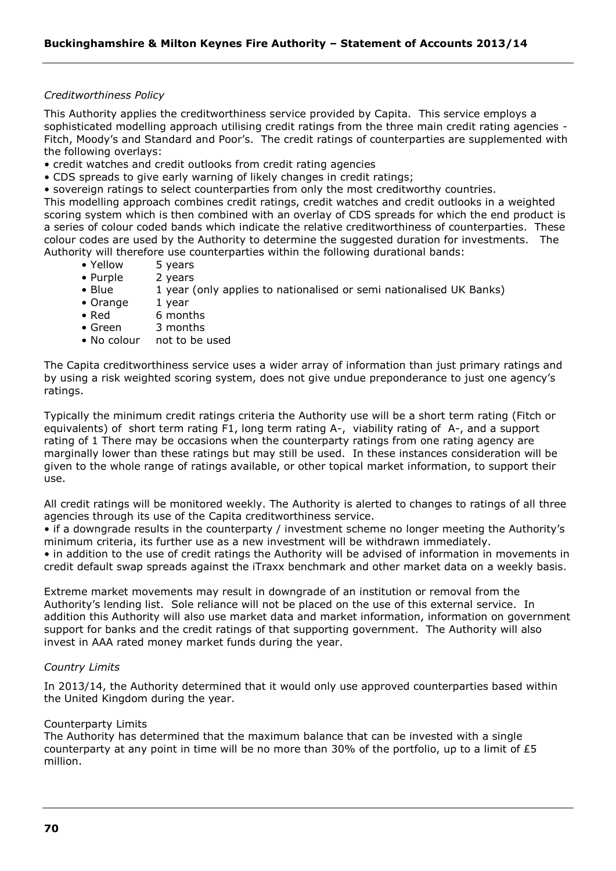### *Creditworthiness Policy*

This Authority applies the creditworthiness service provided by Capita. This service employs a sophisticated modelling approach utilising credit ratings from the three main credit rating agencies - Fitch, Moody's and Standard and Poor's. The credit ratings of counterparties are supplemented with the following overlays:

- credit watches and credit outlooks from credit rating agencies
- CDS spreads to give early warning of likely changes in credit ratings;
- sovereign ratings to select counterparties from only the most creditworthy countries.

This modelling approach combines credit ratings, credit watches and credit outlooks in a weighted scoring system which is then combined with an overlay of CDS spreads for which the end product is a series of colour coded bands which indicate the relative creditworthiness of counterparties. These colour codes are used by the Authority to determine the suggested duration for investments. The Authority will therefore use counterparties within the following durational bands:

- Yellow 5 years
- Purple 2 years
- Blue 1 year (only applies to nationalised or semi nationalised UK Banks)
- Orange 1 year
- Red 6 months
- Green 3 months
- No colour not to be used

The Capita creditworthiness service uses a wider array of information than just primary ratings and by using a risk weighted scoring system, does not give undue preponderance to just one agency's ratings.

Typically the minimum credit ratings criteria the Authority use will be a short term rating (Fitch or equivalents) of short term rating F1, long term rating A-, viability rating of A-, and a support rating of 1 There may be occasions when the counterparty ratings from one rating agency are marginally lower than these ratings but may still be used. In these instances consideration will be given to the whole range of ratings available, or other topical market information, to support their use.

All credit ratings will be monitored weekly. The Authority is alerted to changes to ratings of all three agencies through its use of the Capita creditworthiness service.

• if a downgrade results in the counterparty / investment scheme no longer meeting the Authority's minimum criteria, its further use as a new investment will be withdrawn immediately.

• in addition to the use of credit ratings the Authority will be advised of information in movements in credit default swap spreads against the iTraxx benchmark and other market data on a weekly basis.

Extreme market movements may result in downgrade of an institution or removal from the Authority's lending list. Sole reliance will not be placed on the use of this external service. In addition this Authority will also use market data and market information, information on government support for banks and the credit ratings of that supporting government. The Authority will also invest in AAA rated money market funds during the year.

#### *Country Limits*

In 2013/14, the Authority determined that it would only use approved counterparties based within the United Kingdom during the year.

#### Counterparty Limits

The Authority has determined that the maximum balance that can be invested with a single counterparty at any point in time will be no more than 30% of the portfolio, up to a limit of £5 million.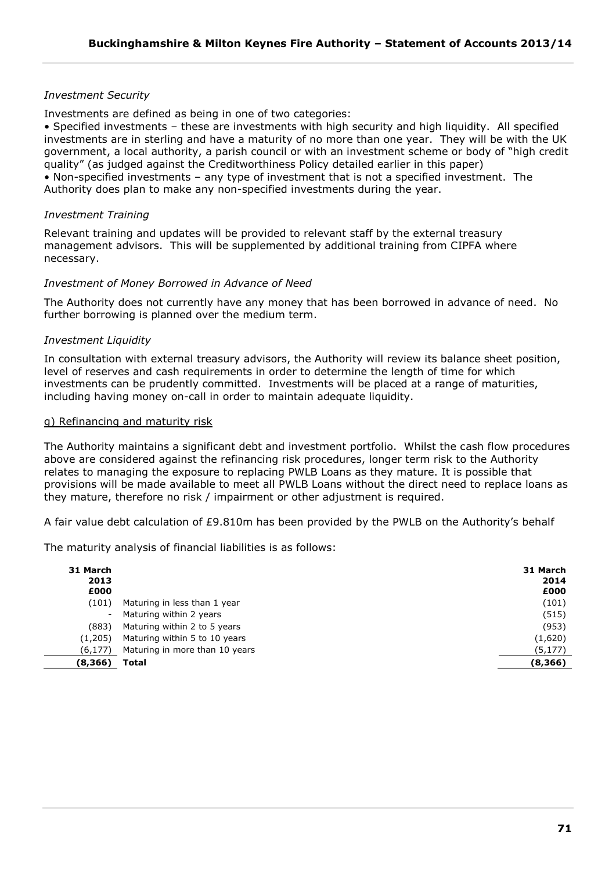# *Investment Security*

Investments are defined as being in one of two categories:

• Specified investments – these are investments with high security and high liquidity. All specified investments are in sterling and have a maturity of no more than one year. They will be with the UK government, a local authority, a parish council or with an investment scheme or body of "high credit quality" (as judged against the Creditworthiness Policy detailed earlier in this paper) • Non-specified investments – any type of investment that is not a specified investment. The Authority does plan to make any non-specified investments during the year.

# *Investment Training*

Relevant training and updates will be provided to relevant staff by the external treasury management advisors. This will be supplemented by additional training from CIPFA where necessary.

# *Investment of Money Borrowed in Advance of Need*

The Authority does not currently have any money that has been borrowed in advance of need. No further borrowing is planned over the medium term.

# *Investment Liquidity*

In consultation with external treasury advisors, the Authority will review its balance sheet position, level of reserves and cash requirements in order to determine the length of time for which investments can be prudently committed. Investments will be placed at a range of maturities, including having money on-call in order to maintain adequate liquidity.

### g) Refinancing and maturity risk

The Authority maintains a significant debt and investment portfolio. Whilst the cash flow procedures above are considered against the refinancing risk procedures, longer term risk to the Authority relates to managing the exposure to replacing PWLB Loans as they mature. It is possible that provisions will be made available to meet all PWLB Loans without the direct need to replace loans as they mature, therefore no risk / impairment or other adjustment is required.

A fair value debt calculation of £9.810m has been provided by the PWLB on the Authority's behalf

The maturity analysis of financial liabilities is as follows:

| 31 March<br>2013<br>£000 |                                | 31 March<br>2014<br>£000 |
|--------------------------|--------------------------------|--------------------------|
| (101)                    | Maturing in less than 1 year   | (101)                    |
|                          | Maturing within 2 years        | (515)                    |
| (883)                    | Maturing within 2 to 5 years   | (953)                    |
| (1,205)                  | Maturing within 5 to 10 years  | (1,620)                  |
| (6, 177)                 | Maturing in more than 10 years | (5, 177)                 |
| (8,366)                  | Total                          | (8,366)                  |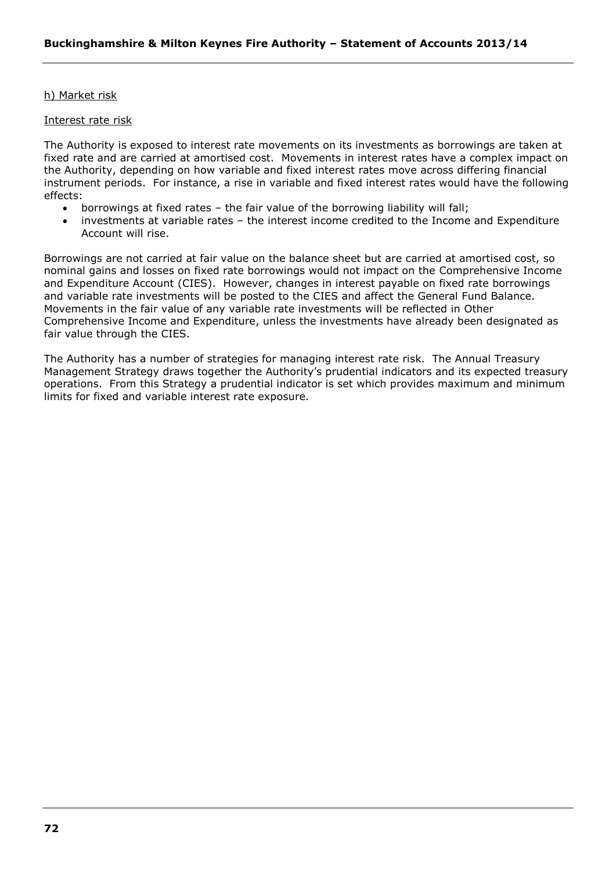# h) Market risk

### Interest rate risk

The Authority is exposed to interest rate movements on its investments as borrowings are taken at fixed rate and are carried at amortised cost. Movements in interest rates have a complex impact on the Authority, depending on how variable and fixed interest rates move across differing financial instrument periods. For instance, a rise in variable and fixed interest rates would have the following effects:

- borrowings at fixed rates the fair value of the borrowing liability will fall;
- investments at variable rates the interest income credited to the Income and Expenditure Account will rise.

Borrowings are not carried at fair value on the balance sheet but are carried at amortised cost, so nominal gains and losses on fixed rate borrowings would not impact on the Comprehensive Income and Expenditure Account (CIES). However, changes in interest payable on fixed rate borrowings and variable rate investments will be posted to the CIES and affect the General Fund Balance. Movements in the fair value of any variable rate investments will be reflected in Other Comprehensive Income and Expenditure, unless the investments have already been designated as fair value through the CIES.

The Authority has a number of strategies for managing interest rate risk. The Annual Treasury Management Strategy draws together the Authority's prudential indicators and its expected treasury operations. From this Strategy a prudential indicator is set which provides maximum and minimum limits for fixed and variable interest rate exposure.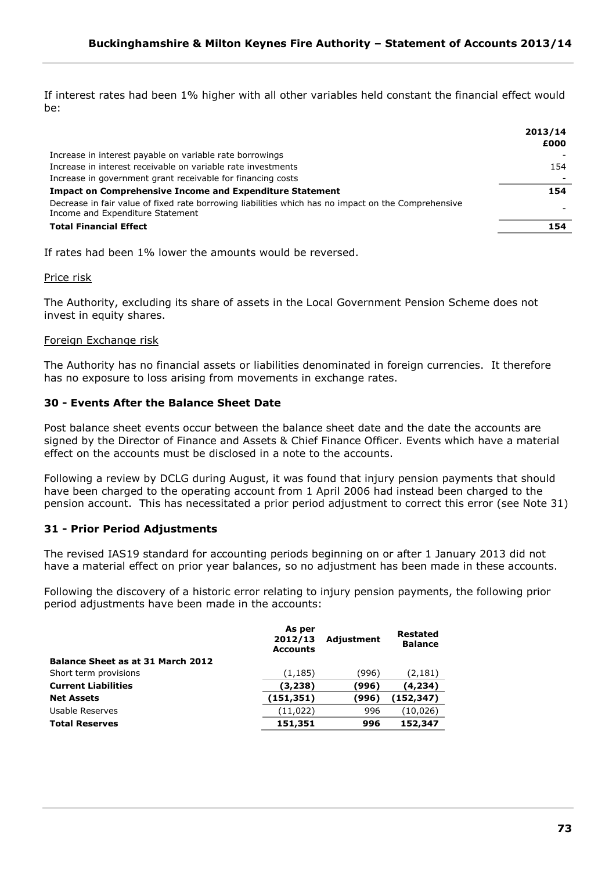If interest rates had been 1% higher with all other variables held constant the financial effect would be:

|                                                                                                                                         | 2013/14<br>£000 |
|-----------------------------------------------------------------------------------------------------------------------------------------|-----------------|
| Increase in interest payable on variable rate borrowings                                                                                |                 |
| Increase in interest receivable on variable rate investments                                                                            | 154             |
| Increase in government grant receivable for financing costs                                                                             |                 |
| <b>Impact on Comprehensive Income and Expenditure Statement</b>                                                                         | 154             |
| Decrease in fair value of fixed rate borrowing liabilities which has no impact on the Comprehensive<br>Income and Expenditure Statement |                 |
| <b>Total Financial Effect</b>                                                                                                           | 154             |

If rates had been 1% lower the amounts would be reversed.

Price risk

The Authority, excluding its share of assets in the Local Government Pension Scheme does not invest in equity shares.

## Foreign Exchange risk

The Authority has no financial assets or liabilities denominated in foreign currencies. It therefore has no exposure to loss arising from movements in exchange rates.

# **30 - Events After the Balance Sheet Date**

Post balance sheet events occur between the balance sheet date and the date the accounts are signed by the Director of Finance and Assets & Chief Finance Officer. Events which have a material effect on the accounts must be disclosed in a note to the accounts.

Following a review by DCLG during August, it was found that injury pension payments that should have been charged to the operating account from 1 April 2006 had instead been charged to the pension account. This has necessitated a prior period adjustment to correct this error (see Note 31)

# **31 - Prior Period Adjustments**

The revised IAS19 standard for accounting periods beginning on or after 1 January 2013 did not have a material effect on prior year balances, so no adjustment has been made in these accounts.

Following the discovery of a historic error relating to injury pension payments, the following prior period adjustments have been made in the accounts:

|                                          | As per<br>2012/13<br><b>Accounts</b> | Adjustment | Restated<br><b>Balance</b> |
|------------------------------------------|--------------------------------------|------------|----------------------------|
| <b>Balance Sheet as at 31 March 2012</b> |                                      |            |                            |
| Short term provisions                    | (1, 185)                             | (996)      | (2, 181)                   |
| <b>Current Liabilities</b>               | (3,238)                              | (996)      | (4,234)                    |
| <b>Net Assets</b>                        | (151, 351)                           | (996)      | (152, 347)                 |
| Usable Reserves                          | (11, 022)                            | 996        | (10, 026)                  |
| <b>Total Reserves</b>                    | 151,351                              | 996        | 152,347                    |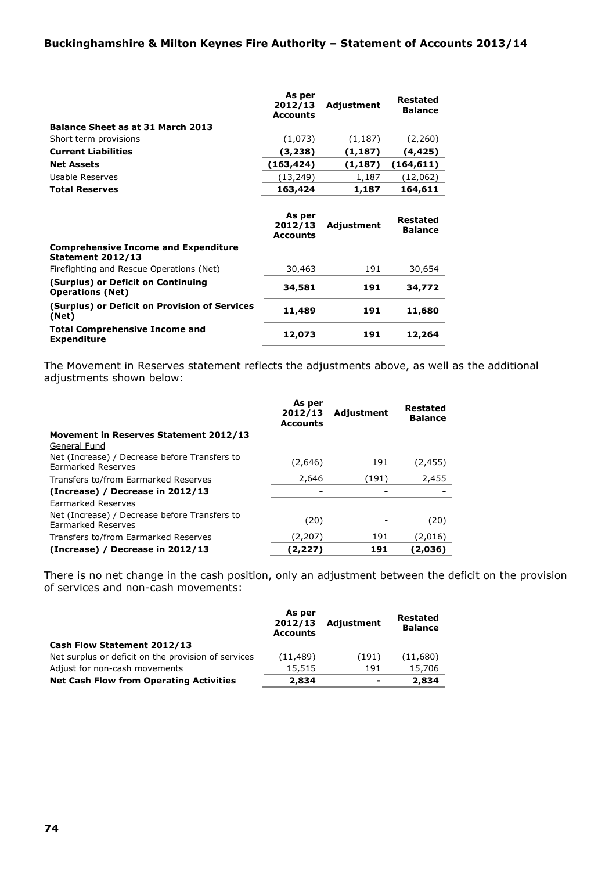|                                                                         | As per<br>2012/13<br><b>Accounts</b> | Adjustment | Restated<br><b>Balance</b> |
|-------------------------------------------------------------------------|--------------------------------------|------------|----------------------------|
| <b>Balance Sheet as at 31 March 2013</b>                                |                                      |            |                            |
| Short term provisions                                                   | (1,073)                              | (1, 187)   | (2,260)                    |
| <b>Current Liabilities</b>                                              | (3,238)                              | (1, 187)   | (4, 425)                   |
| <b>Net Assets</b>                                                       | (163,424)                            | (1, 187)   | (164, 611)                 |
| Usable Reserves                                                         | (13, 249)                            | 1,187      | (12,062)                   |
| <b>Total Reserves</b>                                                   | 163,424                              | 1,187      | 164,611                    |
|                                                                         | As per<br>2012/13<br><b>Accounts</b> | Adjustment | Restated<br><b>Balance</b> |
| <b>Comprehensive Income and Expenditure</b><br><b>Statement 2012/13</b> |                                      |            |                            |
| Firefighting and Rescue Operations (Net)                                | 30,463                               | 191        | 30,654                     |
| (Surplus) or Deficit on Continuing<br><b>Operations (Net)</b>           | 34,581                               | 191        | 34,772                     |
| (Surplus) or Deficit on Provision of Services<br>(Net)                  | 11,489                               | 191        | 11,680                     |
| <b>Total Comprehensive Income and</b><br><b>Expenditure</b>             | 12,073                               | 191        | 12,264                     |

The Movement in Reserves statement reflects the adjustments above, as well as the additional adjustments shown below:

|                                                                     | As per<br>2012/13<br><b>Accounts</b> | Adjustment | <b>Restated</b><br><b>Balance</b> |
|---------------------------------------------------------------------|--------------------------------------|------------|-----------------------------------|
| Movement in Reserves Statement 2012/13                              |                                      |            |                                   |
| General Fund                                                        |                                      |            |                                   |
| Net (Increase) / Decrease before Transfers to<br>Earmarked Reserves | (2,646)                              | 191        | (2,455)                           |
| Transfers to/from Earmarked Reserves                                | 2,646                                | (191)      | 2,455                             |
| (Increase) / Decrease in 2012/13                                    |                                      |            |                                   |
| Earmarked Reserves                                                  |                                      |            |                                   |
| Net (Increase) / Decrease before Transfers to<br>Earmarked Reserves | (20)                                 |            | (20)                              |
| Transfers to/from Earmarked Reserves                                | (2,207)                              | 191        | (2,016)                           |
| (Increase) / Decrease in 2012/13                                    | (2,227)                              | 191        | (2,036)                           |

There is no net change in the cash position, only an adjustment between the deficit on the provision of services and non-cash movements:

|                                                     | As per<br>2012/13<br><b>Accounts</b> | <b>Adjustment</b> | Restated<br><b>Balance</b> |
|-----------------------------------------------------|--------------------------------------|-------------------|----------------------------|
| Cash Flow Statement 2012/13                         |                                      |                   |                            |
| Net surplus or deficit on the provision of services | (11, 489)                            | (191)             | (11,680)                   |
| Adjust for non-cash movements                       | 15,515                               | 191               | 15,706                     |
| <b>Net Cash Flow from Operating Activities</b>      | 2,834                                | $\blacksquare$    | 2,834                      |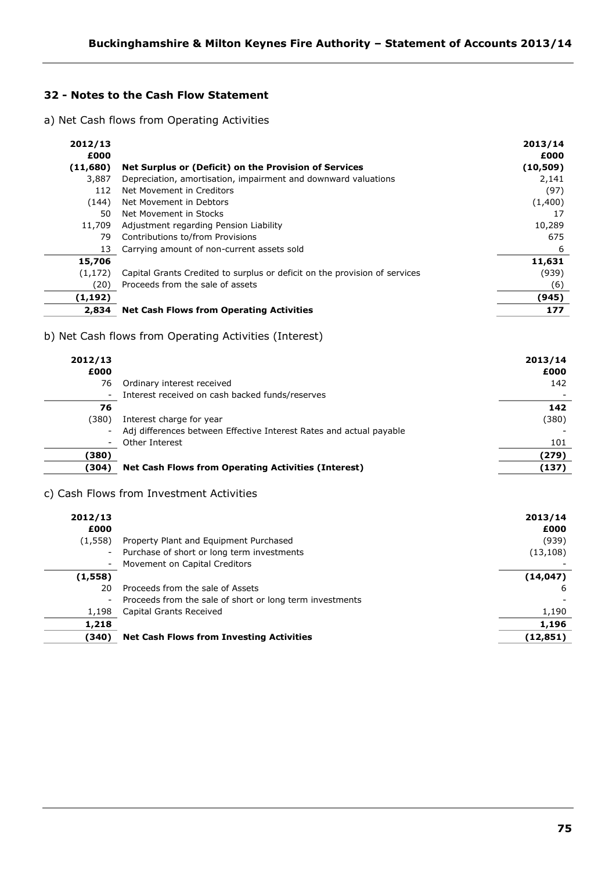# **32 - Notes to the Cash Flow Statement**

a) Net Cash flows from Operating Activities

| 2012/13          |                                                                            | 2013/14           |
|------------------|----------------------------------------------------------------------------|-------------------|
| £000<br>(11,680) | Net Surplus or (Deficit) on the Provision of Services                      | £000<br>(10, 509) |
| 3,887            | Depreciation, amortisation, impairment and downward valuations             | 2,141             |
| 112              | Net Movement in Creditors                                                  | (97)              |
| (144)            | Net Movement in Debtors                                                    | (1,400)           |
| 50               | Net Movement in Stocks                                                     | 17                |
| 11,709           | Adjustment regarding Pension Liability                                     | 10,289            |
| 79               | Contributions to/from Provisions                                           | 675               |
| 13               | Carrying amount of non-current assets sold                                 | 6                 |
| 15,706           |                                                                            | 11,631            |
| (1,172)          | Capital Grants Credited to surplus or deficit on the provision of services | (939)             |
| (20)             | Proceeds from the sale of assets                                           | (6)               |
| (1, 192)         |                                                                            | (945)             |
| 2,834            | <b>Net Cash Flows from Operating Activities</b>                            | 177               |
|                  |                                                                            |                   |

# b) Net Cash flows from Operating Activities (Interest)

| 2012/13<br>£000 |                                                                     | 2013/14<br>£000 |
|-----------------|---------------------------------------------------------------------|-----------------|
| 76              | Ordinary interest received                                          | 142             |
| $\sim$          | Interest received on cash backed funds/reserves                     |                 |
| 76              |                                                                     | 142             |
| (380)           | Interest charge for year                                            | (380)           |
| $-$             | Adj differences between Effective Interest Rates and actual payable |                 |
| ۰.              | Other Interest                                                      | 101             |
| (380)           |                                                                     | (279)           |
| (304)           | <b>Net Cash Flows from Operating Activities (Interest)</b>          | (137)           |

# c) Cash Flows from Investment Activities

| 2012/13 |                                                          | 2013/14   |
|---------|----------------------------------------------------------|-----------|
| £000    |                                                          | £000      |
| (1,558) | Property Plant and Equipment Purchased                   | (939)     |
|         | - Purchase of short or long term investments             | (13, 108) |
|         | Movement on Capital Creditors                            |           |
| (1,558) |                                                          | (14, 047) |
| 20      | Proceeds from the sale of Assets                         | b         |
| $-$     | Proceeds from the sale of short or long term investments |           |
| 1,198   | Capital Grants Received                                  | 1,190     |
| 1,218   |                                                          | 1,196     |
| (340)   | <b>Net Cash Flows from Investing Activities</b>          | (12, 851) |
|         |                                                          |           |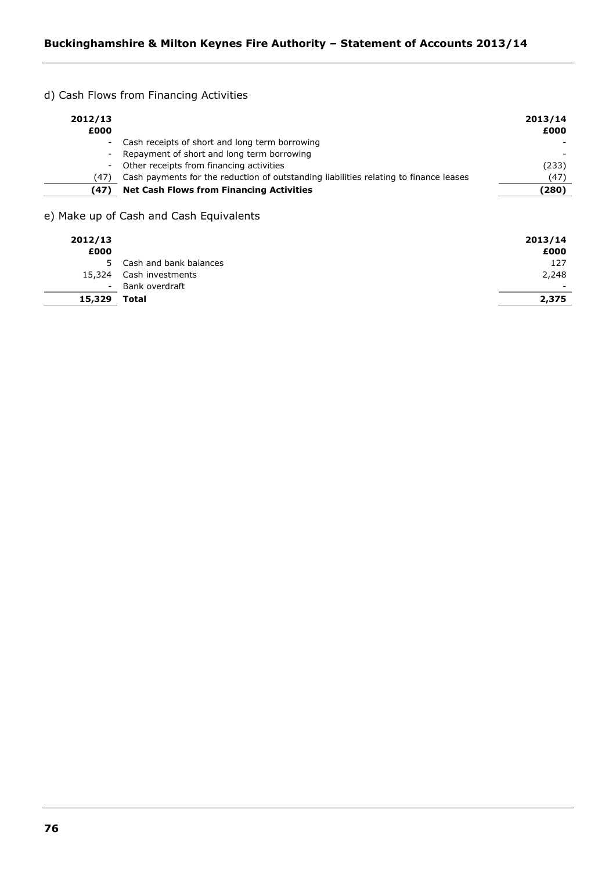d) Cash Flows from Financing Activities

| 2012/13<br>£000 |                                                                                       | 2013/14<br>£000 |
|-----------------|---------------------------------------------------------------------------------------|-----------------|
|                 | - Cash receipts of short and long term borrowing                                      |                 |
|                 | - Repayment of short and long term borrowing                                          |                 |
|                 | - Other receipts from financing activities                                            | (233)           |
| (47)            | Cash payments for the reduction of outstanding liabilities relating to finance leases | (47)            |
| (47)            | <b>Net Cash Flows from Financing Activities</b>                                       | (280)           |

e) Make up of Cash and Cash Equivalents

| 2012/13<br>£000 |                          | 2013/14<br>£000 |
|-----------------|--------------------------|-----------------|
|                 | 5 Cash and bank balances | 127             |
| 15,324          | Cash investments         | 2,248           |
| $\sim$          | Bank overdraft           | -               |
| 15,329          | Total                    | 2,375           |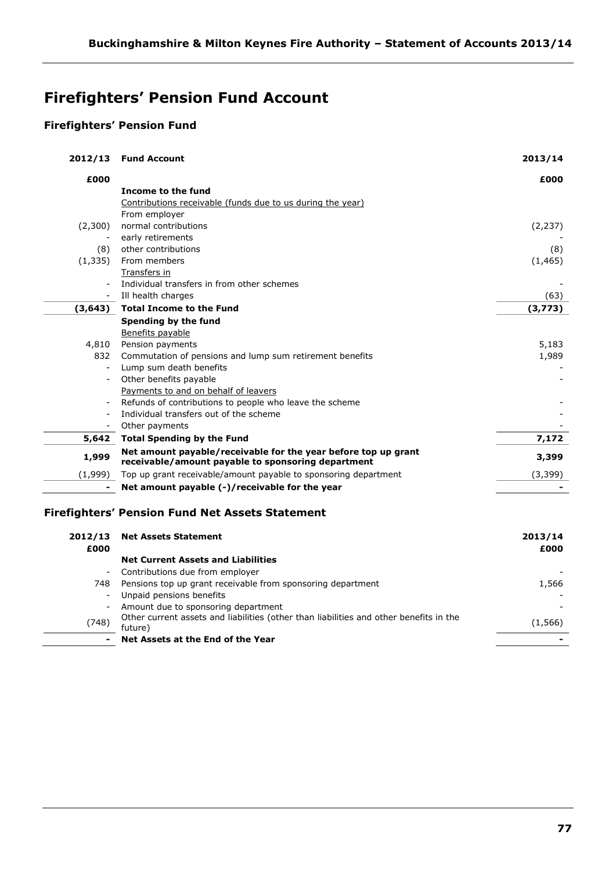# **Firefighters' Pension Fund Account**

# **Firefighters' Pension Fund**

| 2012/13  | <b>Fund Account</b>                                                                                                  | 2013/14  |
|----------|----------------------------------------------------------------------------------------------------------------------|----------|
| £000     |                                                                                                                      | £000     |
|          | Income to the fund                                                                                                   |          |
|          | Contributions receivable (funds due to us during the year)                                                           |          |
|          | From employer                                                                                                        |          |
| (2,300)  | normal contributions                                                                                                 | (2, 237) |
|          | early retirements                                                                                                    |          |
| (8)      | other contributions                                                                                                  | (8)      |
| (1, 335) | From members                                                                                                         | (1, 465) |
|          | <b>Transfers in</b>                                                                                                  |          |
|          | Individual transfers in from other schemes                                                                           |          |
|          | Ill health charges                                                                                                   | (63)     |
| (3, 643) | <b>Total Income to the Fund</b>                                                                                      | (3,773)  |
|          | Spending by the fund                                                                                                 |          |
|          | Benefits payable                                                                                                     |          |
| 4,810    | Pension payments                                                                                                     | 5,183    |
| 832      | Commutation of pensions and lump sum retirement benefits                                                             | 1,989    |
|          | Lump sum death benefits                                                                                              |          |
|          | Other benefits payable                                                                                               |          |
|          | Payments to and on behalf of leavers                                                                                 |          |
|          | Refunds of contributions to people who leave the scheme                                                              |          |
|          | Individual transfers out of the scheme                                                                               |          |
| $\sim$   | Other payments                                                                                                       |          |
| 5,642    | <b>Total Spending by the Fund</b>                                                                                    | 7,172    |
| 1,999    | Net amount payable/receivable for the year before top up grant<br>receivable/amount payable to sponsoring department | 3,399    |
| (1,999)  | Top up grant receivable/amount payable to sponsoring department                                                      | (3, 399) |
|          | Net amount payable (-)/receivable for the year                                                                       |          |
|          | Firefighters' Pension Fund Net Assets Statement                                                                      |          |
|          |                                                                                                                      |          |
| 2012/13  | <b>Net Assets Statement</b>                                                                                          | 2013/14  |
| £000     |                                                                                                                      | £000     |
|          | <b>Net Current Assets and Liabilities</b>                                                                            |          |
|          | Contributions due from employer                                                                                      |          |
| 748      | Pensions top up grant receivable from sponsoring department                                                          | 1,566    |
|          | Unpaid pensions benefits                                                                                             |          |
|          | Amount due to sponsoring department                                                                                  |          |

(748) Other current assets and liabilities (other than liabilities and other benefits in the future) (1,566) **- Net Assets at the End of the Year -**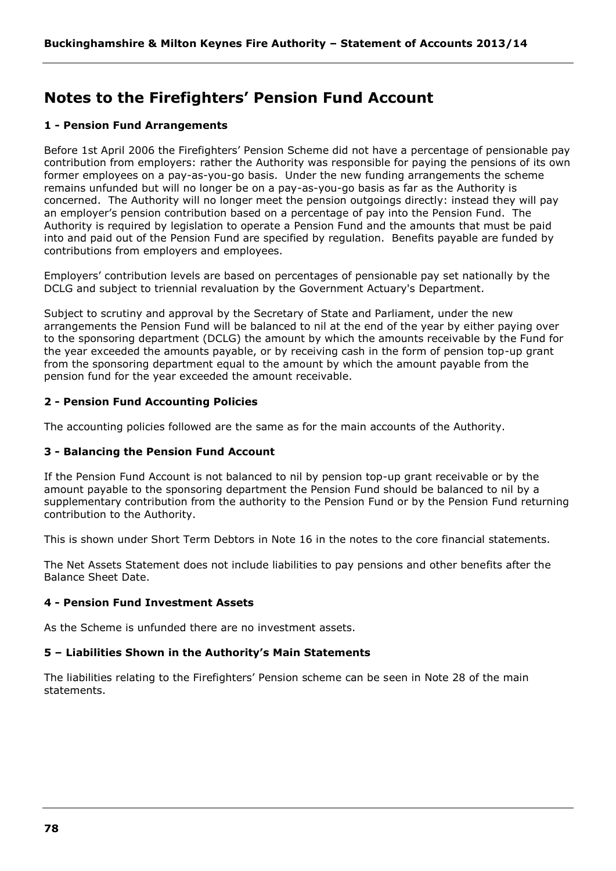# **Notes to the Firefighters' Pension Fund Account**

# **1 - Pension Fund Arrangements**

Before 1st April 2006 the Firefighters' Pension Scheme did not have a percentage of pensionable pay contribution from employers: rather the Authority was responsible for paying the pensions of its own former employees on a pay-as-you-go basis. Under the new funding arrangements the scheme remains unfunded but will no longer be on a pay-as-you-go basis as far as the Authority is concerned. The Authority will no longer meet the pension outgoings directly: instead they will pay an employer's pension contribution based on a percentage of pay into the Pension Fund. The Authority is required by legislation to operate a Pension Fund and the amounts that must be paid into and paid out of the Pension Fund are specified by regulation. Benefits payable are funded by contributions from employers and employees.

Employers' contribution levels are based on percentages of pensionable pay set nationally by the DCLG and subject to triennial revaluation by the Government Actuary's Department.

Subject to scrutiny and approval by the Secretary of State and Parliament, under the new arrangements the Pension Fund will be balanced to nil at the end of the year by either paying over to the sponsoring department (DCLG) the amount by which the amounts receivable by the Fund for the year exceeded the amounts payable, or by receiving cash in the form of pension top-up grant from the sponsoring department equal to the amount by which the amount payable from the pension fund for the year exceeded the amount receivable.

# **2 - Pension Fund Accounting Policies**

The accounting policies followed are the same as for the main accounts of the Authority.

# **3 - Balancing the Pension Fund Account**

If the Pension Fund Account is not balanced to nil by pension top-up grant receivable or by the amount payable to the sponsoring department the Pension Fund should be balanced to nil by a supplementary contribution from the authority to the Pension Fund or by the Pension Fund returning contribution to the Authority.

This is shown under Short Term Debtors in Note 16 in the notes to the core financial statements.

The Net Assets Statement does not include liabilities to pay pensions and other benefits after the Balance Sheet Date.

# **4 - Pension Fund Investment Assets**

As the Scheme is unfunded there are no investment assets.

# **5 – Liabilities Shown in the Authority's Main Statements**

The liabilities relating to the Firefighters' Pension scheme can be seen in Note 28 of the main statements.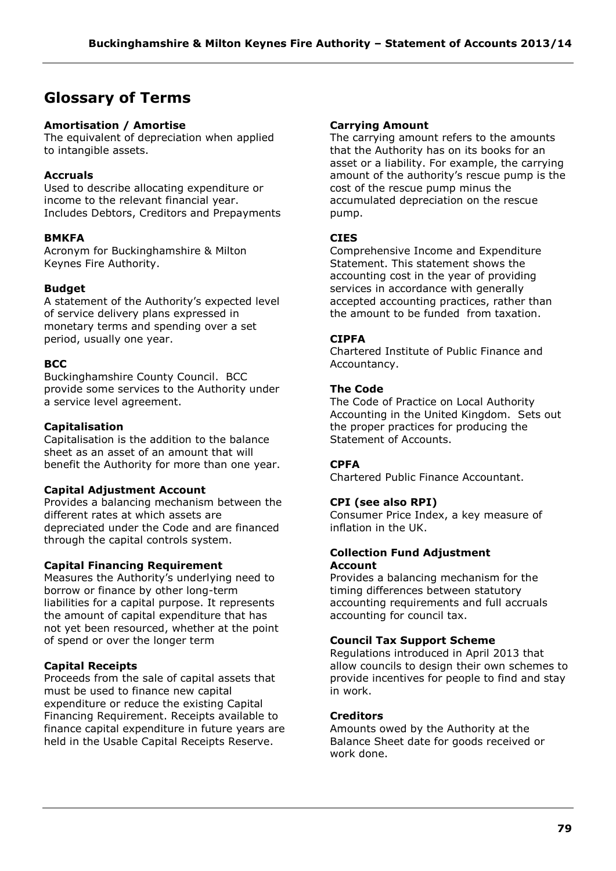# **Glossary of Terms**

# **Amortisation / Amortise**

The equivalent of depreciation when applied to intangible assets.

# **Accruals**

Used to describe allocating expenditure or income to the relevant financial year. Includes Debtors, Creditors and Prepayments

# **BMKFA**

Acronym for Buckinghamshire & Milton Keynes Fire Authority.

# **Budget**

A statement of the Authority's expected level of service delivery plans expressed in monetary terms and spending over a set period, usually one year.

# **BCC**

Buckinghamshire County Council. BCC provide some services to the Authority under a service level agreement.

# **Capitalisation**

Capitalisation is the addition to the balance sheet as an asset of an amount that will benefit the Authority for more than one year.

# **Capital Adjustment Account**

Provides a balancing mechanism between the different rates at which assets are depreciated under the Code and are financed through the capital controls system.

# **Capital Financing Requirement**

Measures the Authority's underlying need to borrow or finance by other long-term liabilities for a capital purpose. It represents the amount of capital expenditure that has not yet been resourced, whether at the point of spend or over the longer term

# **Capital Receipts**

Proceeds from the sale of capital assets that must be used to finance new capital expenditure or reduce the existing Capital Financing Requirement. Receipts available to finance capital expenditure in future years are held in the Usable Capital Receipts Reserve.

## **Carrying Amount**

The carrying amount refers to the amounts that the Authority has on its books for an asset or a liability. For example, the carrying amount of the authority's rescue pump is the cost of the rescue pump minus the accumulated depreciation on the rescue pump.

# **CIES**

Comprehensive Income and Expenditure Statement. This statement shows the accounting cost in the year of providing services in accordance with generally accepted accounting practices, rather than the amount to be funded from taxation.

# **CIPFA**

Chartered Institute of Public Finance and Accountancy.

# **The Code**

The Code of Practice on Local Authority Accounting in the United Kingdom. Sets out the proper practices for producing the Statement of Accounts.

# **CPFA**

Chartered Public Finance Accountant.

# **CPI (see also RPI)**

Consumer Price Index, a key measure of inflation in the UK.

#### **Collection Fund Adjustment Account**

Provides a balancing mechanism for the timing differences between statutory accounting requirements and full accruals accounting for council tax.

# **Council Tax Support Scheme**

Regulations introduced in April 2013 that allow councils to design their own schemes to provide incentives for people to find and stay in work.

# **Creditors**

Amounts owed by the Authority at the Balance Sheet date for goods received or work done.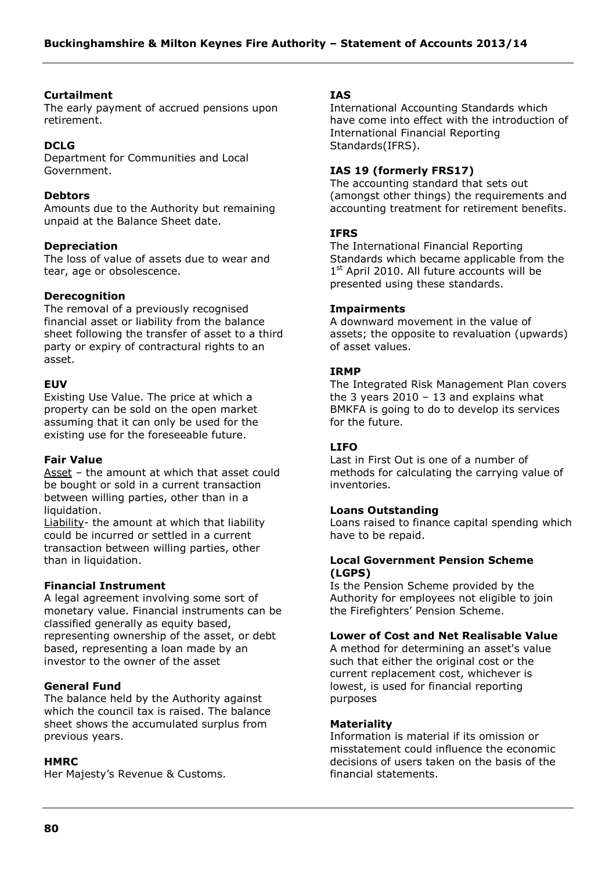#### **Curtailment**

The early payment of accrued pensions upon retirement.

# **DCLG**

Department for Communities and Local Government.

#### **Debtors**

Amounts due to the Authority but remaining unpaid at the Balance Sheet date.

## **Depreciation**

The loss of value of assets due to wear and tear, age or obsolescence.

## **Derecognition**

The removal of a previously recognised financial asset or liability from the balance sheet following the transfer of asset to a third party or expiry of contractural rights to an asset.

## **EUV**

Existing Use Value. The price at which a property can be sold on the open market assuming that it can only be used for the existing use for the foreseeable future.

#### **Fair Value**

Asset – the amount at which that asset could be bought or sold in a current transaction between willing parties, other than in a liquidation.

Liability- the amount at which that liability could be incurred or settled in a current transaction between willing parties, other than in liquidation.

#### **Financial Instrument**

A legal agreement involving some sort of monetary value. Financial instruments can be classified generally as equity based, representing ownership of the asset, or debt based, representing a loan made by an investor to the owner of the asset

#### **General Fund**

The balance held by the Authority against which the council tax is raised. The balance sheet shows the accumulated surplus from previous years.

#### **HMRC**

Her Majesty's Revenue & Customs.

## **IAS**

International Accounting Standards which have come into effect with the introduction of International Financial Reporting Standards(IFRS).

## **IAS 19 (formerly FRS17)**

The accounting standard that sets out (amongst other things) the requirements and accounting treatment for retirement benefits.

## **IFRS**

The International Financial Reporting Standards which became applicable from the 1<sup>st</sup> April 2010. All future accounts will be presented using these standards.

## **Impairments**

A downward movement in the value of assets; the opposite to revaluation (upwards) of asset values.

## **IRMP**

The Integrated Risk Management Plan covers the 3 years  $2010 - 13$  and explains what BMKFA is going to do to develop its services for the future.

# **LIFO**

Last in First Out is one of a number of methods for calculating the carrying value of inventories.

#### **Loans Outstanding**

Loans raised to finance capital spending which have to be repaid.

## **Local Government Pension Scheme (LGPS)**

Is the Pension Scheme provided by the Authority for employees not eligible to join the Firefighters' Pension Scheme.

# **Lower of Cost and Net Realisable Value**

A method for determining an asset's value such that either the original cost or the current replacement cost, whichever is lowest, is used for financial reporting purposes

#### **Materiality**

Information is material if its omission or misstatement could influence the economic decisions of users taken on the basis of the financial statements.